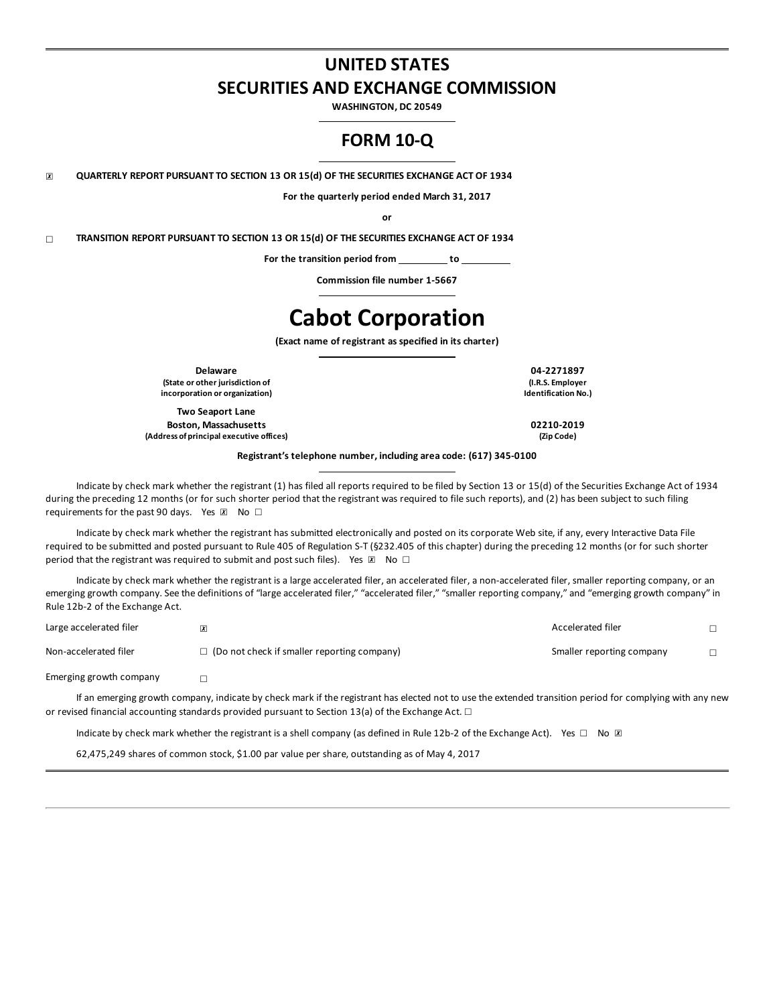# **UNITED STATES SECURITIES AND EXCHANGE COMMISSION**

**WASHINGTON, DC 20549**

## **FORM 10-Q**

☒ **QUARTERLY REPORT PURSUANT TO SECTION 13 OR 15(d) OF THE SECURITIES EXCHANGE ACT OF 1934**

**For the quarterly period ended March 31, 2017**

**or**

☐ **TRANSITION REPORT PURSUANT TO SECTION 13 OR 15(d) OF THE SECURITIES EXCHANGE ACT OF 1934**

**For the transition period from to**

**Commission file number 1-5667**

# **Cabot Corporation**

**(Exact name of registrant as specified in its charter)**

**Delaware 04-2271897 (State or other jurisdiction of incorporation or organization)**

**Two Seaport Lane Boston, Massachusetts 02210-2019 (Address of principal executive offices) (Zip Code)**

**(I.R.S. Employer Identification No.)**

**Registrant's telephone number, including area code: (617) 345-0100**

Indicate by check mark whether the registrant (1) has filed all reports required to be filed by Section 13 or 15(d) of the Securities Exchange Act of 1934 during the preceding 12 months (or for such shorter period that the registrant was required to file such reports), and (2) has been subject to such filing requirements for the past 90 days. Yes  $\boxtimes$  No  $\Box$ 

Indicate by check mark whether the registrant has submitted electronically and posted on its corporate Web site, if any, every Interactive Data File required to be submitted and posted pursuant to Rule 405 of Regulation S-T (§232.405 of this chapter) during the preceding 12 months (or for such shorter period that the registrant was required to submit and post such files). Yes  $\boxtimes$  No  $\Box$ 

Indicate by check mark whether the registrant is a large accelerated filer, an accelerated filer, a non-accelerated filer, smaller reporting company, or an emerging growth company. See the definitions of "large accelerated filer," "accelerated filer," "smaller reporting company," and "emerging growth company" in Rule 12b-2 of the Exchange Act.

| Large accelerated filer | ⊠                                                  | Accelerated filer         |  |
|-------------------------|----------------------------------------------------|---------------------------|--|
| Non-accelerated filer   | $\Box$ (Do not check if smaller reporting company) | Smaller reporting company |  |
| Emerging growth company |                                                    |                           |  |

If an emerging growth company, indicate by check mark if the registrant has elected not to use the extended transition period for complying with any new or revised financial accounting standards provided pursuant to Section 13(a) of the Exchange Act. □

Indicate by check mark whether the registrant is a shell company (as defined in Rule 12b-2 of the Exchange Act). Yes □ No **⊠** 

62,475,249 shares of common stock, \$1.00 par value per share, outstanding as of May 4, 2017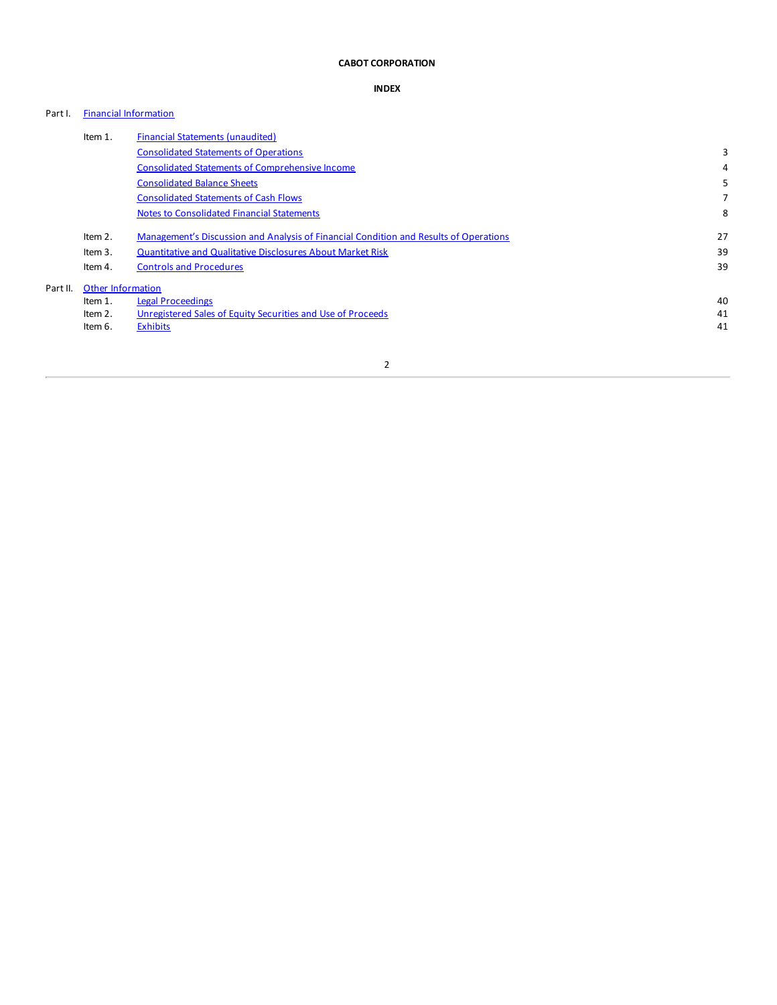## **CABOT CORPORATION**

## **INDEX**

## Part I. Financial [Information](#page-2-0)

|          | Item 1.                  | <b>Financial Statements (unaudited)</b>                                               |    |
|----------|--------------------------|---------------------------------------------------------------------------------------|----|
|          |                          | <b>Consolidated Statements of Operations</b>                                          | 3  |
|          |                          | <b>Consolidated Statements of Comprehensive Income</b>                                | 4  |
|          |                          | <b>Consolidated Balance Sheets</b>                                                    | 5  |
|          |                          | <b>Consolidated Statements of Cash Flows</b>                                          |    |
|          |                          | <b>Notes to Consolidated Financial Statements</b>                                     | 8  |
|          | Item 2.                  | Management's Discussion and Analysis of Financial Condition and Results of Operations | 27 |
|          | Item 3.                  | <b>Quantitative and Qualitative Disclosures About Market Risk</b>                     | 39 |
|          | Item 4.                  | <b>Controls and Procedures</b>                                                        | 39 |
| Part II. | <b>Other Information</b> |                                                                                       |    |
|          | Item 1.                  | <b>Legal Proceedings</b>                                                              | 40 |
|          | Item 2.                  | Unregistered Sales of Equity Securities and Use of Proceeds                           | 41 |
|          | Item 6.                  | <b>Exhibits</b>                                                                       | 41 |
|          |                          |                                                                                       |    |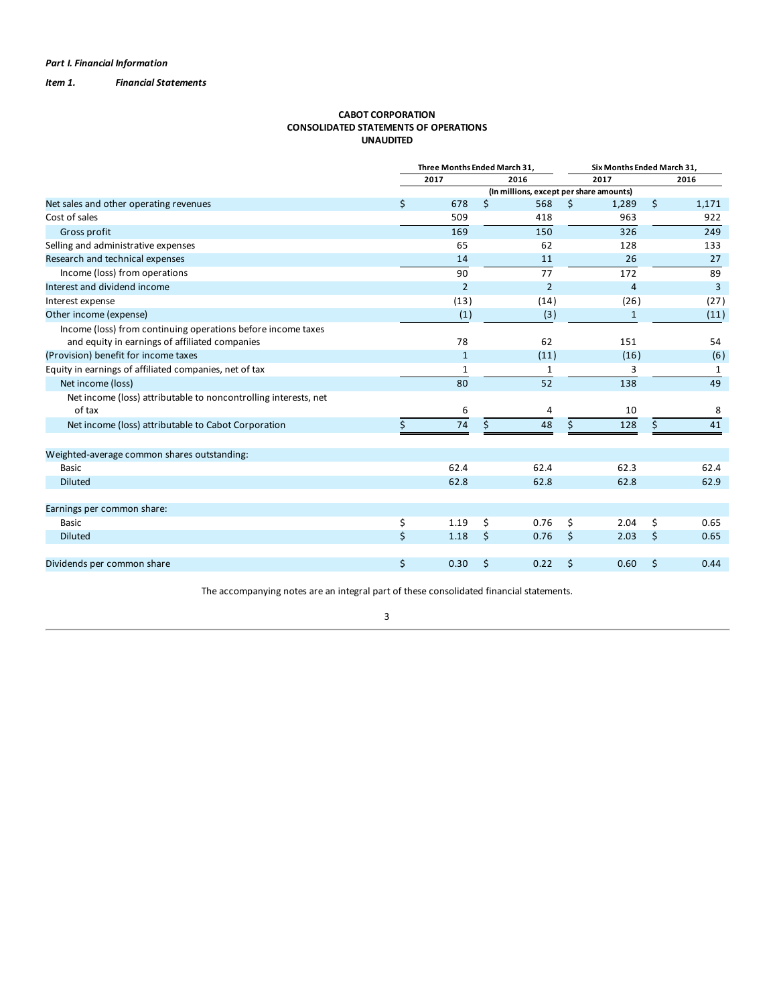<span id="page-2-0"></span>*Item 1. Financial Statements*

## **CABOT CORPORATION CONSOLIDATED STATEMENTS OF OPERATIONS UNAUDITED**

|                                                                                                                |    | Three Months Ended March 31, |    |                                         |    | Six Months Ended March 31, |      |       |  |  |  |
|----------------------------------------------------------------------------------------------------------------|----|------------------------------|----|-----------------------------------------|----|----------------------------|------|-------|--|--|--|
|                                                                                                                |    | 2017                         |    | 2016                                    |    |                            | 2016 |       |  |  |  |
|                                                                                                                |    |                              |    | (In millions, except per share amounts) |    |                            |      |       |  |  |  |
| Net sales and other operating revenues                                                                         | \$ | 678                          | \$ | 568                                     | \$ | 1,289                      | \$   | 1,171 |  |  |  |
| Cost of sales                                                                                                  |    | 509                          |    | 418                                     |    | 963                        |      | 922   |  |  |  |
| Gross profit                                                                                                   |    | 169                          |    | 150                                     |    | 326                        |      | 249   |  |  |  |
| Selling and administrative expenses                                                                            |    | 65                           |    | 62                                      |    | 128                        |      | 133   |  |  |  |
| Research and technical expenses                                                                                |    | 14                           |    | 11                                      |    | 26                         |      | 27    |  |  |  |
| Income (loss) from operations                                                                                  |    | 90                           |    | 77                                      |    | 172                        |      | 89    |  |  |  |
| Interest and dividend income                                                                                   |    | $\overline{2}$               |    | $\overline{2}$                          |    | 4                          |      | 3     |  |  |  |
| Interest expense                                                                                               |    | (13)                         |    | (14)                                    |    | (26)                       |      | (27)  |  |  |  |
| Other income (expense)                                                                                         |    | (1)                          |    | (3)                                     |    | 1                          |      | (11)  |  |  |  |
| Income (loss) from continuing operations before income taxes<br>and equity in earnings of affiliated companies |    | 78                           |    | 62                                      |    | 151                        |      | 54    |  |  |  |
| (Provision) benefit for income taxes                                                                           |    | $\mathbf{1}$                 |    | (11)                                    |    | (16)                       |      | (6)   |  |  |  |
| Equity in earnings of affiliated companies, net of tax                                                         |    | 1                            |    | 1                                       |    | 3                          |      | 1     |  |  |  |
| Net income (loss)                                                                                              |    | 80                           |    | 52                                      |    | 138                        |      | 49    |  |  |  |
| Net income (loss) attributable to noncontrolling interests, net<br>of tax                                      |    | 6                            |    | 4                                       |    | 10                         |      | 8     |  |  |  |
| Net income (loss) attributable to Cabot Corporation                                                            | Š. | 74                           | Ŝ. | 48                                      | Ś. | 128                        | Ś.   | 41    |  |  |  |
|                                                                                                                |    |                              |    |                                         |    |                            |      |       |  |  |  |
| Weighted-average common shares outstanding:                                                                    |    |                              |    |                                         |    |                            |      |       |  |  |  |
| <b>Basic</b>                                                                                                   |    | 62.4                         |    | 62.4                                    |    | 62.3                       |      | 62.4  |  |  |  |
| <b>Diluted</b>                                                                                                 |    | 62.8                         |    | 62.8                                    |    | 62.8                       |      | 62.9  |  |  |  |
| Earnings per common share:                                                                                     |    |                              |    |                                         |    |                            |      |       |  |  |  |
| Basic                                                                                                          | \$ | 1.19                         | \$ | 0.76                                    | \$ | 2.04                       | \$   | 0.65  |  |  |  |
| <b>Diluted</b>                                                                                                 | \$ | 1.18                         | \$ | 0.76                                    | Ś. | 2.03                       | Ś    | 0.65  |  |  |  |
| Dividends per common share                                                                                     | \$ | 0.30                         | \$ | 0.22                                    | \$ | 0.60                       | \$   | 0.44  |  |  |  |

The accompanying notes are an integral part of these consolidated financial statements.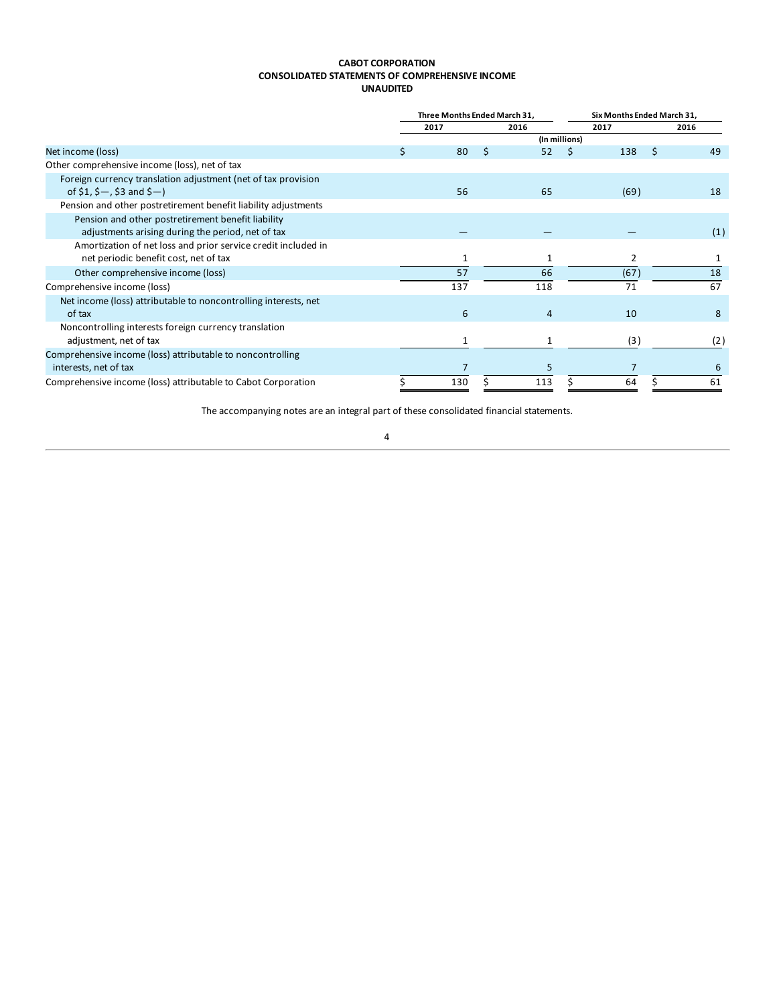## **CABOT CORPORATION CONSOLIDATED STATEMENTS OF COMPREHENSIVE INCOME UNAUDITED**

<span id="page-3-0"></span>

|                                                                 |              | Three Months Ended March 31, |  | Six Months Ended March 31, |               |      |  |      |
|-----------------------------------------------------------------|--------------|------------------------------|--|----------------------------|---------------|------|--|------|
|                                                                 | 2017<br>2016 |                              |  |                            |               | 2017 |  | 2016 |
|                                                                 |              |                              |  |                            | (In millions) |      |  |      |
| Net income (loss)                                               |              | 80                           |  | 52                         | S             | 138  |  | 49   |
| Other comprehensive income (loss), net of tax                   |              |                              |  |                            |               |      |  |      |
| Foreign currency translation adjustment (net of tax provision   |              |                              |  |                            |               |      |  |      |
| of $$1, $-$ , $$3$ and $$-$ )                                   |              | 56                           |  | 65                         |               | (69) |  | 18   |
| Pension and other postretirement benefit liability adjustments  |              |                              |  |                            |               |      |  |      |
| Pension and other postretirement benefit liability              |              |                              |  |                            |               |      |  |      |
| adjustments arising during the period, net of tax               |              |                              |  |                            |               |      |  | (1)  |
| Amortization of net loss and prior service credit included in   |              |                              |  |                            |               |      |  |      |
| net periodic benefit cost, net of tax                           |              |                              |  |                            |               | 2    |  |      |
| Other comprehensive income (loss)                               |              | 57                           |  | 66                         |               | (67) |  | 18   |
| Comprehensive income (loss)                                     |              | 137                          |  | 118                        |               | 71   |  | 67   |
| Net income (loss) attributable to noncontrolling interests, net |              |                              |  |                            |               |      |  |      |
| of tax                                                          |              | 6                            |  | $\overline{4}$             |               | 10   |  | 8    |
| Noncontrolling interests foreign currency translation           |              |                              |  |                            |               |      |  |      |
| adjustment, net of tax                                          |              |                              |  |                            |               | (3)  |  | (2)  |
| Comprehensive income (loss) attributable to noncontrolling      |              |                              |  |                            |               |      |  |      |
| interests, net of tax                                           |              |                              |  |                            |               |      |  | 6    |
| Comprehensive income (loss) attributable to Cabot Corporation   |              | 130                          |  | 113                        | S             | 64   |  | 61   |

The accompanying notes are an integral part of these consolidated financial statements.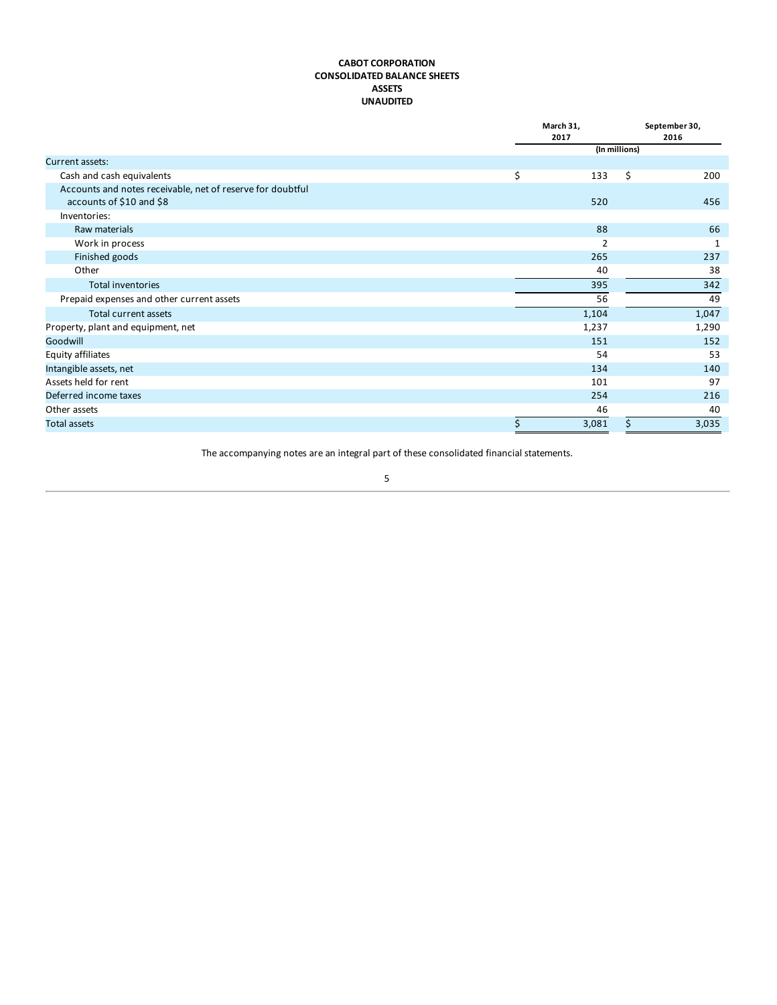## **CABOT CORPORATION CONSOLIDATED BALANCE SHEETS ASSETS UNAUDITED**

<span id="page-4-0"></span>

|                                                                                        | March 31,<br>2017 | September 30,<br>2016 |
|----------------------------------------------------------------------------------------|-------------------|-----------------------|
|                                                                                        |                   | (In millions)         |
| Current assets:                                                                        |                   |                       |
| Cash and cash equivalents                                                              | \$<br>133         | \$<br>200             |
| Accounts and notes receivable, net of reserve for doubtful<br>accounts of \$10 and \$8 | 520               | 456                   |
| Inventories:                                                                           |                   |                       |
| Raw materials                                                                          | 88                | 66                    |
| Work in process                                                                        | 2                 |                       |
| Finished goods                                                                         | 265               | 237                   |
| Other                                                                                  | 40                | 38                    |
| Total inventories                                                                      | 395               | 342                   |
| Prepaid expenses and other current assets                                              | 56                | 49                    |
| Total current assets                                                                   | 1,104             | 1,047                 |
| Property, plant and equipment, net                                                     | 1,237             | 1,290                 |
| Goodwill                                                                               | 151               | 152                   |
| Equity affiliates                                                                      | 54                | 53                    |
| Intangible assets, net                                                                 | 134               | 140                   |
| Assets held for rent                                                                   | 101               | 97                    |
| Deferred income taxes                                                                  | 254               | 216                   |
| Other assets                                                                           | 46                | 40                    |
| <b>Total assets</b>                                                                    | 3,081             | \$<br>3,035           |

The accompanying notes are an integral part of these consolidated financial statements.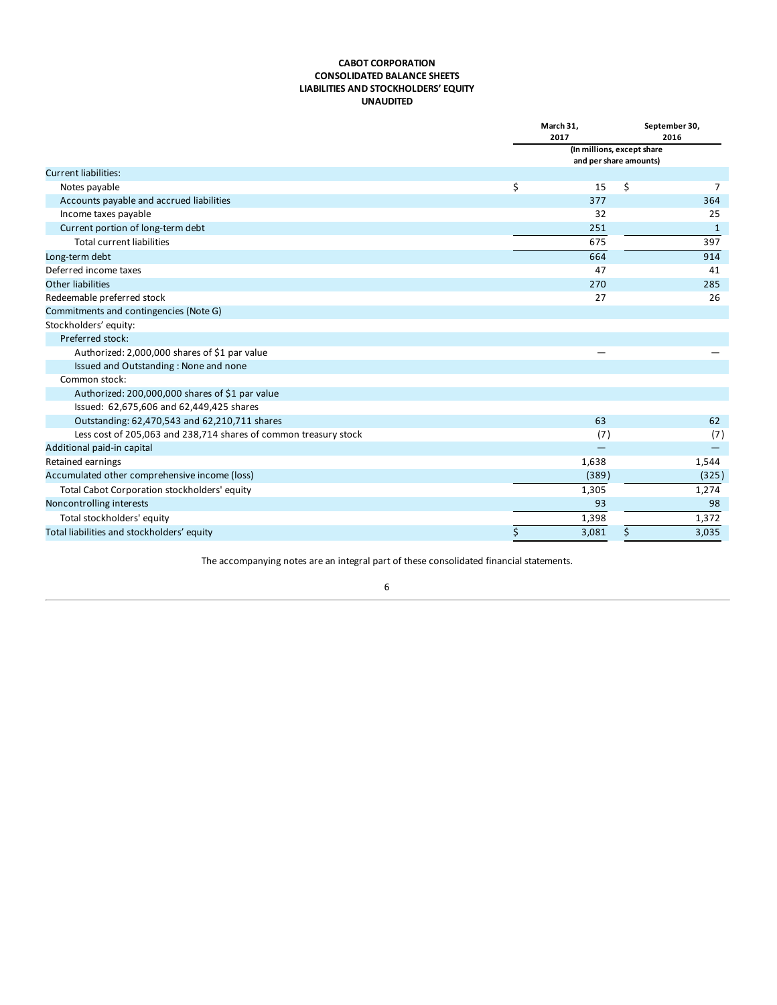## **CABOT CORPORATION CONSOLIDATED BALANCE SHEETS LIABILITIES AND STOCKHOLDERS' EQUITY UNAUDITED**

|                                                                  | March 31,<br>2017                                    | September 30,<br>2016 |
|------------------------------------------------------------------|------------------------------------------------------|-----------------------|
|                                                                  | (In millions, except share<br>and per share amounts) |                       |
| <b>Current liabilities:</b>                                      |                                                      |                       |
| Notes payable                                                    | \$<br>\$<br>15                                       | $\overline{7}$        |
| Accounts payable and accrued liabilities                         | 377                                                  | 364                   |
| Income taxes payable                                             | 32                                                   | 25                    |
| Current portion of long-term debt                                | 251                                                  | 1                     |
| <b>Total current liabilities</b>                                 | 675                                                  | 397                   |
| Long-term debt                                                   | 664                                                  | 914                   |
| Deferred income taxes                                            | 47                                                   | 41                    |
| Other liabilities                                                | 270                                                  | 285                   |
| Redeemable preferred stock                                       | 27                                                   | 26                    |
| Commitments and contingencies (Note G)                           |                                                      |                       |
| Stockholders' equity:                                            |                                                      |                       |
| Preferred stock:                                                 |                                                      |                       |
| Authorized: 2,000,000 shares of \$1 par value                    |                                                      |                       |
| Issued and Outstanding: None and none                            |                                                      |                       |
| Common stock:                                                    |                                                      |                       |
| Authorized: 200,000,000 shares of \$1 par value                  |                                                      |                       |
| Issued: 62,675,606 and 62,449,425 shares                         |                                                      |                       |
| Outstanding: 62,470,543 and 62,210,711 shares                    | 63                                                   | 62                    |
| Less cost of 205,063 and 238,714 shares of common treasury stock | (7)                                                  | (7)                   |
| Additional paid-in capital                                       |                                                      |                       |
| Retained earnings                                                | 1,638                                                | 1,544                 |
| Accumulated other comprehensive income (loss)                    | (389)                                                | (325)                 |
| Total Cabot Corporation stockholders' equity                     | 1,305                                                | 1,274                 |
| Noncontrolling interests                                         | 93                                                   | 98                    |
| Total stockholders' equity                                       | 1,398                                                | 1,372                 |
| Total liabilities and stockholders' equity                       | \$<br>3,081<br>\$                                    | 3,035                 |

The accompanying notes are an integral part of these consolidated financial statements.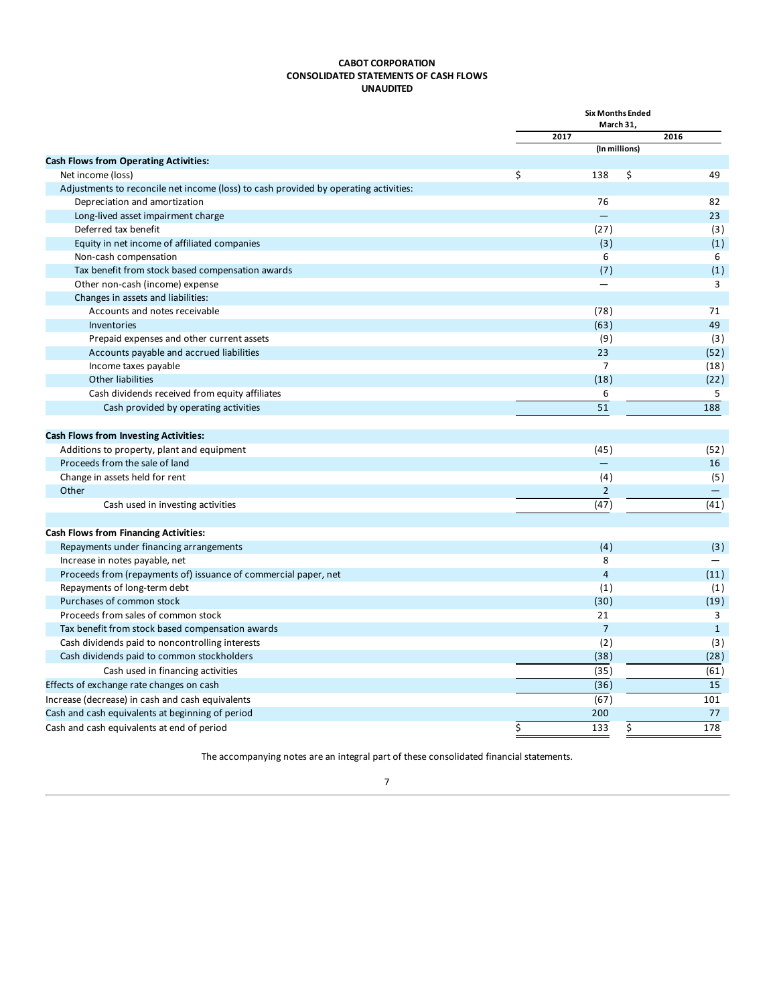## **CABOT CORPORATION CONSOLIDATED STATEMENTS OF CASH FLOWS UNAUDITED**

<span id="page-6-0"></span>

|                                                                                      | <b>Six Months Ended</b><br>March 31, |                   |
|--------------------------------------------------------------------------------------|--------------------------------------|-------------------|
|                                                                                      | 2017                                 | 2016              |
|                                                                                      | (In millions)                        |                   |
| <b>Cash Flows from Operating Activities:</b><br>Net income (loss)                    | \$<br>138                            | \$<br>49          |
| Adjustments to reconcile net income (loss) to cash provided by operating activities: |                                      |                   |
| Depreciation and amortization                                                        | 76                                   | 82                |
| Long-lived asset impairment charge                                                   |                                      | 23                |
| Deferred tax benefit                                                                 | (27)                                 | (3)               |
| Equity in net income of affiliated companies                                         | (3)                                  | (1)               |
| Non-cash compensation                                                                | 6                                    | 6                 |
| Tax benefit from stock based compensation awards                                     | (7)                                  | (1)               |
| Other non-cash (income) expense                                                      |                                      | 3                 |
| Changes in assets and liabilities:                                                   |                                      |                   |
| Accounts and notes receivable                                                        | (78)                                 | 71                |
| Inventories                                                                          | (63)                                 | 49                |
| Prepaid expenses and other current assets                                            | (9)                                  | (3)               |
| Accounts payable and accrued liabilities                                             | 23                                   | (52)              |
| Income taxes payable                                                                 | $\overline{7}$                       | (18)              |
| Other liabilities                                                                    | (18)                                 | (22)              |
| Cash dividends received from equity affiliates                                       | 6                                    | 5                 |
| Cash provided by operating activities                                                | 51                                   | 188               |
|                                                                                      |                                      |                   |
| <b>Cash Flows from Investing Activities:</b>                                         |                                      |                   |
| Additions to property, plant and equipment                                           | (45)                                 | (52)              |
| Proceeds from the sale of land                                                       |                                      | 16                |
| Change in assets held for rent                                                       | (4)                                  | (5)               |
| Other                                                                                | $\overline{2}$                       |                   |
| Cash used in investing activities                                                    | (47)                                 | $\overline{(41)}$ |
|                                                                                      |                                      |                   |
| <b>Cash Flows from Financing Activities:</b>                                         |                                      |                   |
| Repayments under financing arrangements                                              | (4)                                  | (3)               |
| Increase in notes payable, net                                                       | 8                                    |                   |
| Proceeds from (repayments of) issuance of commercial paper, net                      | $\overline{4}$                       | (11)              |
| Repayments of long-term debt                                                         | (1)                                  | (1)               |
| Purchases of common stock                                                            | (30)                                 | (19)              |
| Proceeds from sales of common stock                                                  | 21                                   | 3                 |
| Tax benefit from stock based compensation awards                                     | $\overline{7}$                       | $\mathbf{1}$      |
| Cash dividends paid to noncontrolling interests                                      | (2)                                  | (3)               |
| Cash dividends paid to common stockholders                                           | (38)                                 | (28)              |
| Cash used in financing activities                                                    | (35)                                 | (61)              |
| Effects of exchange rate changes on cash                                             | (36)                                 | 15                |
| Increase (decrease) in cash and cash equivalents                                     | (67)                                 | 101               |
| Cash and cash equivalents at beginning of period                                     | 200                                  | 77                |
| Cash and cash equivalents at end of period                                           | \$<br>133                            | 178<br>\$         |
|                                                                                      |                                      |                   |

The accompanying notes are an integral part of these consolidated financial statements.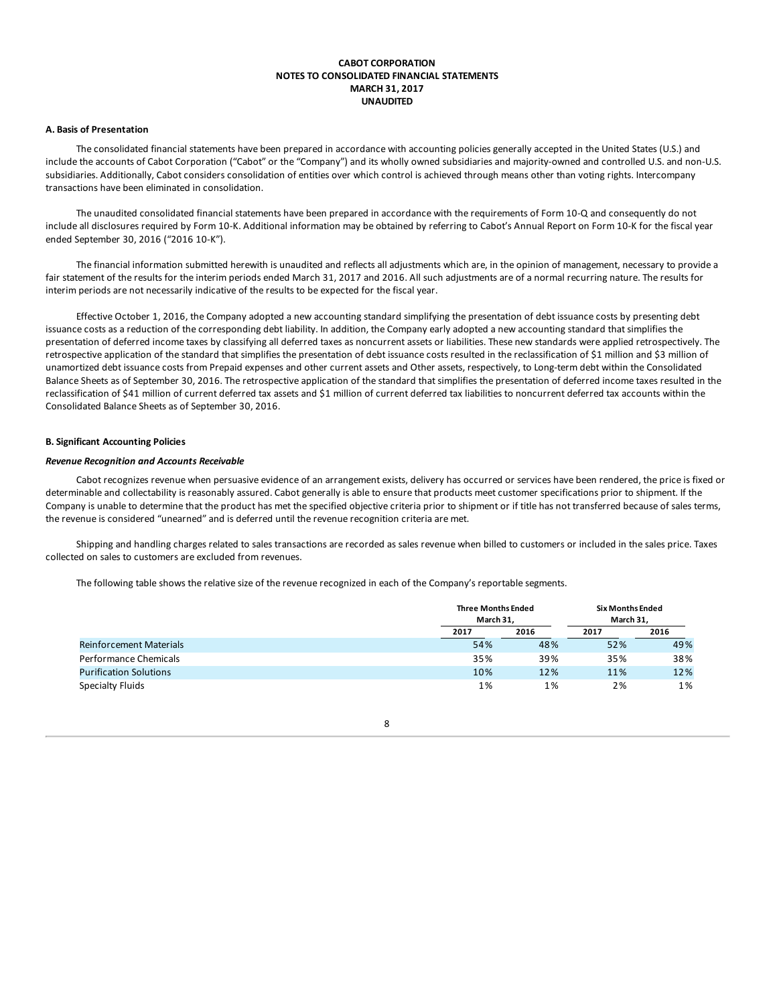## **CABOT CORPORATION NOTES TO CONSOLIDATED FINANCIAL STATEMENTS MARCH 31, 2017 UNAUDITED**

#### <span id="page-7-0"></span>**A. Basis of Presentation**

The consolidated financial statements have been prepared in accordance with accounting policies generally accepted in the United States (U.S.) and include the accounts of Cabot Corporation ("Cabot" or the "Company") and its wholly owned subsidiaries and majority-owned and controlled U.S. and non-U.S. subsidiaries. Additionally, Cabot considers consolidation of entities over which control is achieved through means other than voting rights. Intercompany transactions have been eliminated in consolidation.

The unaudited consolidated financial statements have been prepared in accordance with the requirements of Form 10-Q and consequently do not include all disclosures required by Form 10-K. Additional information may be obtained by referring to Cabot's Annual Report on Form 10-K for the fiscal year ended September 30, 2016 ("2016 10-K").

The financial information submitted herewith is unaudited and reflects all adjustments which are, in the opinion of management, necessary to provide a fair statement of the results for the interim periods ended March 31, 2017 and 2016. All such adjustments are of a normal recurring nature. The results for interim periods are not necessarily indicative of the results to be expected for the fiscal year.

Effective October 1, 2016, the Company adopted a new accounting standard simplifying the presentation of debt issuance costs by presenting debt issuance costs as a reduction of the corresponding debt liability. In addition, the Company early adopted a new accounting standard that simplifies the presentation of deferred income taxes by classifying all deferred taxes as noncurrent assets or liabilities. These new standards were applied retrospectively. The retrospective application of the standard that simplifies the presentation of debt issuance costs resulted in the reclassification of \$1 million and \$3 million of unamortized debt issuance costs from Prepaid expenses and other current assets and Other assets, respectively, to Long-term debt within the Consolidated Balance Sheets as of September 30, 2016. The retrospective application of the standard that simplifies the presentation of deferred income taxes resulted in the reclassification of \$41 million of current deferred tax assets and \$1 million of current deferred tax liabilities to noncurrent deferred tax accounts within the Consolidated Balance Sheets as of September 30, 2016.

#### **B. Significant Accounting Policies**

#### *Revenue Recognition and Accounts Receivable*

Cabot recognizes revenue when persuasive evidence of an arrangement exists, delivery has occurred or services have been rendered, the price is fixed or determinable and collectability is reasonably assured. Cabot generally is able to ensure that products meet customer specifications prior to shipment. If the Company is unable to determine that the product has met the specified objective criteria prior to shipment or if title has not transferred because of sales terms, the revenue is considered "unearned" and is deferred until the revenue recognition criteria are met.

Shipping and handling charges related to sales transactions are recorded as sales revenue when billed to customers or included in the sales price. Taxes collected on sales to customers are excluded from revenues.

The following table shows the relative size of the revenue recognized in each of the Company's reportable segments.

|                                | <b>Three Months Ended</b><br>March 31. |      | <b>Six Months Ended</b><br>March 31. |      |  |  |
|--------------------------------|----------------------------------------|------|--------------------------------------|------|--|--|
|                                | 2017                                   | 2016 | 2017                                 | 2016 |  |  |
| <b>Reinforcement Materials</b> | 54%                                    | 48%  | 52%                                  | 49%  |  |  |
| Performance Chemicals          | 35%                                    | 39%  | 35%                                  | 38%  |  |  |
| <b>Purification Solutions</b>  | 10%                                    | 12%  | 11%                                  | 12%  |  |  |
| <b>Specialty Fluids</b>        | 1%                                     | 1%   | 2%                                   | 1%   |  |  |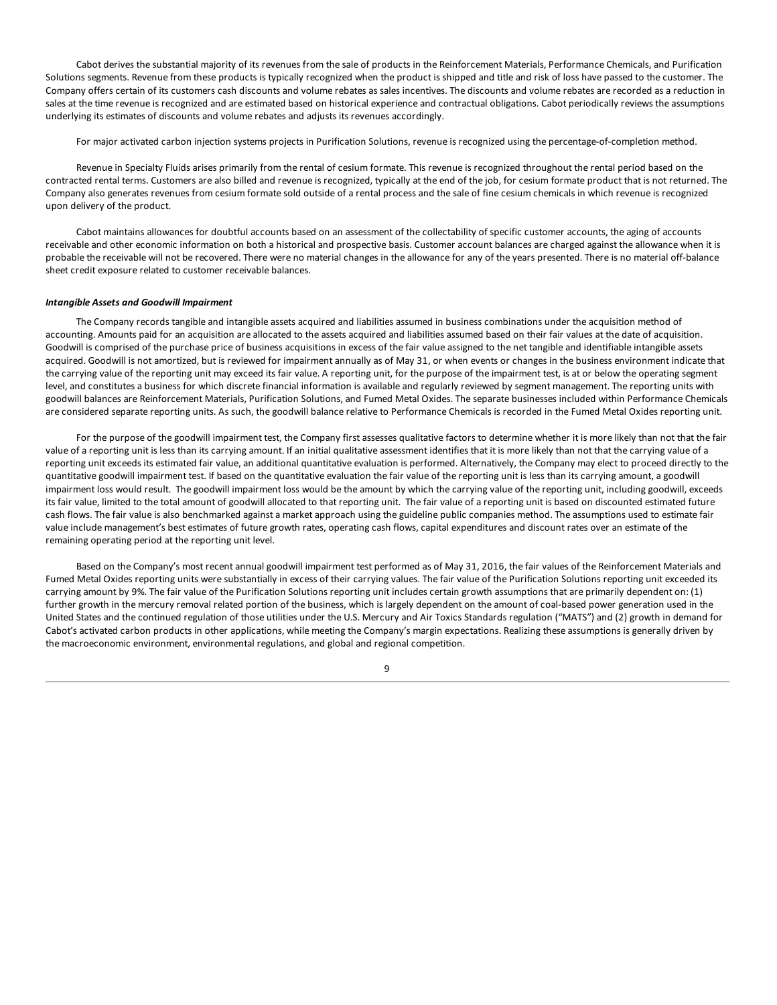Cabot derives the substantial majority of its revenues from the sale of products in the Reinforcement Materials, Performance Chemicals, and Purification Solutions segments. Revenue from these products is typically recognized when the product is shipped and title and risk of loss have passed to the customer. The Company offers certain of its customers cash discounts and volume rebates as sales incentives. The discounts and volume rebates are recorded as a reduction in sales at the time revenue is recognized and are estimated based on historical experience and contractual obligations. Cabot periodically reviews the assumptions underlying its estimates of discounts and volume rebates and adjusts its revenues accordingly.

For major activated carbon injection systems projects in Purification Solutions, revenue is recognized using the percentage-of-completion method.

Revenue in Specialty Fluids arises primarily from the rental of cesium formate. This revenue is recognized throughout the rental period based on the contracted rental terms. Customers are also billed and revenue is recognized, typically at the end of the job, for cesium formate product that is not returned. The Company also generates revenues from cesium formate sold outside of a rental process and the sale of fine cesium chemicals in which revenue is recognized upon delivery of the product.

Cabot maintains allowances for doubtful accounts based on an assessment of the collectability of specific customer accounts, the aging of accounts receivable and other economic information on both a historical and prospective basis. Customer account balances are charged against the allowance when it is probable the receivable will not be recovered. There were no material changes in the allowance for any of the years presented. There is no material off-balance sheet credit exposure related to customer receivable balances.

#### *Intangible Assets and Goodwill Impairment*

The Company records tangible and intangible assets acquired and liabilities assumed in business combinations under the acquisition method of accounting. Amounts paid for an acquisition are allocated to the assets acquired and liabilities assumed based on their fair values at the date of acquisition. Goodwill is comprised of the purchase price of business acquisitions in excess of the fair value assigned to the net tangible and identifiable intangible assets acquired. Goodwill is not amortized, but is reviewed for impairment annually as of May 31, or when events or changes in the business environment indicate that the carrying value of the reporting unit may exceed its fair value. A reporting unit, for the purpose of the impairment test, is at or below the operating segment level, and constitutes a business for which discrete financial information is available and regularly reviewed by segment management. The reporting units with goodwill balances are Reinforcement Materials, Purification Solutions, and Fumed Metal Oxides. The separate businesses included within Performance Chemicals are considered separate reporting units. As such, the goodwill balance relative to Performance Chemicals is recorded in the Fumed Metal Oxides reporting unit.

For the purpose of the goodwill impairment test, the Company first assesses qualitative factors to determine whether it is more likely than not that the fair value of a reporting unit is less than its carrying amount. If an initial qualitative assessment identifies that it is more likely than not that the carrying value of a reporting unit exceeds its estimated fair value, an additional quantitative evaluation is performed. Alternatively, the Company may elect to proceed directly to the quantitative goodwill impairment test. If based on the quantitative evaluation the fair value of the reporting unit is less than its carrying amount, a goodwill impairment loss would result. The goodwill impairment loss would be the amount by which the carrying value of the reporting unit, including goodwill, exceeds its fair value, limited to the total amount of goodwill allocated to that reporting unit. The fair value of a reporting unit is based on discounted estimated future cash flows. The fair value is also benchmarked against a market approach using the guideline public companies method. The assumptions used to estimate fair value include management's best estimates of future growth rates, operating cash flows, capital expenditures and discount rates over an estimate of the remaining operating period at the reporting unit level.

Based on the Company's most recent annual goodwill impairment test performed as of May 31, 2016, the fair values of the Reinforcement Materials and Fumed Metal Oxides reporting units were substantially in excess of their carrying values. The fair value of the Purification Solutions reporting unit exceeded its carrying amount by 9%. The fair value of the Purification Solutions reporting unit includes certain growth assumptions that are primarily dependent on: (1) further growth in the mercury removal related portion of the business, which is largely dependent on the amount of coal-based power generation used in the United States and the continued regulation of those utilities under the U.S. Mercury and Air Toxics Standards regulation ("MATS") and (2) growth in demand for Cabot's activated carbon products in other applications, while meeting the Company's margin expectations. Realizing these assumptions is generally driven by the macroeconomic environment, environmental regulations, and global and regional competition.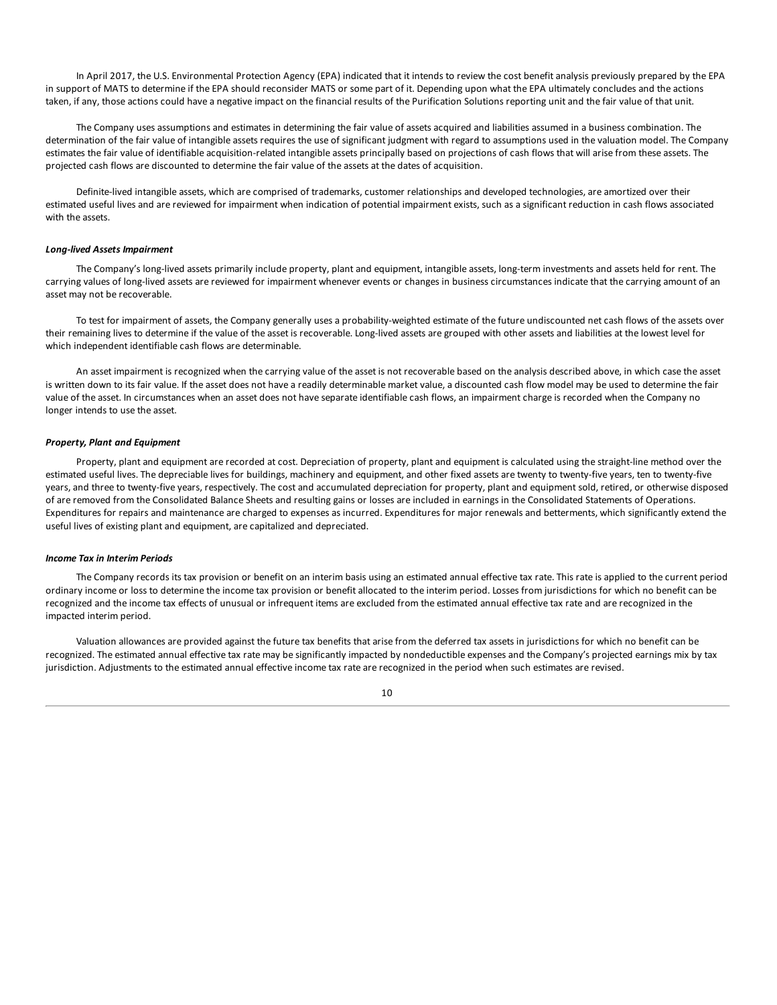In April 2017, the U.S. Environmental Protection Agency (EPA) indicated that it intends to review the cost benefit analysis previously prepared by the EPA in support of MATS to determine if the EPA should reconsider MATS or some part of it. Depending upon what the EPA ultimately concludes and the actions taken, if any, those actions could have a negative impact on the financial results of the Purification Solutions reporting unit and the fair value of that unit.

The Company uses assumptions and estimates in determining the fair value of assets acquired and liabilities assumed in a business combination. The determination of the fair value of intangible assets requires the use of significant judgment with regard to assumptions used in the valuation model. The Company estimates the fair value of identifiable acquisition-related intangible assets principally based on projections of cash flows that will arise from these assets. The projected cash flows are discounted to determine the fair value of the assets at the dates of acquisition.

Definite-lived intangible assets, which are comprised of trademarks, customer relationships and developed technologies, are amortized over their estimated useful lives and are reviewed for impairment when indication of potential impairment exists, such as a significant reduction in cash flows associated with the assets.

#### *Long-lived Assets Impairment*

The Company's long-lived assets primarily include property, plant and equipment, intangible assets, long-term investments and assets held for rent. The carrying values of long-lived assets are reviewed for impairment whenever events or changes in business circumstances indicate that the carrying amount of an asset may not be recoverable.

To test for impairment of assets, the Company generally uses a probability-weighted estimate of the future undiscounted net cash flows of the assets over their remaining lives to determine if the value of the asset is recoverable. Long-lived assets are grouped with other assets and liabilities at the lowest level for which independent identifiable cash flows are determinable.

An asset impairment is recognized when the carrying value of the asset is not recoverable based on the analysis described above, in which case the asset is written down to its fair value. If the asset does not have a readily determinable market value, a discounted cash flow model may be used to determine the fair value of the asset. In circumstances when an asset does not have separate identifiable cash flows, an impairment charge is recorded when the Company no longer intends to use the asset.

#### *Property, Plant and Equipment*

Property, plant and equipment are recorded at cost. Depreciation of property, plant and equipment is calculated using the straight-line method over the estimated useful lives. The depreciable lives for buildings, machinery and equipment, and other fixed assets are twenty to twenty-five years, ten to twenty-five years, and three to twenty-five years, respectively. The cost and accumulated depreciation for property, plant and equipment sold, retired, or otherwise disposed of are removed from the Consolidated Balance Sheets and resulting gains or losses are included in earnings in the Consolidated Statements of Operations. Expenditures for repairs and maintenance are charged to expenses as incurred. Expenditures for major renewals and betterments, which significantly extend the useful lives of existing plant and equipment, are capitalized and depreciated.

#### *Income Tax in Interim Periods*

The Company records its tax provision or benefit on an interim basis using an estimated annual effective tax rate. This rate is applied to the current period ordinary income or loss to determine the income tax provision or benefit allocated to the interim period. Losses from jurisdictions for which no benefit can be recognized and the income tax effects of unusual or infrequent items are excluded from the estimated annual effective tax rate and are recognized in the impacted interim period.

Valuation allowances are provided against the future tax benefits that arise from the deferred tax assets in jurisdictions for which no benefit can be recognized. The estimated annual effective tax rate may be significantly impacted by nondeductible expenses and the Company's projected earnings mix by tax jurisdiction. Adjustments to the estimated annual effective income tax rate are recognized in the period when such estimates are revised.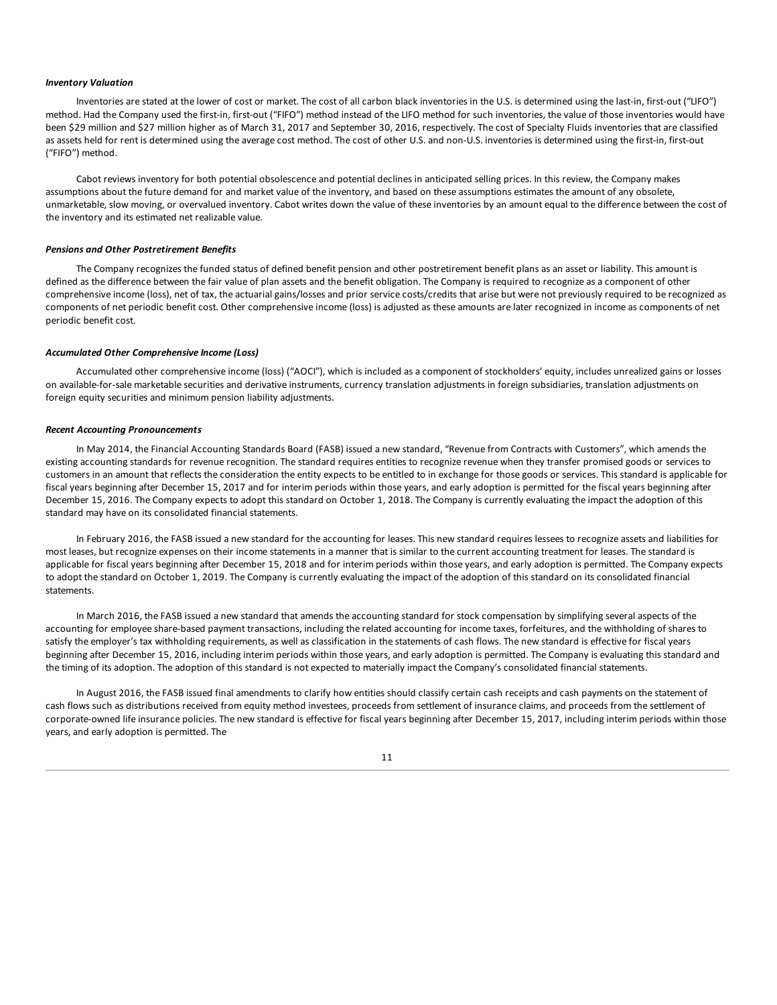#### *Inventory Valuation*

Inventories are stated at the lower of cost or market. The cost of all carbon black inventories in the U.S. is determined using the last-in, first-out ("LIFO") method. Had the Company used the first-in, first-out ("FIFO") method instead of the LIFO method for such inventories, the value of those inventories would have been \$29 million and \$27 million higher as of March 31, 2017 and September 30, 2016, respectively. The cost of Specialty Fluids inventories that are classified as assets held for rent is determined using the average cost method. The cost of other U.S. and non-U.S. inventories is determined using the first-in, first-out ("FIFO") method.

Cabot reviews inventory for both potential obsolescence and potential declines in anticipated selling prices. In this review, the Company makes assumptions about the future demand for and market value of the inventory, and based on these assumptions estimates the amount of any obsolete, unmarketable, slow moving, or overvalued inventory. Cabot writes down the value of these inventories by an amount equal to the difference between the cost of the inventory and its estimated net realizable value.

#### *Pensions and Other Postretirement Benefits*

The Company recognizes the funded status of defined benefit pension and other postretirement benefit plans as an asset or liability. This amount is defined as the difference between the fair value of plan assets and the benefit obligation. The Company is required to recognize as a component of other comprehensive income (loss), net of tax, the actuarial gains/losses and prior service costs/credits that arise but were not previously required to be recognized as components of net periodic benefit cost. Other comprehensive income (loss) is adjusted as these amounts are later recognized in income as components of net periodic benefit cost.

#### *Accumulated Other Comprehensive Income (Loss)*

Accumulated other comprehensive income (loss) ("AOCI"), which is included as a component of stockholders' equity, includes unrealized gains or losses on available-for-sale marketable securities and derivative instruments, currency translation adjustments in foreign subsidiaries, translation adjustments on foreign equity securities and minimum pension liability adjustments.

#### *Recent Accounting Pronouncements*

In May 2014, the Financial Accounting Standards Board (FASB) issued a new standard, "Revenue from Contracts with Customers", which amends the existing accounting standards for revenue recognition. The standard requires entities to recognize revenue when they transfer promised goods or services to customers in an amount that reflects the consideration the entity expects to be entitled to in exchange for those goods or services. This standard is applicable for fiscal years beginning after December 15, 2017 and for interim periods within those years, and early adoption is permitted for the fiscal years beginning after December 15, 2016. The Company expects to adopt this standard on October 1, 2018. The Company is currently evaluating the impact the adoption of this standard may have on its consolidated financial statements.

In February 2016, the FASB issued a new standard for the accounting for leases. This new standard requires lessees to recognize assets and liabilities for most leases, but recognize expenses on their income statements in a manner that is similar to the current accounting treatment for leases. The standard is applicable for fiscal years beginning after December 15, 2018 and for interim periods within those years, and early adoption is permitted. The Company expects to adopt the standard on October 1, 2019. The Company is currently evaluating the impact of the adoption of this standard on its consolidated financial statements.

In March 2016, the FASB issued a new standard that amends the accounting standard for stock compensation by simplifying several aspects of the accounting for employee share-based payment transactions, including the related accounting for income taxes, forfeitures, and the withholding of shares to satisfy the employer's tax withholding requirements, as well as classification in the statements of cash flows. The new standard is effective for fiscal years beginning after December 15, 2016, including interim periods within those years, and early adoption is permitted. The Company is evaluating this standard and the timing of its adoption. The adoption of this standard is not expected to materially impact the Company's consolidated financial statements.

In August 2016, the FASB issued final amendments to clarify how entities should classify certain cash receipts and cash payments on the statement of cash flows such as distributions received from equity method investees, proceeds from settlement of insurance claims, and proceeds from the settlement of corporate-owned life insurance policies. The new standard is effective for fiscal years beginning after December 15, 2017, including interim periods within those years, and early adoption is permitted. The

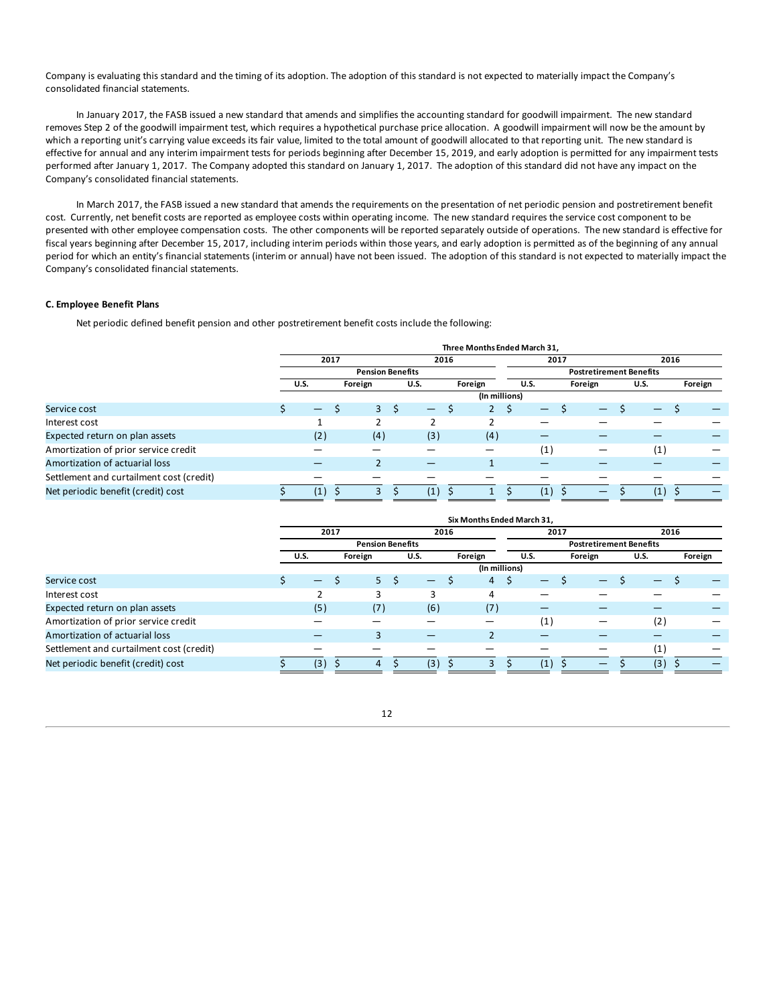Company is evaluating this standard and the timing of its adoption. The adoption of this standard is not expected to materially impact the Company's consolidated financial statements.

In January 2017, the FASB issued a new standard that amends and simplifies the accounting standard for goodwill impairment. The new standard removes Step 2 of the goodwill impairment test, which requires a hypothetical purchase price allocation. A goodwill impairment will now be the amount by which a reporting unit's carrying value exceeds its fair value, limited to the total amount of goodwill allocated to that reporting unit. The new standard is effective for annual and any interim impairment tests for periods beginning after December 15, 2019, and early adoption is permitted for any impairment tests performed after January 1, 2017. The Company adopted this standard on January 1, 2017. The adoption of this standard did not have any impact on the Company's consolidated financial statements.

In March 2017, the FASB issued a new standard that amends the requirements on the presentation of net periodic pension and postretirement benefit cost. Currently, net benefit costs are reported as employee costs within operating income. The new standard requires the service cost component to be presented with other employee compensation costs. The other components will be reported separately outside of operations. The new standard is effective for fiscal years beginning after December 15, 2017, including interim periods within those years, and early adoption is permitted as of the beginning of any annual period for which an entity's financial statements (interim or annual) have not been issued. The adoption of this standard is not expected to materially impact the Company's consolidated financial statements.

#### **C. Employee Benefit Plans**

Net periodic defined benefit pension and other postretirement benefit costs include the following:

|                                          |                   |         |                          |   |             |         |                |    | Three Months Ended March 31, |         |   |                                |     |  |         |
|------------------------------------------|-------------------|---------|--------------------------|---|-------------|---------|----------------|----|------------------------------|---------|---|--------------------------------|-----|--|---------|
|                                          |                   | 2017    |                          |   |             | 2016    |                |    |                              | 2017    |   | 2016                           |     |  |         |
|                                          |                   |         | <b>Pension Benefits</b>  |   |             |         |                |    |                              |         |   | <b>Postretirement Benefits</b> |     |  |         |
|                                          | <b>U.S.</b>       | Foreign |                          |   | <b>U.S.</b> | Foreign |                |    | <b>U.S.</b>                  | Foreign |   | <b>U.S.</b>                    |     |  | Foreign |
|                                          |                   |         |                          |   |             |         | (In millions)  |    |                              |         |   |                                |     |  |         |
| Service cost                             | —                 |         | 3                        | S |             |         | $\overline{2}$ | -S |                              |         |   |                                |     |  |         |
| Interest cost                            |                   |         | ∍                        |   | ີ           |         |                |    |                              |         |   |                                |     |  |         |
| Expected return on plan assets           | (2)               |         | (4)                      |   | (3)         |         | (4)            |    |                              |         |   |                                |     |  |         |
| Amortization of prior service credit     |                   |         |                          |   |             |         |                |    | (1)                          |         |   |                                | (1) |  |         |
| Amortization of actuarial loss           |                   |         | $\overline{\phantom{a}}$ |   |             |         |                |    |                              |         |   |                                |     |  |         |
| Settlement and curtailment cost (credit) |                   |         |                          |   |             |         |                |    |                              |         |   |                                |     |  |         |
| Net periodic benefit (credit) cost       | $\left( 1\right)$ |         | 3                        |   | (1,         |         |                |    | (1)                          |         | - |                                | (1) |  |         |

|                                          |              |             |  |                         |   |             |         | Six Months Ended March 31, |  |              |         |                                |             |      |  |         |  |  |
|------------------------------------------|--------------|-------------|--|-------------------------|---|-------------|---------|----------------------------|--|--------------|---------|--------------------------------|-------------|------|--|---------|--|--|
|                                          | 2017<br>2016 |             |  |                         |   |             |         |                            |  |              | 2017    |                                |             | 2016 |  |         |  |  |
|                                          |              |             |  | <b>Pension Benefits</b> |   |             |         |                            |  |              |         | <b>Postretirement Benefits</b> |             |      |  |         |  |  |
|                                          |              | <b>U.S.</b> |  | Foreign                 |   | <b>U.S.</b> | Foreign |                            |  | U.S.         | Foreign |                                | <b>U.S.</b> |      |  | Foreign |  |  |
|                                          |              |             |  |                         |   |             |         | (In millions)              |  |              |         |                                |             |      |  |         |  |  |
| Service cost                             |              | $-$         |  | 5.                      | S | —           |         | 4                          |  |              |         |                                |             |      |  |         |  |  |
| Interest cost                            |              | ำ           |  | 3                       |   | 3           |         | 4                          |  |              |         |                                |             |      |  |         |  |  |
| Expected return on plan assets           |              | (5)         |  | (7)                     |   | (6)         |         | (7)                        |  |              |         |                                |             |      |  |         |  |  |
| Amortization of prior service credit     |              |             |  |                         |   |             |         |                            |  | (1)          |         |                                |             | (2)  |  |         |  |  |
| Amortization of actuarial loss           |              |             |  | 3                       |   | _           |         |                            |  |              |         |                                |             |      |  |         |  |  |
| Settlement and curtailment cost (credit) |              |             |  |                         |   |             |         |                            |  |              |         |                                |             | (1)  |  |         |  |  |
| Net periodic benefit (credit) cost       |              | (3)         |  | 4                       |   | (3)         |         | 3                          |  | $\mathbf{1}$ |         | _                              |             | (3)  |  |         |  |  |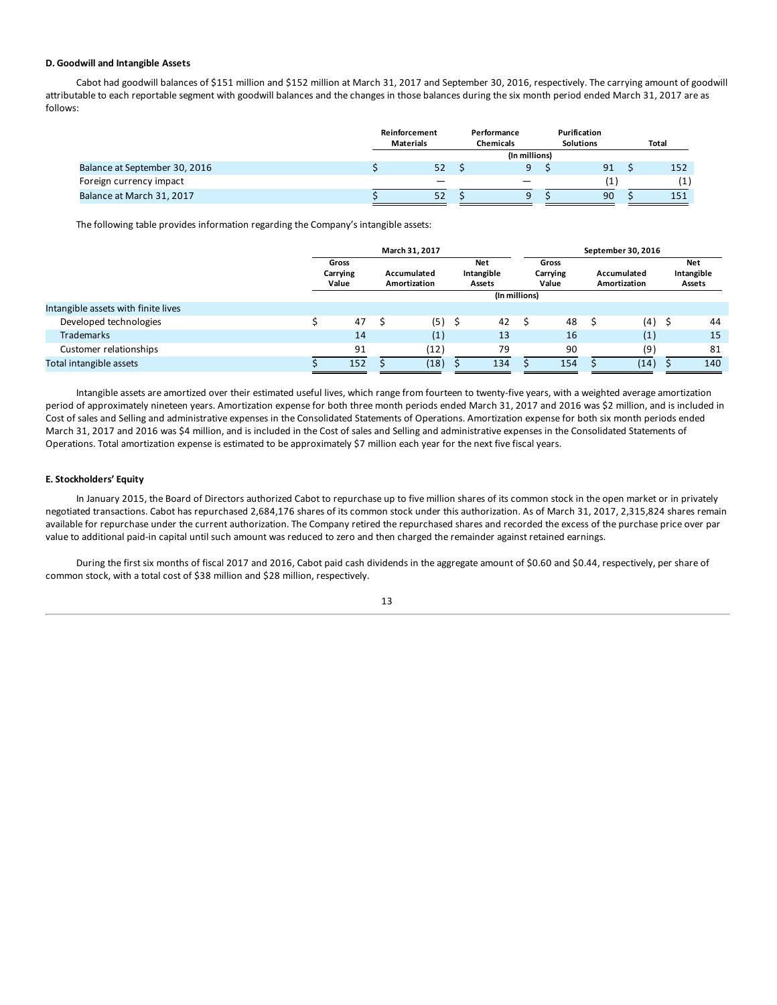## **D. Goodwill and Intangible Assets**

Cabot had goodwill balances of \$151 million and \$152 million at March 31, 2017 and September 30, 2016, respectively. The carrying amount of goodwill attributable to each reportable segment with goodwill balances and the changes in those balances during the six month period ended March 31, 2017 are as follows:

|                               | Reinforcement<br><b>Materials</b> |  | Performance<br><b>Chemicals</b> | Purification<br><b>Solutions</b> | <b>Total</b> |
|-------------------------------|-----------------------------------|--|---------------------------------|----------------------------------|--------------|
|                               |                                   |  | (In millions)                   |                                  |              |
| Balance at September 30, 2016 | 52                                |  | a                               | 91                               | 152          |
| Foreign currency impact       | —                                 |  | $\overline{\phantom{0}}$        |                                  | (1)          |
| Balance at March 31, 2017     | 52                                |  |                                 | 90                               | 151          |

The following table provides information regarding the Company's intangible assets:

|                                     |                            |  | March 31, 2017              |                             |               |                            |     |                             | September 30, 2016 |  |                             |
|-------------------------------------|----------------------------|--|-----------------------------|-----------------------------|---------------|----------------------------|-----|-----------------------------|--------------------|--|-----------------------------|
|                                     | Gross<br>Carrying<br>Value |  | Accumulated<br>Amortization | Net<br>Intangible<br>Assets |               | Gross<br>Carrying<br>Value |     | Accumulated<br>Amortization |                    |  | Net<br>Intangible<br>Assets |
|                                     |                            |  |                             |                             | (In millions) |                            |     |                             |                    |  |                             |
| Intangible assets with finite lives |                            |  |                             |                             |               |                            |     |                             |                    |  |                             |
| Developed technologies              | 47                         |  | (5)                         | S                           | 42            |                            | 48  |                             | (4)                |  | 44                          |
| <b>Trademarks</b>                   | 14                         |  | (1)                         |                             | 13            |                            | 16  |                             | (1)                |  | 15                          |
| Customer relationships              | 91                         |  | (12)                        |                             | 79            |                            | 90  |                             | (9)                |  | 81                          |
| Total intangible assets             | 152                        |  | (18)                        |                             | 134           |                            | 154 |                             | (14)               |  | 140                         |

Intangible assets are amortized over their estimated useful lives, which range from fourteen to twenty-five years, with a weighted average amortization period of approximately nineteen years. Amortization expense for both three month periods ended March 31, 2017 and 2016 was \$2 million, and is included in Cost of sales and Selling and administrative expenses in the Consolidated Statements of Operations. Amortization expense for both six month periods ended March 31, 2017 and 2016 was \$4 million, and is included in the Cost of sales and Selling and administrative expenses in the Consolidated Statements of Operations. Total amortization expense is estimated to be approximately \$7 million each year for the next five fiscal years.

#### **E. Stockholders' Equity**

In January 2015, the Board of Directors authorized Cabot to repurchase up to five million shares of its common stock in the open market or in privately negotiated transactions. Cabot has repurchased 2,684,176 shares of its common stock under this authorization. As of March 31, 2017, 2,315,824 shares remain available for repurchase under the current authorization. The Company retired the repurchased shares and recorded the excess of the purchase price over par value to additional paid-in capital until such amount was reduced to zero and then charged the remainder against retained earnings.

During the first six months of fiscal 2017 and 2016, Cabot paid cash dividends in the aggregate amount of \$0.60 and \$0.44, respectively, per share of common stock, with a total cost of \$38 million and \$28 million, respectively.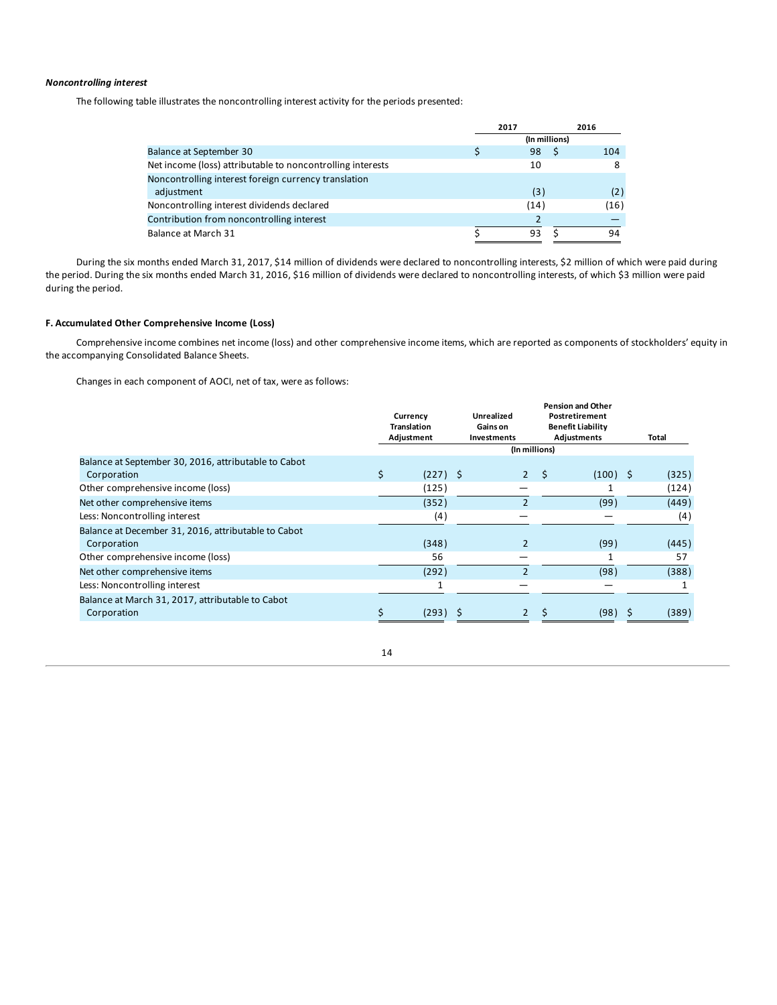## *Noncontrolling interest*

The following table illustrates the noncontrolling interest activity for the periods presented:

|                                                            | 2017 |               |   | 2016 |
|------------------------------------------------------------|------|---------------|---|------|
|                                                            |      | (In millions) |   |      |
| Balance at September 30                                    |      | 98            | S | 104  |
| Net income (loss) attributable to noncontrolling interests |      | 10            |   | 8    |
| Noncontrolling interest foreign currency translation       |      |               |   |      |
| adjustment                                                 |      | (3)           |   | (2)  |
| Noncontrolling interest dividends declared                 |      | (14)          |   | (16) |
| Contribution from noncontrolling interest                  |      |               |   |      |
| <b>Balance at March 31</b>                                 |      | 93            |   | 94   |

During the six months ended March 31, 2017, \$14 million of dividends were declared to noncontrolling interests, \$2 million of which were paid during the period. During the six months ended March 31, 2016, \$16 million of dividends were declared to noncontrolling interests, of which \$3 million were paid during the period.

#### **F. Accumulated Other Comprehensive Income (Loss)**

Comprehensive income combines net income (loss) and other comprehensive income items, which are reported as components of stockholders' equity in the accompanying Consolidated Balance Sheets.

Changes in each component of AOCI, net of tax, were as follows:

|                                                      | Currency<br><b>Translation</b><br>Adjustment |            |  | <b>Unrealized</b><br>Gains on<br>Investments |    | <b>Pension and Other</b><br>Postretirement<br><b>Benefit Liability</b><br>Adjustments |  | <b>Total</b> |  |  |  |  |
|------------------------------------------------------|----------------------------------------------|------------|--|----------------------------------------------|----|---------------------------------------------------------------------------------------|--|--------------|--|--|--|--|
|                                                      | (In millions)                                |            |  |                                              |    |                                                                                       |  |              |  |  |  |  |
| Balance at September 30, 2016, attributable to Cabot |                                              |            |  |                                              |    |                                                                                       |  |              |  |  |  |  |
| Corporation                                          | Ś.                                           | $(227)$ \$ |  | $2^{\circ}$                                  | \$ | $(100)$ \$                                                                            |  | (325)        |  |  |  |  |
| Other comprehensive income (loss)                    |                                              | (125)      |  |                                              |    |                                                                                       |  | (124)        |  |  |  |  |
| Net other comprehensive items                        |                                              | (352)      |  | 2                                            |    | (99)                                                                                  |  | (449)        |  |  |  |  |
| Less: Noncontrolling interest                        |                                              | (4)        |  |                                              |    |                                                                                       |  | (4)          |  |  |  |  |
| Balance at December 31, 2016, attributable to Cabot  |                                              |            |  |                                              |    |                                                                                       |  |              |  |  |  |  |
| Corporation                                          |                                              | (348)      |  | 2                                            |    | (99)                                                                                  |  | (445)        |  |  |  |  |
| Other comprehensive income (loss)                    |                                              | 56         |  |                                              |    |                                                                                       |  | 57           |  |  |  |  |
| Net other comprehensive items                        |                                              | (292)      |  | $\overline{2}$                               |    | (98)                                                                                  |  | (388)        |  |  |  |  |
| Less: Noncontrolling interest                        |                                              |            |  |                                              |    |                                                                                       |  |              |  |  |  |  |
| Balance at March 31, 2017, attributable to Cabot     |                                              |            |  |                                              |    |                                                                                       |  |              |  |  |  |  |
| Corporation                                          |                                              | (293)      |  | $\overline{2}$                               |    | (98)                                                                                  |  | (389)        |  |  |  |  |
|                                                      |                                              |            |  |                                              |    |                                                                                       |  |              |  |  |  |  |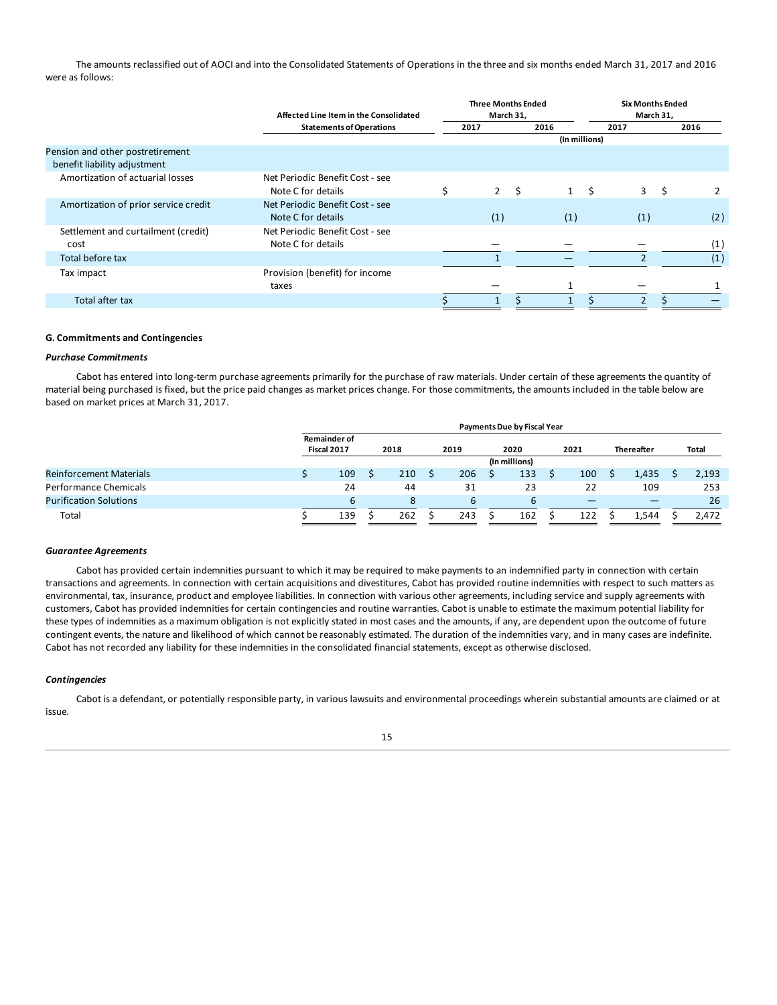The amounts reclassified out of AOCI and into the Consolidated Statements of Operations in the three and six months ended March 31, 2017 and 2016 were as follows:

| Affected Line Item in the Consolidated                |      |              |      | <b>Six Months Ended</b><br>March 31, |                                        |                          |                    |     |
|-------------------------------------------------------|------|--------------|------|--------------------------------------|----------------------------------------|--------------------------|--------------------|-----|
| <b>Statements of Operations</b>                       | 2017 |              | 2016 |                                      | 2017                                   |                          | 2016               |     |
|                                                       |      |              |      |                                      |                                        |                          |                    |     |
|                                                       |      |              |      |                                      |                                        |                          |                    |     |
|                                                       |      |              |      |                                      |                                        |                          |                    |     |
| Net Periodic Benefit Cost - see<br>Note C for details | Ś    |              |      |                                      |                                        |                          |                    | 2   |
| Net Periodic Benefit Cost - see<br>Note C for details |      | (1)          |      | (1)                                  |                                        | (1)                      |                    | (2) |
| Net Periodic Benefit Cost - see<br>Note C for details |      |              |      |                                      |                                        |                          |                    | (1) |
|                                                       |      |              |      |                                      |                                        |                          |                    | (1) |
| Provision (benefit) for income<br>taxes               |      |              |      |                                      |                                        |                          |                    |     |
|                                                       |      | $\mathbf{A}$ |      |                                      |                                        | $\overline{\phantom{0}}$ |                    |     |
|                                                       |      |              |      | 2 <sup>5</sup>                       | <b>Three Months Ended</b><br>March 31, | $1 \quad$                | (In millions)<br>3 | -Ś  |

#### **G. Commitments and Contingencies**

#### *Purchase Commitments*

Cabot has entered into long-term purchase agreements primarily for the purchase of raw materials. Under certain of these agreements the quantity of material being purchased is fixed, but the price paid changes as market prices change. For those commitments, the amounts included in the table below are based on market prices at March 31, 2017.

|                                |                                    |  |      |  |      |  | <b>Payments Due by Fiscal Year</b> |  |      |                   |       |       |
|--------------------------------|------------------------------------|--|------|--|------|--|------------------------------------|--|------|-------------------|-------|-------|
|                                | <b>Remainder of</b><br>Fiscal 2017 |  | 2018 |  | 2019 |  | 2020                               |  | 2021 | <b>Thereafter</b> |       | Total |
|                                |                                    |  |      |  |      |  | (In millions)                      |  |      |                   |       |       |
| <b>Reinforcement Materials</b> | 109                                |  | 210  |  | 206  |  | 133                                |  | 100  |                   | 1.435 | 2,193 |
| Performance Chemicals          | 24                                 |  | 44   |  | 31   |  | 23                                 |  | 22   |                   | 109   | 253   |
| <b>Purification Solutions</b>  | 6                                  |  | 8    |  | 6    |  | 6                                  |  |      |                   |       | 26    |
| Total                          | 139                                |  | 262  |  | 243  |  | 162                                |  | 122  |                   | 1,544 | 2,472 |

#### *Guarantee Agreements*

Cabot has provided certain indemnities pursuant to which it may be required to make payments to an indemnified party in connection with certain transactions and agreements. In connection with certain acquisitions and divestitures, Cabot has provided routine indemnities with respect to such matters as environmental, tax, insurance, product and employee liabilities. In connection with various other agreements, including service and supply agreements with customers, Cabot has provided indemnities for certain contingencies and routine warranties. Cabot is unable to estimate the maximum potential liability for these types of indemnities as a maximum obligation is not explicitly stated in most cases and the amounts, if any, are dependent upon the outcome of future contingent events, the nature and likelihood of which cannot be reasonably estimated. The duration of the indemnities vary, and in many cases are indefinite. Cabot has not recorded any liability for these indemnities in the consolidated financial statements, except as otherwise disclosed.

## *Contingencies*

Cabot is a defendant, or potentially responsible party, in various lawsuits and environmental proceedings wherein substantial amounts are claimed or at issue.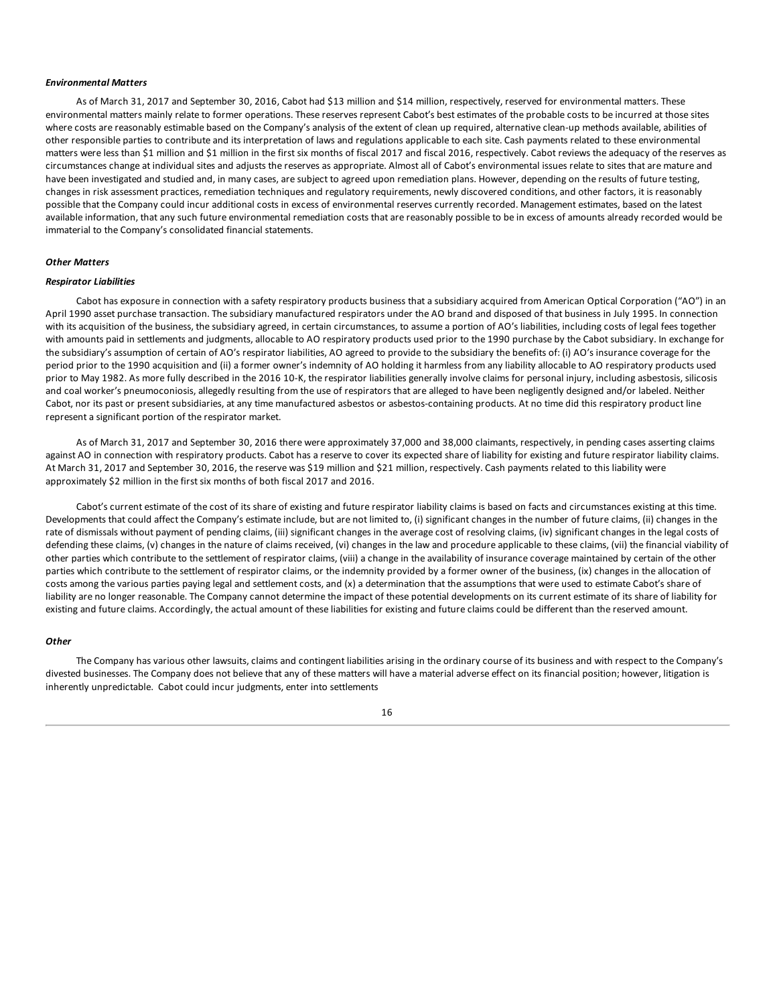#### *Environmental Matters*

As of March 31, 2017 and September 30, 2016, Cabot had \$13 million and \$14 million, respectively, reserved for environmental matters. These environmental matters mainly relate to former operations. These reserves represent Cabot's best estimates of the probable costs to be incurred at those sites where costs are reasonably estimable based on the Company's analysis of the extent of clean up required, alternative clean-up methods available, abilities of other responsible parties to contribute and its interpretation of laws and regulations applicable to each site. Cash payments related to these environmental matters were less than \$1 million and \$1 million in the first six months of fiscal 2017 and fiscal 2016, respectively. Cabot reviews the adequacy of the reserves as circumstances change at individual sites and adjusts the reserves as appropriate. Almost all of Cabot's environmental issues relate to sites that are mature and have been investigated and studied and, in many cases, are subject to agreed upon remediation plans. However, depending on the results of future testing, changes in risk assessment practices, remediation techniques and regulatory requirements, newly discovered conditions, and other factors, it is reasonably possible that the Company could incur additional costs in excess of environmental reserves currently recorded. Management estimates, based on the latest available information, that any such future environmental remediation costs that are reasonably possible to be in excess of amounts already recorded would be immaterial to the Company's consolidated financial statements.

#### *Other Matters*

#### *Respirator Liabilities*

Cabot has exposure in connection with a safety respiratory products business that a subsidiary acquired from American Optical Corporation ("AO") in an April 1990 asset purchase transaction. The subsidiary manufactured respirators under the AO brand and disposed of that business in July 1995. In connection with its acquisition of the business, the subsidiary agreed, in certain circumstances, to assume a portion of AO's liabilities, including costs of legal fees together with amounts paid in settlements and judgments, allocable to AO respiratory products used prior to the 1990 purchase by the Cabot subsidiary. In exchange for the subsidiary's assumption of certain of AO's respirator liabilities, AO agreed to provide to the subsidiary the benefits of: (i) AO's insurance coverage for the period prior to the 1990 acquisition and (ii) a former owner's indemnity of AO holding it harmless from any liability allocable to AO respiratory products used prior to May 1982. As more fully described in the 2016 10-K, the respirator liabilities generally involve claims for personal injury, including asbestosis, silicosis and coal worker's pneumoconiosis, allegedly resulting from the use of respirators that are alleged to have been negligently designed and/or labeled. Neither Cabot, nor its past or present subsidiaries, at any time manufactured asbestos or asbestos-containing products. At no time did this respiratory product line represent a significant portion of the respirator market.

As of March 31, 2017 and September 30, 2016 there were approximately 37,000 and 38,000 claimants, respectively, in pending cases asserting claims against AO in connection with respiratory products. Cabot has a reserve to cover its expected share of liability for existing and future respirator liability claims. At March 31, 2017 and September 30, 2016, the reserve was \$19 million and \$21 million, respectively. Cash payments related to this liability were approximately \$2 million in the first six months of both fiscal 2017 and 2016.

Cabot's current estimate of the cost of its share of existing and future respirator liability claims is based on facts and circumstances existing at this time. Developments that could affect the Company's estimate include, but are not limited to, (i) significant changes in the number of future claims, (ii) changes in the rate of dismissals without payment of pending claims, (iii) significant changes in the average cost of resolving claims, (iv) significant changes in the legal costs of defending these claims, (v) changes in the nature of claims received, (vi) changes in the law and procedure applicable to these claims, (vii) the financial viability of other parties which contribute to the settlement of respirator claims, (viii) a change in the availability of insurance coverage maintained by certain of the other parties which contribute to the settlement of respirator claims, or the indemnity provided by a former owner of the business, (ix) changes in the allocation of costs among the various parties paying legal and settlement costs, and (x) a determination that the assumptions that were used to estimate Cabot's share of liability are no longer reasonable. The Company cannot determine the impact of these potential developments on its current estimate of its share of liability for existing and future claims. Accordingly, the actual amount of these liabilities for existing and future claims could be different than the reserved amount.

#### *Other*

The Company has various other lawsuits, claims and contingent liabilities arising in the ordinary course of its business and with respect to the Company's divested businesses. The Company does not believe that any of these matters will have a material adverse effect on its financial position; however, litigation is inherently unpredictable. Cabot could incur judgments, enter into settlements

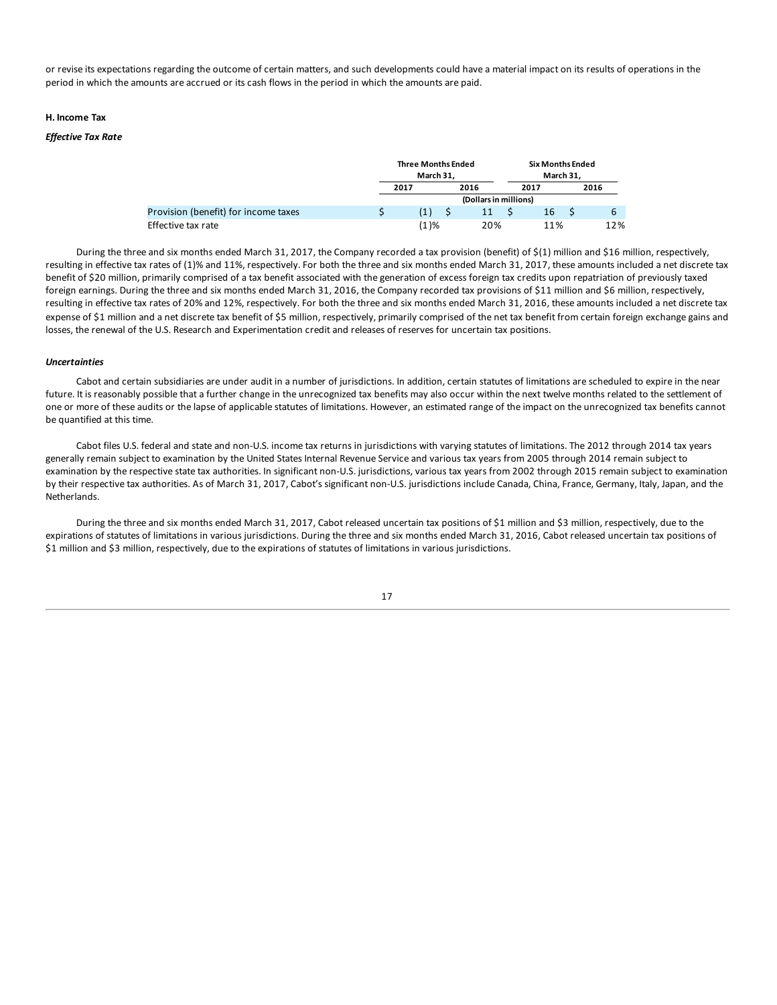or revise its expectations regarding the outcome of certain matters, and such developments could have a material impact on its results of operations in the period in which the amounts are accrued or its cash flows in the period in which the amounts are paid.

#### **H. Income Tax**

#### *Effective Tax Rate*

|                                      |  | <b>Three Months Ended</b><br>March 31, |  |      |  | <b>Six Months Ended</b><br>March 31, |      |     |  |      |
|--------------------------------------|--|----------------------------------------|--|------|--|--------------------------------------|------|-----|--|------|
|                                      |  | 2017                                   |  | 2016 |  |                                      | 2017 |     |  | 2016 |
|                                      |  | (Dollars in millions)                  |  |      |  |                                      |      |     |  |      |
| Provision (benefit) for income taxes |  | (1)                                    |  | 11   |  | 16                                   |      | 6   |  |      |
| Effective tax rate                   |  | (1)%                                   |  | 20%  |  | 11%                                  |      | 12% |  |      |

During the three and six months ended March 31, 2017, the Company recorded a tax provision (benefit) of \$(1) million and \$16 million, respectively, resulting in effective tax rates of (1)% and 11%, respectively. For both the three and six months ended March 31, 2017, these amounts included a net discrete tax benefit of \$20 million, primarily comprised of a tax benefit associated with the generation of excess foreign tax credits upon repatriation of previously taxed foreign earnings. During the three and six months ended March 31, 2016, the Company recorded tax provisions of \$11 million and \$6 million, respectively, resulting in effective tax rates of 20% and 12%, respectively. For both the three and six months ended March 31, 2016, these amounts included a net discrete tax expense of \$1 million and a net discrete tax benefit of \$5 million, respectively, primarily comprised of the net tax benefit from certain foreign exchange gains and losses, the renewal of the U.S. Research and Experimentation credit and releases of reserves for uncertain tax positions.

#### *Uncertainties*

Cabot and certain subsidiaries are under audit in a number of jurisdictions. In addition, certain statutes of limitations are scheduled to expire in the near future. It is reasonably possible that a further change in the unrecognized tax benefits may also occur within the next twelve months related to the settlement of one or more of these audits or the lapse of applicable statutes of limitations. However, an estimated range of the impact on the unrecognized tax benefits cannot be quantified at this time.

Cabot files U.S. federal and state and non-U.S. income tax returns in jurisdictions with varying statutes of limitations. The 2012 through 2014 tax years generally remain subject to examination by the United States Internal Revenue Service and various tax years from 2005 through 2014 remain subject to examination by the respective state tax authorities. In significant non-U.S. jurisdictions, various tax years from 2002 through 2015 remain subject to examination by their respective tax authorities. As of March 31, 2017, Cabot's significant non-U.S. jurisdictions include Canada, China, France, Germany, Italy, Japan, and the Netherlands.

During the three and six months ended March 31, 2017, Cabot released uncertain tax positions of \$1 million and \$3 million, respectively, due to the expirations of statutes of limitations in various jurisdictions. During the three and six months ended March 31, 2016, Cabot released uncertain tax positions of \$1 million and \$3 million, respectively, due to the expirations of statutes of limitations in various jurisdictions.

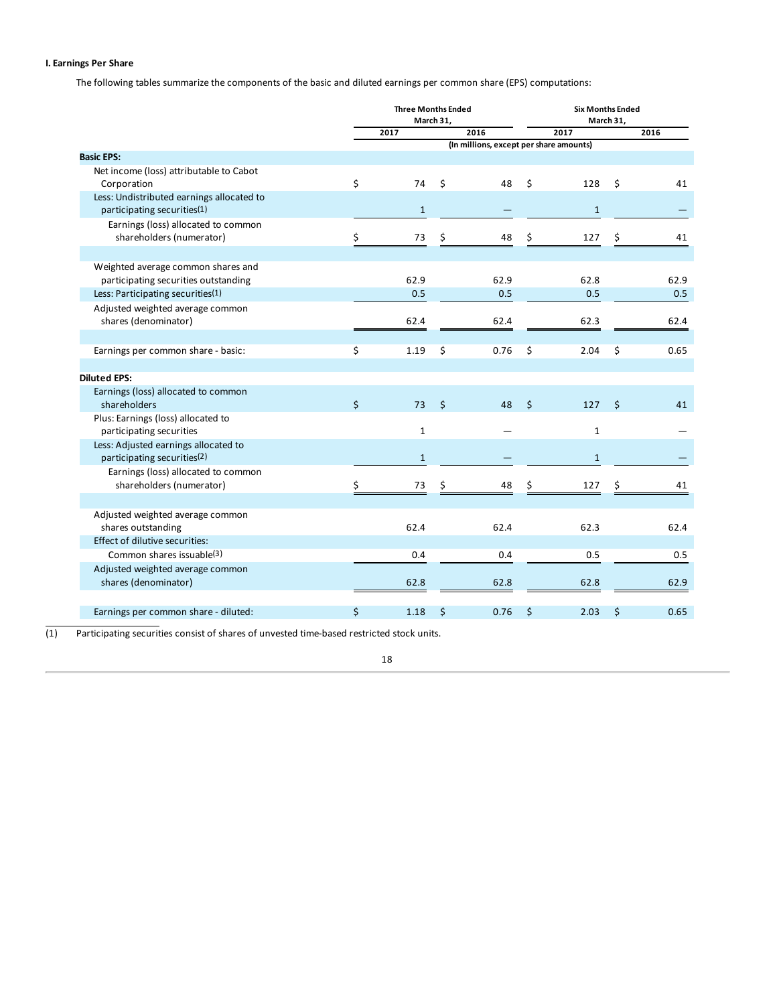## **I. Earnings Per Share**

The following tables summarize the components of the basic and diluted earnings per common share (EPS) computations:

|                                                                            | <b>Three Months Ended</b><br>March 31, |              |                    |                                         |    | <b>Six Months Ended</b><br>March 31, |                    |      |  |  |
|----------------------------------------------------------------------------|----------------------------------------|--------------|--------------------|-----------------------------------------|----|--------------------------------------|--------------------|------|--|--|
|                                                                            |                                        | 2017         |                    | 2016                                    |    | 2017                                 |                    | 2016 |  |  |
| <b>Basic EPS:</b>                                                          |                                        |              |                    | (In millions, except per share amounts) |    |                                      |                    |      |  |  |
| Net income (loss) attributable to Cabot                                    |                                        |              |                    |                                         |    |                                      |                    |      |  |  |
| Corporation                                                                | \$                                     | 74           | \$                 | 48                                      | \$ | 128                                  | \$                 | 41   |  |  |
| Less: Undistributed earnings allocated to<br>participating securities(1)   |                                        | $\mathbf{1}$ |                    |                                         |    | 1                                    |                    |      |  |  |
| Earnings (loss) allocated to common                                        |                                        |              |                    |                                         |    |                                      |                    |      |  |  |
| shareholders (numerator)                                                   | \$                                     | 73           | Ś                  | 48                                      | \$ | 127                                  | \$                 | 41   |  |  |
|                                                                            |                                        |              |                    |                                         |    |                                      |                    |      |  |  |
| Weighted average common shares and<br>participating securities outstanding |                                        | 62.9         |                    | 62.9                                    |    | 62.8                                 |                    | 62.9 |  |  |
| Less: Participating securities(1)                                          |                                        | 0.5          |                    | 0.5                                     |    | 0.5                                  |                    | 0.5  |  |  |
| Adjusted weighted average common                                           |                                        |              |                    |                                         |    |                                      |                    |      |  |  |
| shares (denominator)                                                       |                                        | 62.4         |                    | 62.4                                    |    | 62.3                                 |                    | 62.4 |  |  |
|                                                                            |                                        |              |                    |                                         |    |                                      |                    |      |  |  |
| Earnings per common share - basic:                                         | \$                                     | 1.19         | \$                 | 0.76                                    | \$ | 2.04                                 | \$                 | 0.65 |  |  |
|                                                                            |                                        |              |                    |                                         |    |                                      |                    |      |  |  |
| <b>Diluted EPS:</b>                                                        |                                        |              |                    |                                         |    |                                      |                    |      |  |  |
| Earnings (loss) allocated to common<br>shareholders                        | \$                                     | 73           | $\dot{\mathsf{S}}$ | 48                                      | \$ | 127                                  | $\dot{\mathsf{S}}$ | 41   |  |  |
| Plus: Earnings (loss) allocated to                                         |                                        |              |                    |                                         |    |                                      |                    |      |  |  |
| participating securities                                                   |                                        | 1            |                    |                                         |    | 1                                    |                    |      |  |  |
| Less: Adjusted earnings allocated to                                       |                                        |              |                    |                                         |    |                                      |                    |      |  |  |
| participating securities(2)                                                |                                        | $\mathbf{1}$ |                    |                                         |    | 1                                    |                    |      |  |  |
| Earnings (loss) allocated to common                                        |                                        |              |                    |                                         |    |                                      |                    |      |  |  |
| shareholders (numerator)                                                   | \$                                     | 73           | \$                 | 48                                      | \$ | 127                                  | \$                 | 41   |  |  |
|                                                                            |                                        |              |                    |                                         |    |                                      |                    |      |  |  |
| Adjusted weighted average common<br>shares outstanding                     |                                        | 62.4         |                    | 62.4                                    |    | 62.3                                 |                    | 62.4 |  |  |
| Effect of dilutive securities:                                             |                                        |              |                    |                                         |    |                                      |                    |      |  |  |
| Common shares issuable(3)                                                  |                                        | 0.4          |                    | 0.4                                     |    | 0.5                                  |                    | 0.5  |  |  |
| Adjusted weighted average common                                           |                                        |              |                    |                                         |    |                                      |                    |      |  |  |
| shares (denominator)                                                       |                                        | 62.8         |                    | 62.8                                    |    | 62.8                                 |                    | 62.9 |  |  |
|                                                                            |                                        |              |                    |                                         |    |                                      |                    |      |  |  |
| Earnings per common share - diluted:                                       | \$                                     | 1.18         | \$                 | 0.76                                    | \$ | 2.03                                 | \$                 | 0.65 |  |  |

(1) Participating securities consist of shares of unvested time-based restricted stock units.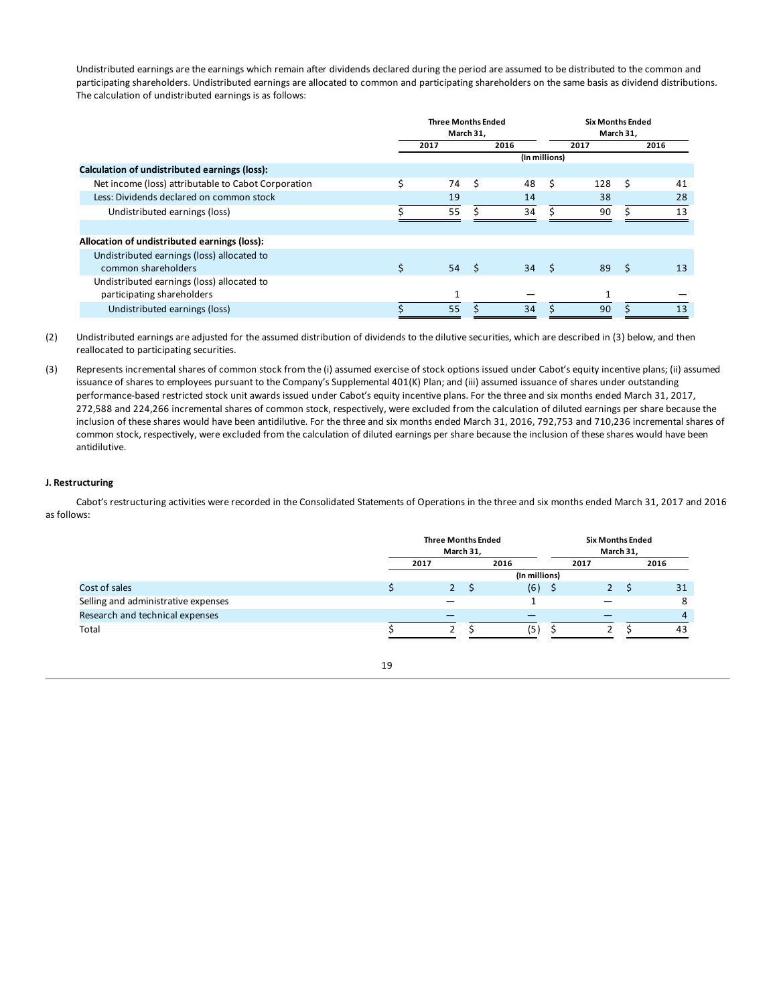Undistributed earnings are the earnings which remain after dividends declared during the period are assumed to be distributed to the common and participating shareholders. Undistributed earnings are allocated to common and participating shareholders on the same basis as dividend distributions. The calculation of undistributed earnings is as follows:

|                                                     | <b>Three Months Ended</b><br>March 31, |      |     |      |               | <b>Six Months Ended</b><br>March 31, |     |      |  |
|-----------------------------------------------------|----------------------------------------|------|-----|------|---------------|--------------------------------------|-----|------|--|
|                                                     |                                        | 2017 |     | 2016 |               | 2017                                 |     | 2016 |  |
|                                                     |                                        |      |     |      | (In millions) |                                      |     |      |  |
| Calculation of undistributed earnings (loss):       |                                        |      |     |      |               |                                      |     |      |  |
| Net income (loss) attributable to Cabot Corporation | Ś                                      | 74   | .S  | 48   | Ŝ             | 128                                  | Ś   | 41   |  |
| Less: Dividends declared on common stock            |                                        | 19   |     | 14   |               | 38                                   |     | 28   |  |
| Undistributed earnings (loss)                       |                                        | 55   |     | 34   |               | 90                                   |     | 13   |  |
|                                                     |                                        |      |     |      |               |                                      |     |      |  |
| Allocation of undistributed earnings (loss):        |                                        |      |     |      |               |                                      |     |      |  |
| Undistributed earnings (loss) allocated to          |                                        |      |     |      |               |                                      |     |      |  |
| common shareholders                                 | Ś                                      | 54   | - S | 34   | - S           | 89                                   | - S | 13   |  |
| Undistributed earnings (loss) allocated to          |                                        |      |     |      |               |                                      |     |      |  |
| participating shareholders                          |                                        | 1    |     |      |               | 1                                    |     |      |  |
| Undistributed earnings (loss)                       |                                        | 55   |     | 34   |               | 90                                   |     | 13   |  |

(2) Undistributed earnings are adjusted for the assumed distribution of dividends to the dilutive securities, which are described in (3) below, and then reallocated to participating securities.

(3) Represents incremental shares of common stock from the (i) assumed exercise of stock options issued under Cabot's equity incentive plans; (ii) assumed issuance of shares to employees pursuant to the Company's Supplemental 401(K) Plan; and (iii) assumed issuance of shares under outstanding performance-based restricted stock unit awards issued under Cabot's equity incentive plans. For the three and six months ended March 31, 2017, 272,588 and 224,266 incremental shares of common stock, respectively, were excluded from the calculation of diluted earnings per share because the inclusion of these shares would have been antidilutive. For the three and six months ended March 31, 2016, 792,753 and 710,236 incremental shares of common stock, respectively, were excluded from the calculation of diluted earnings per share because the inclusion of these shares would have been antidilutive.

## **J. Restructuring**

Cabot's restructuring activities were recorded in the Consolidated Statements of Operations in the three and six months ended March 31, 2017 and 2016 as follows:

|                                     | <b>Three Months Ended</b><br>March 31, |                |  |               | <b>Six Months Ended</b><br>March 31, |  |  |                |  |      |
|-------------------------------------|----------------------------------------|----------------|--|---------------|--------------------------------------|--|--|----------------|--|------|
|                                     |                                        | 2017<br>2016   |  |               | 2017                                 |  |  |                |  | 2016 |
|                                     |                                        |                |  | (In millions) |                                      |  |  |                |  |      |
| Cost of sales                       |                                        | $\overline{2}$ |  | $(6)$ \$      |                                      |  |  | 31             |  |      |
| Selling and administrative expenses |                                        |                |  |               |                                      |  |  | 8              |  |      |
| Research and technical expenses     |                                        |                |  |               |                                      |  |  | $\overline{a}$ |  |      |
| Total                               |                                        |                |  | (5)           |                                      |  |  | 43             |  |      |

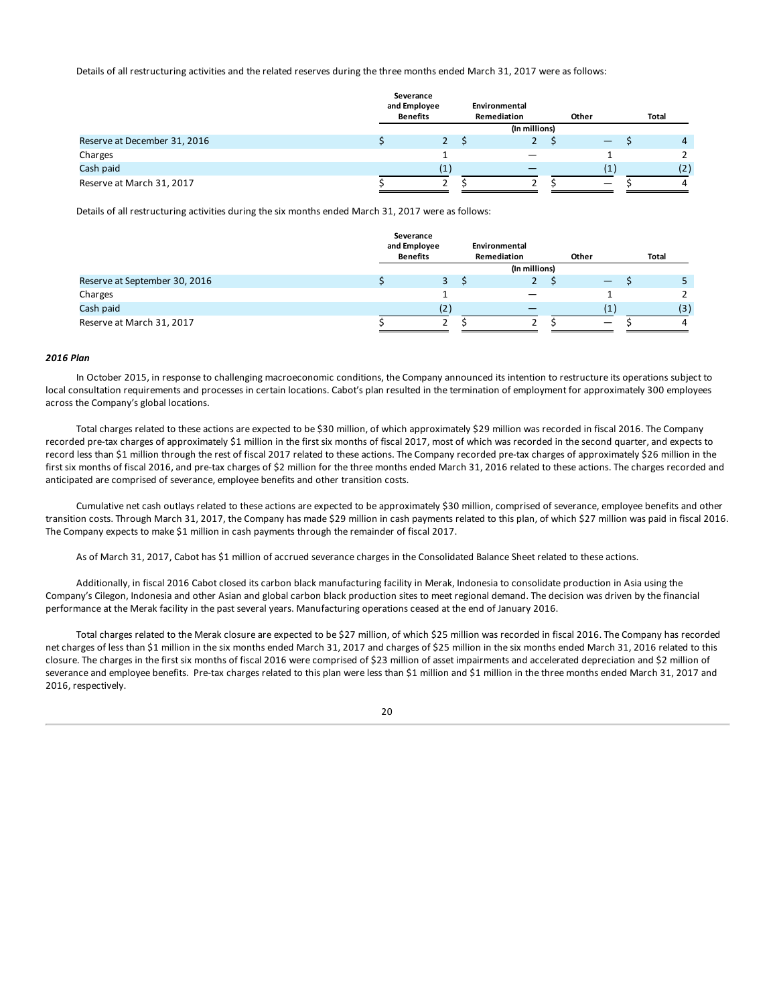Details of all restructuring activities and the related reserves during the three months ended March 31, 2017 were as follows:

|                              | Severance<br>and Employee<br><b>Benefits</b> |     | Environmental<br>Remediation | Other |                          | <b>Total</b>   |
|------------------------------|----------------------------------------------|-----|------------------------------|-------|--------------------------|----------------|
|                              |                                              |     | (In millions)                |       |                          |                |
| Reserve at December 31, 2016 |                                              |     | L                            |       | -                        | $\overline{a}$ |
| Charges                      |                                              |     |                              |       |                          |                |
| Cash paid                    |                                              | (1) |                              |       | (1                       | (2)            |
| Reserve at March 31, 2017    |                                              |     |                              |       | $\overline{\phantom{0}}$ | 4              |

Details of all restructuring activities during the six months ended March 31, 2017 were as follows:

|                               | Severance<br>and Employee<br><b>Benefits</b> | Environmental<br>Remediation | Other | Total |
|-------------------------------|----------------------------------------------|------------------------------|-------|-------|
|                               |                                              | (In millions)                |       |       |
| Reserve at September 30, 2016 | 3                                            | $\overline{ }$               | -     |       |
| Charges                       |                                              |                              |       |       |
| Cash paid                     | (2)                                          |                              | (1)   | (3)   |
| Reserve at March 31, 2017     |                                              |                              | -     | 4     |

#### *2016 Plan*

In October 2015, in response to challenging macroeconomic conditions, the Company announced its intention to restructure its operations subject to local consultation requirements and processes in certain locations. Cabot's plan resulted in the termination of employment for approximately 300 employees across the Company's global locations.

Total charges related to these actions are expected to be \$30 million, of which approximately \$29 million was recorded in fiscal 2016. The Company recorded pre-tax charges of approximately \$1 million in the first six months of fiscal 2017, most of which was recorded in the second quarter, and expects to record less than \$1 million through the rest of fiscal 2017 related to these actions. The Company recorded pre-tax charges of approximately \$26 million in the first six months of fiscal 2016, and pre-tax charges of \$2 million for the three months ended March 31, 2016 related to these actions. The charges recorded and anticipated are comprised of severance, employee benefits and other transition costs.

Cumulative net cash outlays related to these actions are expected to be approximately \$30 million, comprised of severance, employee benefits and other transition costs. Through March 31, 2017, the Company has made \$29 million in cash payments related to this plan, of which \$27 million was paid in fiscal 2016. The Company expects to make \$1 million in cash payments through the remainder of fiscal 2017.

As of March 31, 2017, Cabot has \$1 million of accrued severance charges in the Consolidated Balance Sheet related to these actions.

Additionally, in fiscal 2016 Cabot closed its carbon black manufacturing facility in Merak, Indonesia to consolidate production in Asia using the Company's Cilegon, Indonesia and other Asian and global carbon black production sites to meet regional demand. The decision was driven by the financial performance at the Merak facility in the past several years. Manufacturing operations ceased at the end of January 2016.

Total charges related to the Merak closure are expected to be \$27 million, of which \$25 million was recorded in fiscal 2016. The Company has recorded net charges of less than \$1 million in the six months ended March 31, 2017 and charges of \$25 million in the six months ended March 31, 2016 related to this closure. The charges in the first six months of fiscal 2016 were comprised of \$23 million of asset impairments and accelerated depreciation and \$2 million of severance and employee benefits. Pre-tax charges related to this plan were less than \$1 million and \$1 million in the three months ended March 31, 2017 and 2016, respectively.

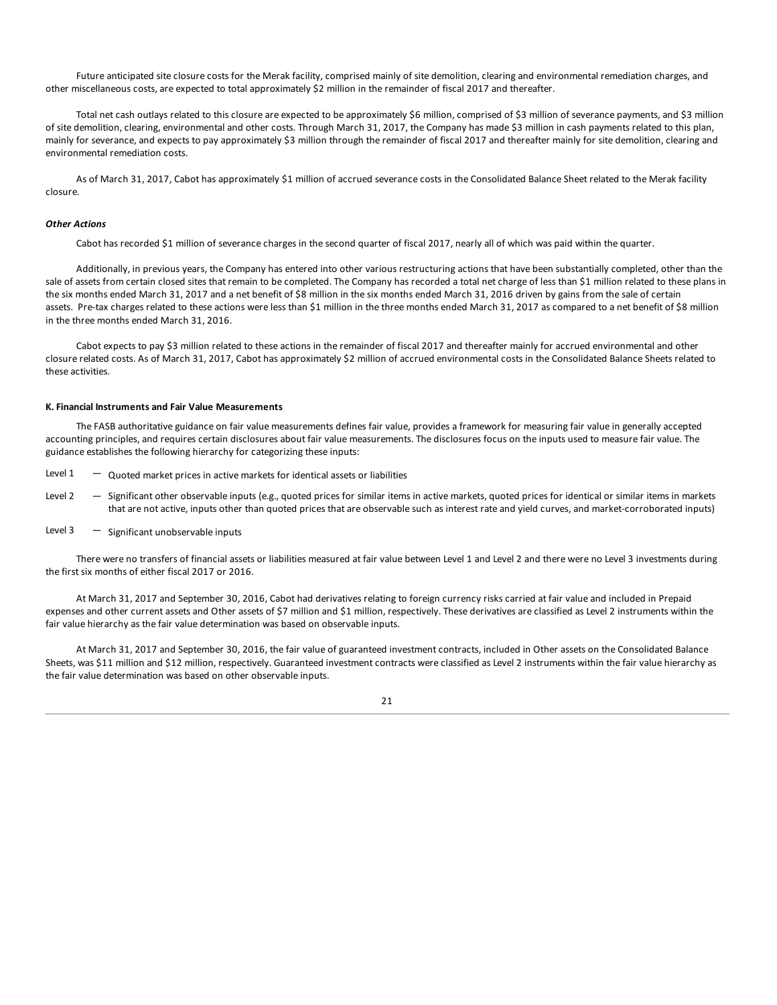Future anticipated site closure costs for the Merak facility, comprised mainly of site demolition, clearing and environmental remediation charges, and other miscellaneous costs, are expected to total approximately \$2 million in the remainder of fiscal 2017 and thereafter.

Total net cash outlays related to this closure are expected to be approximately \$6 million, comprised of \$3 million of severance payments, and \$3 million of site demolition, clearing, environmental and other costs. Through March 31, 2017, the Company has made \$3 million in cash payments related to this plan, mainly for severance, and expects to pay approximately \$3 million through the remainder of fiscal 2017 and thereafter mainly for site demolition, clearing and environmental remediation costs.

As of March 31, 2017, Cabot has approximately \$1 million of accrued severance costs in the Consolidated Balance Sheet related to the Merak facility closure.

#### *Other Actions*

Cabot has recorded \$1 million of severance charges in the second quarter of fiscal 2017, nearly all of which was paid within the quarter.

Additionally, in previous years, the Company has entered into other various restructuring actions that have been substantially completed, other than the sale of assets from certain closed sites that remain to be completed. The Company has recorded a total net charge of less than \$1 million related to these plans in the six months ended March 31, 2017 and a net benefit of \$8 million in the six months ended March 31, 2016 driven by gains from the sale of certain assets. Pre-tax charges related to these actions were less than \$1 million in the three months ended March 31, 2017 as compared to a net benefit of \$8 million in the three months ended March 31, 2016.

Cabot expects to pay \$3 million related to these actions in the remainder of fiscal 2017 and thereafter mainly for accrued environmental and other closure related costs. As of March 31, 2017, Cabot has approximately \$2 million of accrued environmental costs in the Consolidated Balance Sheets related to these activities.

#### **K. Financial Instruments and Fair Value Measurements**

The FASB authoritative guidance on fair value measurements defines fair value, provides a framework for measuring fair value in generally accepted accounting principles, and requires certain disclosures about fair value measurements. The disclosures focus on the inputs used to measure fair value. The guidance establishes the following hierarchy for categorizing these inputs:

- Level  $1 -$  Quoted market prices in active markets for identical assets or liabilities
- Level 2 Significant other observable inputs (e.g., quoted prices for similar items in active markets, quoted prices for identical or similar items in markets that are not active, inputs other than quoted prices that are observable such as interest rate and yield curves, and market-corroborated inputs)
- Level  $3 -$  Significant unobservable inputs

There were no transfers of financial assets or liabilities measured at fair value between Level 1 and Level 2 and there were no Level 3 investments during the first six months of either fiscal 2017 or 2016.

At March 31, 2017 and September 30, 2016, Cabot had derivatives relating to foreign currency risks carried at fair value and included in Prepaid expenses and other current assets and Other assets of \$7 million and \$1 million, respectively. These derivatives are classified as Level 2 instruments within the fair value hierarchy as the fair value determination was based on observable inputs.

At March 31, 2017 and September 30, 2016, the fair value of guaranteed investment contracts, included in Other assets on the Consolidated Balance Sheets, was \$11 million and \$12 million, respectively. Guaranteed investment contracts were classified as Level 2 instruments within the fair value hierarchy as the fair value determination was based on other observable inputs.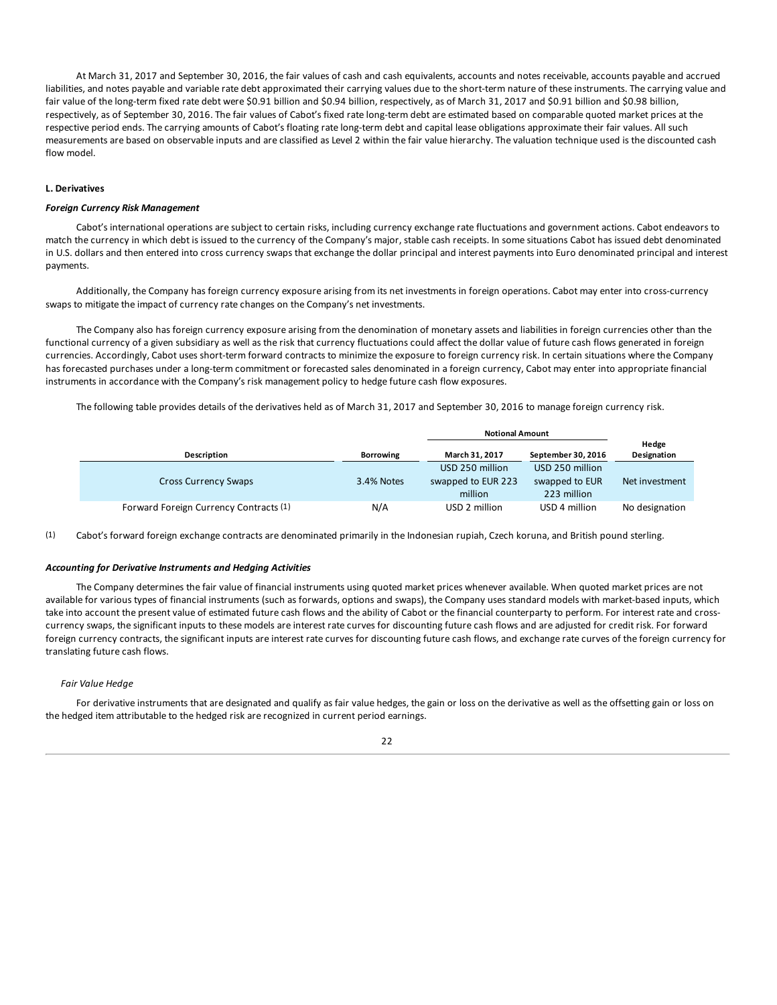At March 31, 2017 and September 30, 2016, the fair values of cash and cash equivalents, accounts and notes receivable, accounts payable and accrued liabilities, and notes payable and variable rate debt approximated their carrying values due to the short-term nature of these instruments. The carrying value and fair value of the long-term fixed rate debt were \$0.91 billion and \$0.94 billion, respectively, as of March 31, 2017 and \$0.91 billion and \$0.98 billion, respectively, as of September 30, 2016. The fair values of Cabot's fixed rate long-term debt are estimated based on comparable quoted market prices at the respective period ends. The carrying amounts of Cabot's floating rate long-term debt and capital lease obligations approximate their fair values. All such measurements are based on observable inputs and are classified as Level 2 within the fair value hierarchy. The valuation technique used is the discounted cash flow model.

#### **L. Derivatives**

#### *Foreign Currency Risk Management*

Cabot's international operations are subject to certain risks, including currency exchange rate fluctuations and government actions. Cabot endeavors to match the currency in which debt is issued to the currency of the Company's major, stable cash receipts. In some situations Cabot has issued debt denominated in U.S. dollars and then entered into cross currency swaps that exchange the dollar principal and interest payments into Euro denominated principal and interest payments.

Additionally, the Company has foreign currency exposure arising from its net investments in foreign operations. Cabot may enter into cross-currency swaps to mitigate the impact of currency rate changes on the Company's net investments.

The Company also has foreign currency exposure arising from the denomination of monetary assets and liabilities in foreign currencies other than the functional currency of a given subsidiary as well as the risk that currency fluctuations could affect the dollar value of future cash flows generated in foreign currencies. Accordingly, Cabot uses short-term forward contracts to minimize the exposure to foreign currency risk. In certain situations where the Company has forecasted purchases under a long-term commitment or forecasted sales denominated in a foreign currency, Cabot may enter into appropriate financial instruments in accordance with the Company's risk management policy to hedge future cash flow exposures.

The following table provides details of the derivatives held as of March 31, 2017 and September 30, 2016 to manage foreign currency risk.

|                                        |                  |                                                  | <b>Notional Amount</b>                           |                      |  |  |  |  |
|----------------------------------------|------------------|--------------------------------------------------|--------------------------------------------------|----------------------|--|--|--|--|
| <b>Description</b>                     | <b>Borrowing</b> | March 31, 2017                                   | September 30, 2016                               | Hedge<br>Designation |  |  |  |  |
| <b>Cross Currency Swaps</b>            | 3.4% Notes       | USD 250 million<br>swapped to EUR 223<br>million | USD 250 million<br>swapped to EUR<br>223 million | Net investment       |  |  |  |  |
| Forward Foreign Currency Contracts (1) | N/A              | USD 2 million                                    | USD 4 million                                    | No designation       |  |  |  |  |

(1) Cabot's forward foreign exchange contracts are denominated primarily in the Indonesian rupiah, Czech koruna, and British pound sterling.

#### *Accounting for Derivative Instruments and Hedging Activities*

The Company determines the fair value of financial instruments using quoted market prices whenever available. When quoted market prices are not available for various types of financial instruments (such as forwards, options and swaps), the Company uses standard models with market-based inputs, which take into account the present value of estimated future cash flows and the ability of Cabot or the financial counterparty to perform. For interest rate and crosscurrency swaps, the significant inputs to these models are interest rate curves for discounting future cash flows and are adjusted for credit risk. For forward foreign currency contracts, the significant inputs are interest rate curves for discounting future cash flows, and exchange rate curves of the foreign currency for translating future cash flows.

#### *Fair Value Hedge*

For derivative instruments that are designated and qualify as fair value hedges, the gain or loss on the derivative as well as the offsetting gain or loss on the hedged item attributable to the hedged risk are recognized in current period earnings.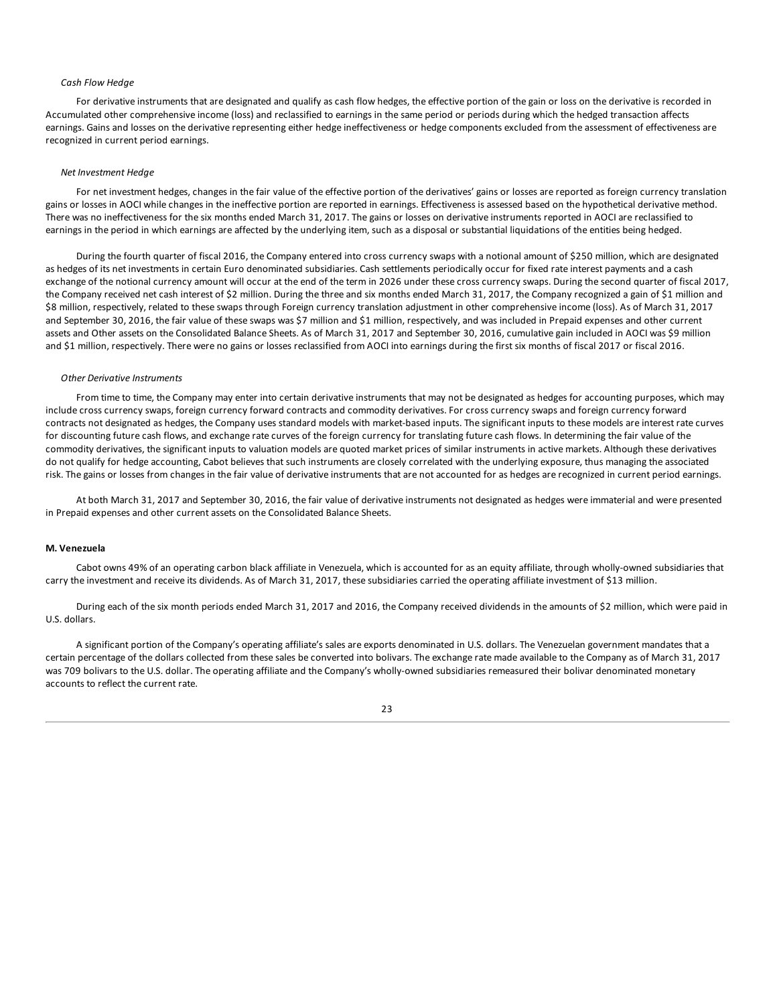#### *Cash Flow Hedge*

For derivative instruments that are designated and qualify as cash flow hedges, the effective portion of the gain or loss on the derivative is recorded in Accumulated other comprehensive income (loss) and reclassified to earnings in the same period or periods during which the hedged transaction affects earnings. Gains and losses on the derivative representing either hedge ineffectiveness or hedge components excluded from the assessment of effectiveness are recognized in current period earnings.

#### *Net Investment Hedge*

For net investment hedges, changes in the fair value of the effective portion of the derivatives' gains or losses are reported as foreign currency translation gains or losses in AOCI while changes in the ineffective portion are reported in earnings. Effectiveness is assessed based on the hypothetical derivative method. There was no ineffectiveness for the six months ended March 31, 2017. The gains or losses on derivative instruments reported in AOCI are reclassified to earnings in the period in which earnings are affected by the underlying item, such as a disposal or substantial liquidations of the entities being hedged.

During the fourth quarter of fiscal 2016, the Company entered into cross currency swaps with a notional amount of \$250 million, which are designated as hedges of its net investments in certain Euro denominated subsidiaries. Cash settlements periodically occur for fixed rate interest payments and a cash exchange of the notional currency amount will occur at the end of the term in 2026 under these cross currency swaps. During the second quarter of fiscal 2017, the Company received net cash interest of \$2 million. During the three and six months ended March 31, 2017, the Company recognized a gain of \$1 million and \$8 million, respectively, related to these swaps through Foreign currency translation adjustment in other comprehensive income (loss). As of March 31, 2017 and September 30, 2016, the fair value of these swaps was \$7 million and \$1 million, respectively, and was included in Prepaid expenses and other current assets and Other assets on the Consolidated Balance Sheets. As of March 31, 2017 and September 30, 2016, cumulative gain included in AOCI was \$9 million and \$1 million, respectively. There were no gains or losses reclassified from AOCI into earnings during the first six months of fiscal 2017 or fiscal 2016.

#### *Other Derivative Instruments*

From time to time, the Company may enter into certain derivative instruments that may not be designated as hedges for accounting purposes, which may include cross currency swaps, foreign currency forward contracts and commodity derivatives. For cross currency swaps and foreign currency forward contracts not designated as hedges, the Company uses standard models with market-based inputs. The significant inputs to these models are interest rate curves for discounting future cash flows, and exchange rate curves of the foreign currency for translating future cash flows. In determining the fair value of the commodity derivatives, the significant inputs to valuation models are quoted market prices of similar instruments in active markets. Although these derivatives do not qualify for hedge accounting, Cabot believes that such instruments are closely correlated with the underlying exposure, thus managing the associated risk. The gains or losses from changes in the fair value of derivative instruments that are not accounted for as hedges are recognized in current period earnings.

At both March 31, 2017 and September 30, 2016, the fair value of derivative instruments not designated as hedges were immaterial and were presented in Prepaid expenses and other current assets on the Consolidated Balance Sheets.

#### **M. Venezuela**

Cabot owns 49% of an operating carbon black affiliate in Venezuela, which is accounted for as an equity affiliate, through wholly-owned subsidiaries that carry the investment and receive its dividends. As of March 31, 2017, these subsidiaries carried the operating affiliate investment of \$13 million.

During each of the six month periods ended March 31, 2017 and 2016, the Company received dividends in the amounts of \$2 million, which were paid in U.S. dollars.

A significant portion of the Company's operating affiliate's sales are exports denominated in U.S. dollars. The Venezuelan government mandates that a certain percentage of the dollars collected from these sales be converted into bolivars. The exchange rate made available to the Company as of March 31, 2017 was 709 bolivars to the U.S. dollar. The operating affiliate and the Company's wholly-owned subsidiaries remeasured their bolivar denominated monetary accounts to reflect the current rate.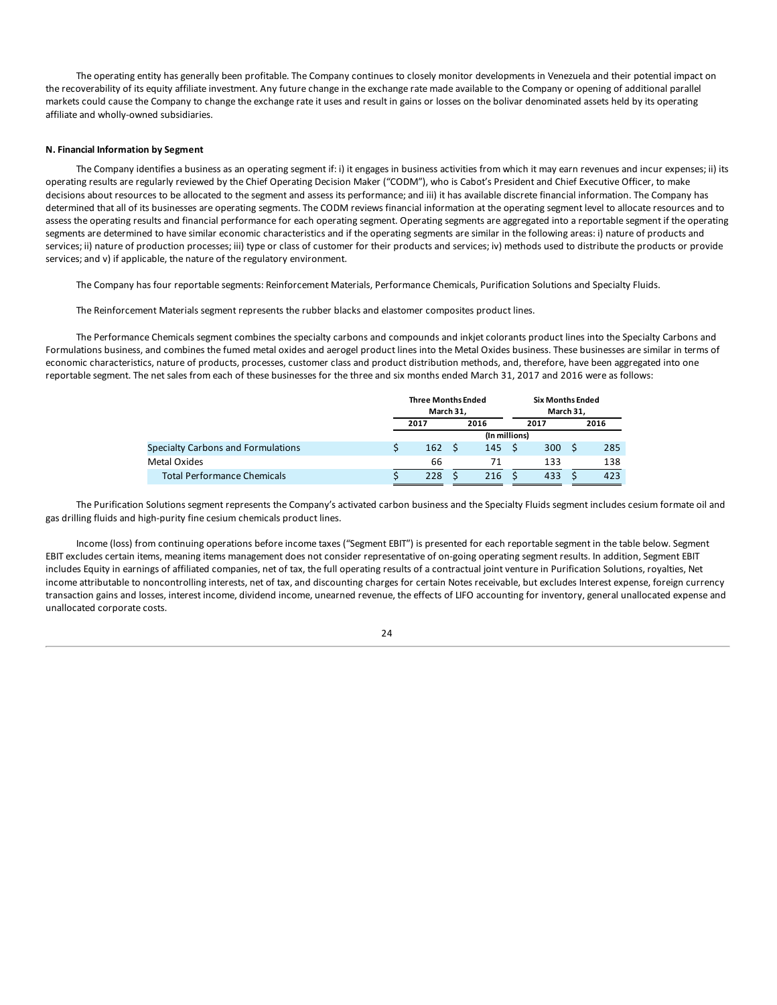The operating entity has generally been profitable. The Company continues to closely monitor developments in Venezuela and their potential impact on the recoverability of its equity affiliate investment. Any future change in the exchange rate made available to the Company or opening of additional parallel markets could cause the Company to change the exchange rate it uses and result in gains or losses on the bolivar denominated assets held by its operating affiliate and wholly-owned subsidiaries.

#### **N. Financial Information by Segment**

The Company identifies a business as an operating segment if: i) it engages in business activities from which it may earn revenues and incur expenses; ii) its operating results are regularly reviewed by the Chief Operating Decision Maker ("CODM"), who is Cabot's President and Chief Executive Officer, to make decisions about resources to be allocated to the segment and assess its performance; and iii) it has available discrete financial information. The Company has determined that all of its businesses are operating segments. The CODM reviews financial information at the operating segment level to allocate resources and to assess the operating results and financial performance for each operating segment. Operating segments are aggregated into a reportable segment if the operating segments are determined to have similar economic characteristics and if the operating segments are similar in the following areas: i) nature of products and services; ii) nature of production processes; iii) type or class of customer for their products and services; iv) methods used to distribute the products or provide services; and v) if applicable, the nature of the regulatory environment.

The Company has four reportable segments: Reinforcement Materials, Performance Chemicals, Purification Solutions and Specialty Fluids.

The Reinforcement Materials segment represents the rubber blacks and elastomer composites product lines.

The Performance Chemicals segment combines the specialty carbons and compounds and inkjet colorants product lines into the Specialty Carbons and Formulations business, and combines the fumed metal oxides and aerogel product lines into the Metal Oxides business. These businesses are similar in terms of economic characteristics, nature of products, processes, customer class and product distribution methods, and, therefore, have been aggregated into one reportable segment. The net sales from each of these businesses for the three and six months ended March 31, 2017 and 2016 were as follows:

|                                    | <b>Three Months Ended</b><br>March 31. |      |  |               |  | <b>Six Months Ended</b><br>March 31. |      |
|------------------------------------|----------------------------------------|------|--|---------------|--|--------------------------------------|------|
|                                    |                                        | 2017 |  | 2016          |  | 2017                                 | 2016 |
|                                    |                                        |      |  | (In millions) |  |                                      |      |
| Specialty Carbons and Formulations |                                        | 162  |  | 145           |  | 300                                  | 285  |
| Metal Oxides                       |                                        | 66   |  | 71            |  | 133                                  | 138  |
| <b>Total Performance Chemicals</b> |                                        | 228  |  | 216           |  | 433                                  | 423  |

The Purification Solutions segment represents the Company's activated carbon business and the Specialty Fluids segment includes cesium formate oil and gas drilling fluids and high-purity fine cesium chemicals product lines.

Income (loss) from continuing operations before income taxes ("Segment EBIT") is presented for each reportable segment in the table below. Segment EBIT excludes certain items, meaning items management does not consider representative of on-going operating segment results. In addition, Segment EBIT includes Equity in earnings of affiliated companies, net of tax, the full operating results of a contractual joint venture in Purification Solutions, royalties, Net income attributable to noncontrolling interests, net of tax, and discounting charges for certain Notes receivable, but excludes Interest expense, foreign currency transaction gains and losses, interest income, dividend income, unearned revenue, the effects of LIFO accounting for inventory, general unallocated expense and unallocated corporate costs.

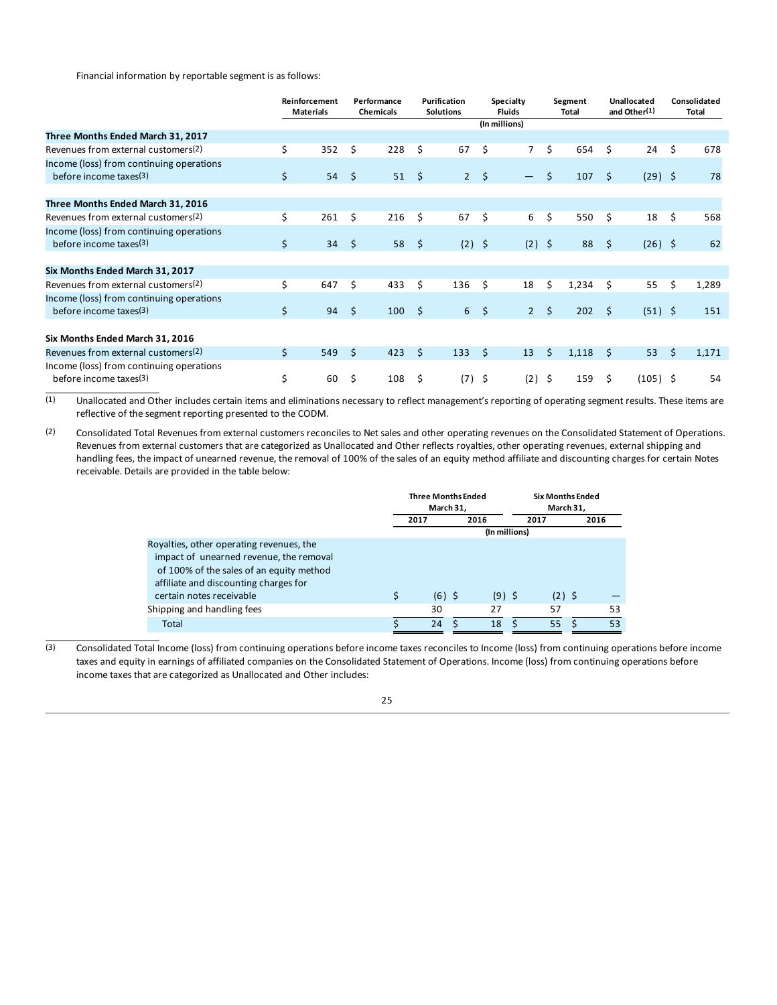## Financial information by reportable segment is as follows:

|                                                                                |               | Reinforcement<br><b>Materials</b> |      | Performance<br><b>Chemicals</b> |      | Purification<br><b>Solutions</b> |      | Specialty<br><b>Fluids</b> | Segment<br>Total |      | Unallocated<br>and Other(1) |              | Consolidated<br><b>Total</b> |
|--------------------------------------------------------------------------------|---------------|-----------------------------------|------|---------------------------------|------|----------------------------------|------|----------------------------|------------------|------|-----------------------------|--------------|------------------------------|
|                                                                                |               |                                   |      |                                 |      |                                  |      | (In millions)              |                  |      |                             |              |                              |
| Three Months Ended March 31, 2017                                              |               |                                   |      |                                 |      |                                  |      |                            |                  |      |                             |              |                              |
| Revenues from external customers(2)                                            | \$            | 352                               | Ŝ.   | 228                             | \$   | 67                               | \$   | $\overline{7}$             | \$<br>654        | Ŝ.   | 24                          | \$           | 678                          |
| Income (loss) from continuing operations                                       |               |                                   |      |                                 |      |                                  |      |                            |                  |      |                             |              |                              |
| before income taxes(3)                                                         | \$            | 54                                | - \$ | 51                              | -\$  | $2 \quad$                        |      |                            | \$<br>107        | - \$ | $(29)$ \$                   |              | 78                           |
| Three Months Ended March 31, 2016                                              |               |                                   |      |                                 |      |                                  |      |                            |                  |      |                             |              |                              |
| Revenues from external customers(2)                                            | \$            | 261                               | Ś.   | 216                             | \$   | 67                               | \$   | 6                          | \$<br>550        | Ŝ.   | 18                          | Ŝ.           | 568                          |
| Income (loss) from continuing operations<br>before income taxes $(3)$          | \$            | 34                                | -\$  | 58                              | \$   | $(2)$ \$                         |      | $(2)$ \$                   | 88               | -\$  | $(26)$ \$                   |              | 62                           |
|                                                                                |               |                                   |      |                                 |      |                                  |      |                            |                  |      |                             |              |                              |
| Six Months Ended March 31, 2017                                                |               |                                   |      |                                 |      |                                  |      |                            |                  |      |                             |              |                              |
| Revenues from external customers(2)                                            | \$            | 647                               | Ŝ.   | 433                             | Ś    | 136                              | \$   | 18                         | \$<br>1,234      | \$   | 55                          | \$           | 1,289                        |
| Income (loss) from continuing operations<br>before income taxes $(3)$          | \$            | 94                                | - \$ | 100                             | - \$ | $6\frac{2}{3}$                   |      | $\overline{2}$             | \$<br>202        | - \$ | $(51)$ \$                   |              | 151                          |
| Six Months Ended March 31, 2016                                                |               |                                   |      |                                 |      |                                  |      |                            |                  |      |                             |              |                              |
| Revenues from external customers <sup>(2)</sup>                                | $\frac{1}{2}$ | 549                               | Ŝ.   | 423                             | Š.   | 133                              | - \$ | 13                         | \$<br>1,118      | Ŝ.   | 53                          | $\mathsf{S}$ | 1,171                        |
| Income (loss) from continuing operations<br>before income taxes <sup>(3)</sup> | \$            | 60                                | S    | 108                             | \$   | $(7)$ \$                         |      | $(2)$ \$                   | 159              | S    | $(105)$ \$                  |              | 54                           |

 $(1)$  Unallocated and Other includes certain items and eliminations necessary to reflect management's reporting of operating segment results. These items are reflective of the segment reporting presented to the CODM.

(2) Consolidated Total Revenues from external customers reconciles to Net sales and other operating revenues on the Consolidated Statement of Operations. Revenues from external customers that are categorized as Unallocated and Other reflects royalties, other operating revenues, external shipping and handling fees, the impact of unearned revenue, the removal of 100% of the sales of an equity method affiliate and discounting charges for certain Notes receivable. Details are provided in the table below:

|                                          | <b>Three Months Ended</b><br>March 31, |          |               | <b>Six Months Ended</b><br>March 31, |          |      |
|------------------------------------------|----------------------------------------|----------|---------------|--------------------------------------|----------|------|
|                                          |                                        | 2017     | 2016          | 2017                                 |          | 2016 |
|                                          |                                        |          | (In millions) |                                      |          |      |
| Royalties, other operating revenues, the |                                        |          |               |                                      |          |      |
| impact of unearned revenue, the removal  |                                        |          |               |                                      |          |      |
| of 100% of the sales of an equity method |                                        |          |               |                                      |          |      |
| affiliate and discounting charges for    |                                        |          |               |                                      |          |      |
| certain notes receivable                 |                                        | $(6)$ \$ | $(9)$ \$      |                                      | $(2)$ \$ |      |
| Shipping and handling fees               |                                        | 30       | 27            | 57                                   |          | 53   |
| Total                                    |                                        | 24       | 18            | 55                                   |          | 53   |

(3) Consolidated Total Income (loss) from continuing operations before income taxes reconciles to Income (loss) from continuing operations before income taxes and equity in earnings of affiliated companies on the Consolidated Statement of Operations. Income (loss) from continuing operations before income taxes that are categorized as Unallocated and Other includes: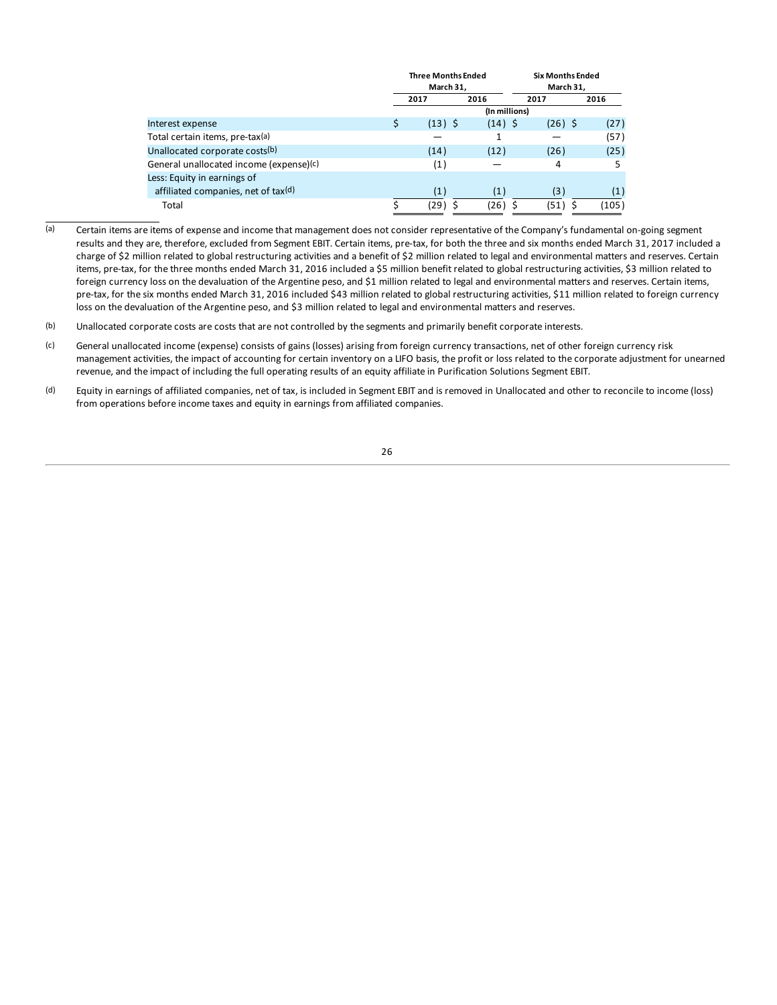|                                         | <b>Three Months Ended</b><br>March 31, |                                        |           | <b>Six Months Ended</b><br>March 31, |
|-----------------------------------------|----------------------------------------|----------------------------------------|-----------|--------------------------------------|
|                                         | 2017                                   | 2016                                   | 2017      | 2016                                 |
|                                         |                                        | (In millions)                          |           |                                      |
| Interest expense                        | \$<br>$(13)$ \$                        | $(14)$ \$                              | $(26)$ \$ | (27)                                 |
| Total certain items, pre-tax(a)         |                                        |                                        |           | (57)                                 |
| Unallocated corporate costs(b)          | (14)                                   | (12)                                   | (26)      | (25)                                 |
| General unallocated income (expense)(c) | (1)                                    |                                        | 4         | 5                                    |
| Less: Equity in earnings of             |                                        |                                        |           |                                      |
| affiliated companies, net of tax(d)     | (1)                                    | $\mathbf{\mathbf{\mathbf{\mathbf{1}}}$ | (3)       | (1)                                  |
| Total                                   | (29)                                   | (26)                                   | (51)      | (105)                                |

- $\overline{a}$  Certain items are items of expense and income that management does not consider representative of the Company's fundamental on-going segment results and they are, therefore, excluded from Segment EBIT. Certain items, pre-tax, for both the three and six months ended March 31, 2017 included a charge of \$2 million related to global restructuring activities and a benefit of \$2 million related to legal and environmental matters and reserves. Certain items, pre-tax, for the three months ended March 31, 2016 included a \$5 million benefit related to global restructuring activities, \$3 million related to foreign currency loss on the devaluation of the Argentine peso, and \$1 million related to legal and environmental matters and reserves. Certain items, pre-tax, for the six months ended March 31, 2016 included \$43 million related to global restructuring activities, \$11 million related to foreign currency loss on the devaluation of the Argentine peso, and \$3 million related to legal and environmental matters and reserves.
- (b) Unallocated corporate costs are costs that are not controlled by the segments and primarily benefit corporate interests.
- (c) General unallocated income (expense) consists of gains (losses) arising from foreign currency transactions, net of other foreign currency risk management activities, the impact of accounting for certain inventory on a LIFO basis, the profit or loss related to the corporate adjustment for unearned revenue, and the impact of including the full operating results of an equity affiliate in Purification Solutions Segment EBIT.
- (d) Equity in earnings of affiliated companies, net of tax, is included in Segment EBIT and is removed in Unallocated and other to reconcile to income (loss) from operations before income taxes and equity in earnings from affiliated companies.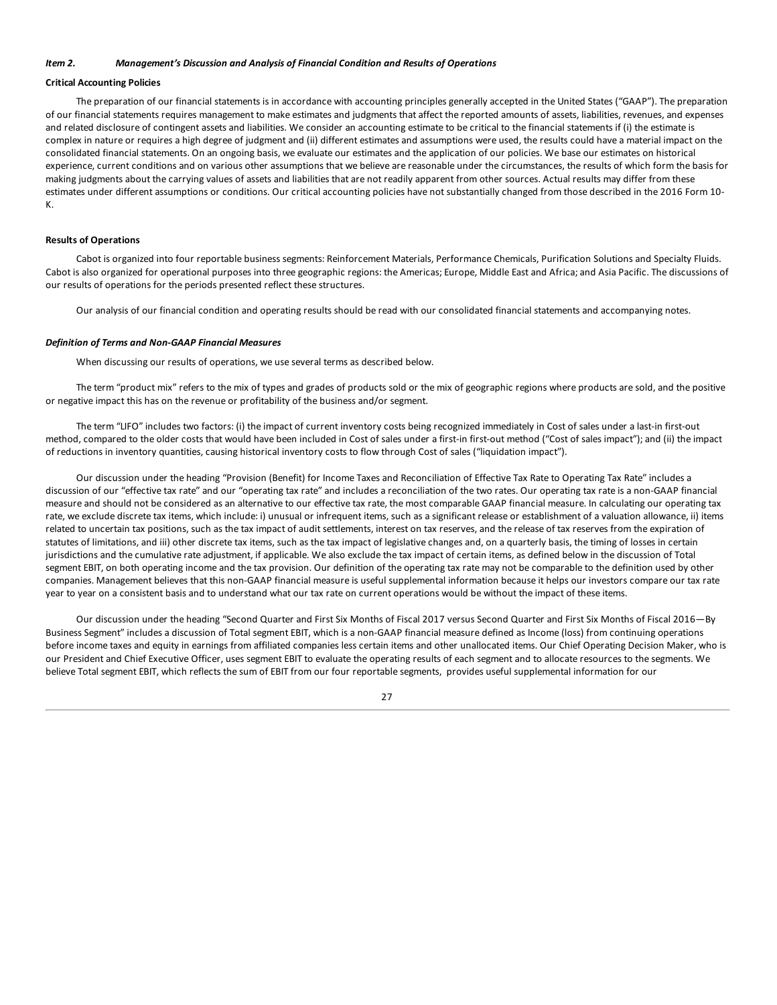#### <span id="page-26-0"></span>*Item 2. Management's Discussion and Analysis of Financial Condition and Results of Operations*

#### **Critical Accounting Policies**

The preparation of our financial statements is in accordance with accounting principles generally accepted in the United States ("GAAP"). The preparation of our financial statements requires management to make estimates and judgments that affect the reported amounts of assets, liabilities, revenues, and expenses and related disclosure of contingent assets and liabilities. We consider an accounting estimate to be critical to the financial statements if (i) the estimate is complex in nature or requires a high degree of judgment and (ii) different estimates and assumptions were used, the results could have a material impact on the consolidated financial statements. On an ongoing basis, we evaluate our estimates and the application of our policies. We base our estimates on historical experience, current conditions and on various other assumptions that we believe are reasonable under the circumstances, the results of which form the basis for making judgments about the carrying values of assets and liabilities that are not readily apparent from other sources. Actual results may differ from these estimates under different assumptions or conditions. Our critical accounting policies have not substantially changed from those described in the 2016 Form 10- K.

#### **Results of Operations**

Cabot is organized into four reportable business segments: Reinforcement Materials, Performance Chemicals, Purification Solutions and Specialty Fluids. Cabot is also organized for operational purposes into three geographic regions: the Americas; Europe, Middle East and Africa; and Asia Pacific. The discussions of our results of operations for the periods presented reflect these structures.

Our analysis of our financial condition and operating results should be read with our consolidated financial statements and accompanying notes.

#### *Definition of Terms and Non-GAAP Financial Measures*

When discussing our results of operations, we use several terms as described below.

The term "product mix" refers to the mix of types and grades of products sold or the mix of geographic regions where products are sold, and the positive or negative impact this has on the revenue or profitability of the business and/or segment.

The term "LIFO" includes two factors: (i) the impact of current inventory costs being recognized immediately in Cost of sales under a last-in first-out method, compared to the older costs that would have been included in Cost of sales under a first-in first-out method ("Cost of sales impact"); and (ii) the impact of reductions in inventory quantities, causing historical inventory costs to flow through Cost of sales ("liquidation impact").

Our discussion under the heading "Provision (Benefit) for Income Taxes and Reconciliation of Effective Tax Rate to Operating Tax Rate" includes a discussion of our "effective tax rate" and our "operating tax rate" and includes a reconciliation of the two rates. Our operating tax rate is a non-GAAP financial measure and should not be considered as an alternative to our effective tax rate, the most comparable GAAP financial measure. In calculating our operating tax rate, we exclude discrete tax items, which include: i) unusual or infrequent items, such as a significant release or establishment of a valuation allowance, ii) items related to uncertain tax positions, such as the tax impact of audit settlements, interest on tax reserves, and the release of tax reserves from the expiration of statutes of limitations, and iii) other discrete tax items, such as the tax impact of legislative changes and, on a quarterly basis, the timing of losses in certain jurisdictions and the cumulative rate adjustment, if applicable. We also exclude the tax impact of certain items, as defined below in the discussion of Total segment EBIT, on both operating income and the tax provision. Our definition of the operating tax rate may not be comparable to the definition used by other companies. Management believes that this non-GAAP financial measure is useful supplemental information because it helps our investors compare our tax rate year to year on a consistent basis and to understand what our tax rate on current operations would be without the impact of these items.

Our discussion under the heading "Second Quarter and First Six Months of Fiscal 2017 versus Second Quarter and First Six Months of Fiscal 2016—By Business Segment" includes a discussion of Total segment EBIT, which is a non-GAAP financial measure defined as Income (loss) from continuing operations before income taxes and equity in earnings from affiliated companies less certain items and other unallocated items. Our Chief Operating Decision Maker, who is our President and Chief Executive Officer, uses segment EBIT to evaluate the operating results of each segment and to allocate resources to the segments. We believe Total segment EBIT, which reflects the sum of EBIT from our four reportable segments, provides useful supplemental information for our

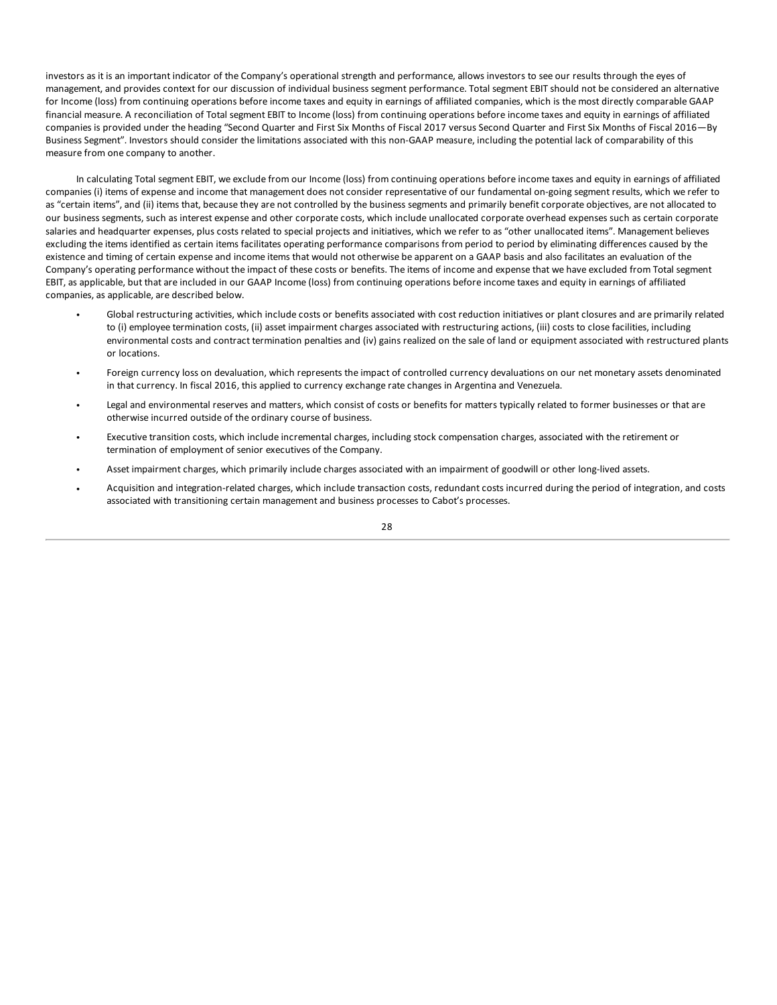investors as it is an important indicator of the Company's operational strength and performance, allows investors to see our results through the eyes of management, and provides context for our discussion of individual business segment performance. Total segment EBIT should not be considered an alternative for Income (loss) from continuing operations before income taxes and equity in earnings of affiliated companies, which is the most directly comparable GAAP financial measure. A reconciliation of Total segment EBIT to Income (loss) from continuing operations before income taxes and equity in earnings of affiliated companies is provided under the heading "Second Quarter and First Six Months of Fiscal 2017 versus Second Quarter and First Six Months of Fiscal 2016—By Business Segment". Investors should consider the limitations associated with this non-GAAP measure, including the potential lack of comparability of this measure from one company to another.

In calculating Total segment EBIT, we exclude from our Income (loss) from continuing operations before income taxes and equity in earnings of affiliated companies (i) items of expense and income that management does not consider representative of our fundamental on-going segment results, which we refer to as "certain items", and (ii) items that, because they are not controlled by the business segments and primarily benefit corporate objectives, are not allocated to our business segments, such as interest expense and other corporate costs, which include unallocated corporate overhead expenses such as certain corporate salaries and headquarter expenses, plus costs related to special projects and initiatives, which we refer to as "other unallocated items". Management believes excluding the items identified as certain items facilitates operating performance comparisons from period to period by eliminating differences caused by the existence and timing of certain expense and income items that would not otherwise be apparent on a GAAP basis and also facilitates an evaluation of the Company's operating performance without the impact of these costs or benefits. The items of income and expense that we have excluded from Total segment EBIT, as applicable, but that are included in our GAAP Income (loss) from continuing operations before income taxes and equity in earnings of affiliated companies, as applicable, are described below.

- Global restructuring activities, which include costs or benefits associated with cost reduction initiatives or plant closures and are primarily related to (i) employee termination costs, (ii) asset impairment charges associated with restructuring actions, (iii) costs to close facilities, including environmental costs and contract termination penalties and (iv) gains realized on the sale of land or equipment associated with restructured plants or locations.
- Foreign currency loss on devaluation, which represents the impact of controlled currency devaluations on our net monetary assets denominated in that currency. In fiscal 2016, this applied to currency exchange rate changes in Argentina and Venezuela.
- Legal and environmental reserves and matters, which consist of costs or benefits for matters typically related to former businesses or that are otherwise incurred outside of the ordinary course of business.
- Executive transition costs, which include incremental charges, including stock compensation charges, associated with the retirement or termination of employment of senior executives of the Company.
- Asset impairment charges, which primarily include charges associated with an impairment of goodwill or other long-lived assets.
- Acquisition and integration-related charges, which include transaction costs, redundant costs incurred during the period of integration, and costs associated with transitioning certain management and business processes to Cabot's processes.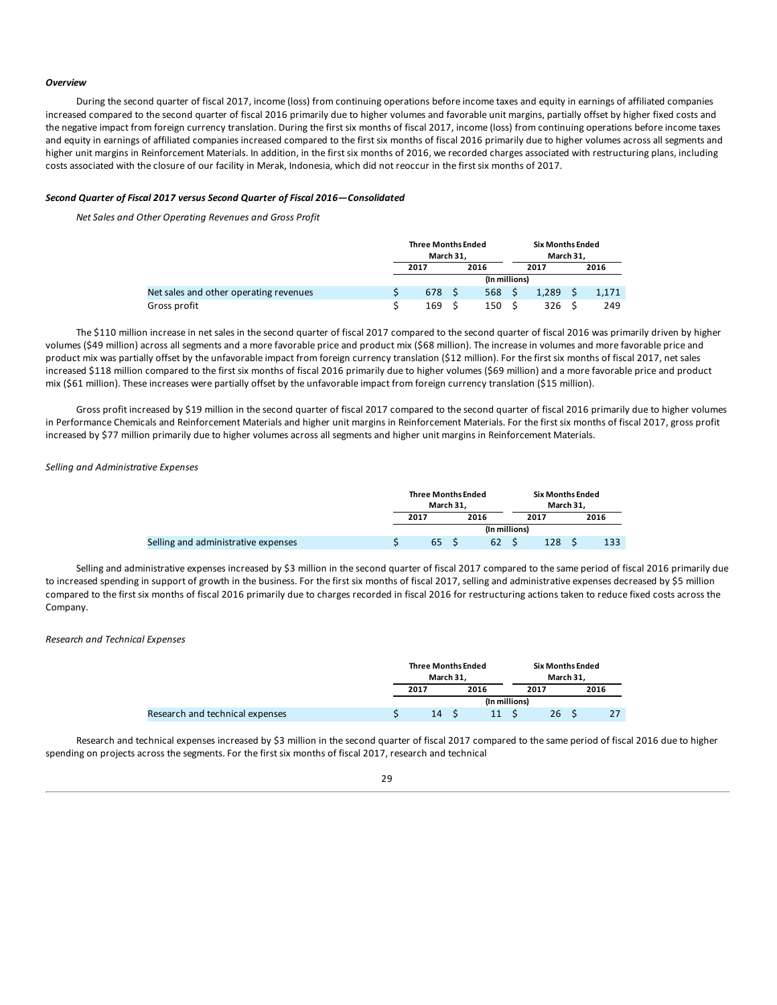#### *Overview*

During the second quarter of fiscal 2017, income (loss) from continuing operations before income taxes and equity in earnings of affiliated companies increased compared to the second quarter of fiscal 2016 primarily due to higher volumes and favorable unit margins, partially offset by higher fixed costs and the negative impact from foreign currency translation. During the first six months of fiscal 2017, income (loss) from continuing operations before income taxes and equity in earnings of affiliated companies increased compared to the first six months of fiscal 2016 primarily due to higher volumes across all segments and higher unit margins in Reinforcement Materials. In addition, in the first six months of 2016, we recorded charges associated with restructuring plans, including costs associated with the closure of our facility in Merak, Indonesia, which did not reoccur in the first six months of 2017.

#### *Second Quarter of Fiscal 2017 versus Second Quarter of Fiscal 2016—Consolidated*

*Net Sales and Other Operating Revenues and Gross Profit*

|                                        | <b>Three Months Ended</b> | March 31. |               | <b>Six Months Ended</b><br>March 31. |       |
|----------------------------------------|---------------------------|-----------|---------------|--------------------------------------|-------|
|                                        | 2017                      |           | 2016          | 2017                                 | 2016  |
|                                        |                           |           | (In millions) |                                      |       |
| Net sales and other operating revenues | 678 S                     |           | 568 S         | 1.289                                | 1.171 |
| Gross profit                           | 169                       |           | 150           | 326                                  | 249   |

The \$110 million increase in net sales in the second quarter of fiscal 2017 compared to the second quarter of fiscal 2016 was primarily driven by higher volumes (\$49 million) across all segments and a more favorable price and product mix (\$68 million). The increase in volumes and more favorable price and product mix was partially offset by the unfavorable impact from foreign currency translation (\$12 million). For the first six months of fiscal 2017, net sales increased \$118 million compared to the first six months of fiscal 2016 primarily due to higher volumes (\$69 million) and a more favorable price and product mix (\$61 million). These increases were partially offset by the unfavorable impact from foreign currency translation (\$15 million).

Gross profit increased by \$19 million in the second quarter of fiscal 2017 compared to the second quarter of fiscal 2016 primarily due to higher volumes in Performance Chemicals and Reinforcement Materials and higher unit margins in Reinforcement Materials. For the first six months of fiscal 2017, gross profit increased by \$77 million primarily due to higher volumes across all segments and higher unit margins in Reinforcement Materials.

#### *Selling and Administrative Expenses*

|                                     | <b>Three Months Ended</b><br>March 31. |               |  | <b>Six Months Ended</b><br>March 31. |  |      |
|-------------------------------------|----------------------------------------|---------------|--|--------------------------------------|--|------|
|                                     | 2017                                   | 2016          |  | 2017                                 |  | 2016 |
|                                     |                                        | (In millions) |  |                                      |  |      |
| Selling and administrative expenses | 65 S                                   | 62            |  | 128                                  |  | 133  |

Selling and administrative expenses increased by \$3 million in the second quarter of fiscal 2017 compared to the same period of fiscal 2016 primarily due to increased spending in support of growth in the business. For the first six months of fiscal 2017, selling and administrative expenses decreased by \$5 million compared to the first six months of fiscal 2016 primarily due to charges recorded in fiscal 2016 for restructuring actions taken to reduce fixed costs across the Company.

#### *Research and Technical Expenses*

|                                 | <b>Three Months Ended</b> | March 31. |               |      | <b>Six Months Ended</b><br>March 31. |      |  |
|---------------------------------|---------------------------|-----------|---------------|------|--------------------------------------|------|--|
|                                 | 2017                      |           | 2016          | 2017 |                                      | 2016 |  |
|                                 |                           |           | (In millions) |      |                                      |      |  |
| Research and technical expenses | 14                        |           | 11S           | 26   |                                      | 27   |  |

Research and technical expenses increased by \$3 million in the second quarter of fiscal 2017 compared to the same period of fiscal 2016 due to higher spending on projects across the segments. For the first six months of fiscal 2017, research and technical

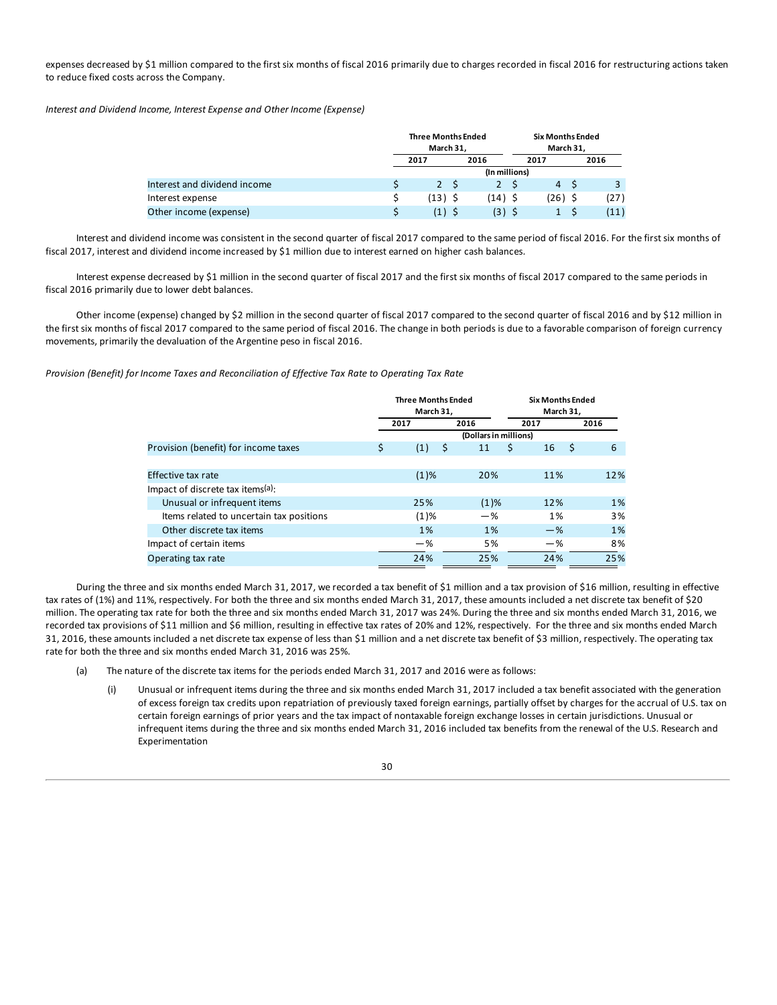expenses decreased by \$1 million compared to the first six months of fiscal 2016 primarily due to charges recorded in fiscal 2016 for restructuring actions taken to reduce fixed costs across the Company.

*Interest and Dividend Income, Interest Expense and Other Income (Expense)*

|                              | <b>Three Months Ended</b><br>March 31, |               | <b>Six Months Ended</b><br>March 31, |      |
|------------------------------|----------------------------------------|---------------|--------------------------------------|------|
|                              | 2017                                   | 2016          | 2017                                 | 2016 |
|                              |                                        | (In millions) |                                      |      |
| Interest and dividend income | 2 S                                    | 2             | 4                                    |      |
| Interest expense             | $(13)$ S                               | $(14)$ \$     | (26) \$                              | (27) |
| Other income (expense)       |                                        | (3) S         |                                      | (11) |

Interest and dividend income was consistent in the second quarter of fiscal 2017 compared to the same period of fiscal 2016. For the first six months of fiscal 2017, interest and dividend income increased by \$1 million due to interest earned on higher cash balances.

Interest expense decreased by \$1 million in the second quarter of fiscal 2017 and the first six months of fiscal 2017 compared to the same periods in fiscal 2016 primarily due to lower debt balances.

Other income (expense) changed by \$2 million in the second quarter of fiscal 2017 compared to the second quarter of fiscal 2016 and by \$12 million in the first six months of fiscal 2017 compared to the same period of fiscal 2016. The change in both periods is due to a favorable comparison of foreign currency movements, primarily the devaluation of the Argentine peso in fiscal 2016.

*Provision (Benefit) for Income Taxes and Reconciliation of Effective Tax Rate to Operating Tax Rate*

|                                          |      | <b>Three Months Ended</b><br>March 31, |     |                       | <b>Six Months Ended</b><br>March 31, |         |
|------------------------------------------|------|----------------------------------------|-----|-----------------------|--------------------------------------|---------|
|                                          | 2017 |                                        |     | 2016                  | 2017                                 | 2016    |
|                                          |      |                                        |     | (Dollars in millions) |                                      |         |
| Provision (benefit) for income taxes     | \$   | (1)                                    | \$. | 11                    | \$<br>16                             | \$<br>6 |
|                                          |      |                                        |     |                       |                                      |         |
| Effective tax rate                       |      | (1)%                                   |     | 20%                   | 11%                                  | 12%     |
| Impact of discrete tax items(a):         |      |                                        |     |                       |                                      |         |
| Unusual or infrequent items              |      | 25%                                    |     | (1)%                  | 12%                                  | 1%      |
| Items related to uncertain tax positions |      | $(1)\%$                                |     | -%                    | 1%                                   | 3%      |
| Other discrete tax items                 |      | 1%                                     |     | 1%                    | $-$ %                                | 1%      |
| Impact of certain items                  |      | $-$ %                                  |     | 5%                    | $-$ %                                | 8%      |
| Operating tax rate                       |      | 24%                                    |     | 25%                   | 24%                                  | 25%     |

During the three and six months ended March 31, 2017, we recorded a tax benefit of \$1 million and a tax provision of \$16 million, resulting in effective tax rates of (1%) and 11%, respectively. For both the three and six months ended March 31, 2017, these amounts included a net discrete tax benefit of \$20 million. The operating tax rate for both the three and six months ended March 31, 2017 was 24%. During the three and six months ended March 31, 2016, we recorded tax provisions of \$11 million and \$6 million, resulting in effective tax rates of 20% and 12%, respectively. For the three and six months ended March 31, 2016, these amounts included a net discrete tax expense of less than \$1 million and a net discrete tax benefit of \$3 million, respectively. The operating tax rate for both the three and six months ended March 31, 2016 was 25%.

- (a) The nature of the discrete tax items for the periods ended March 31, 2017 and 2016 were as follows:
	- (i) Unusual or infrequent items during the three and six months ended March 31, 2017 included a tax benefit associated with the generation of excess foreign tax credits upon repatriation of previously taxed foreign earnings, partially offset by charges for the accrual of U.S. tax on certain foreign earnings of prior years and the tax impact of nontaxable foreign exchange losses in certain jurisdictions. Unusual or infrequent items during the three and six months ended March 31, 2016 included tax benefits from the renewal of the U.S. Research and Experimentation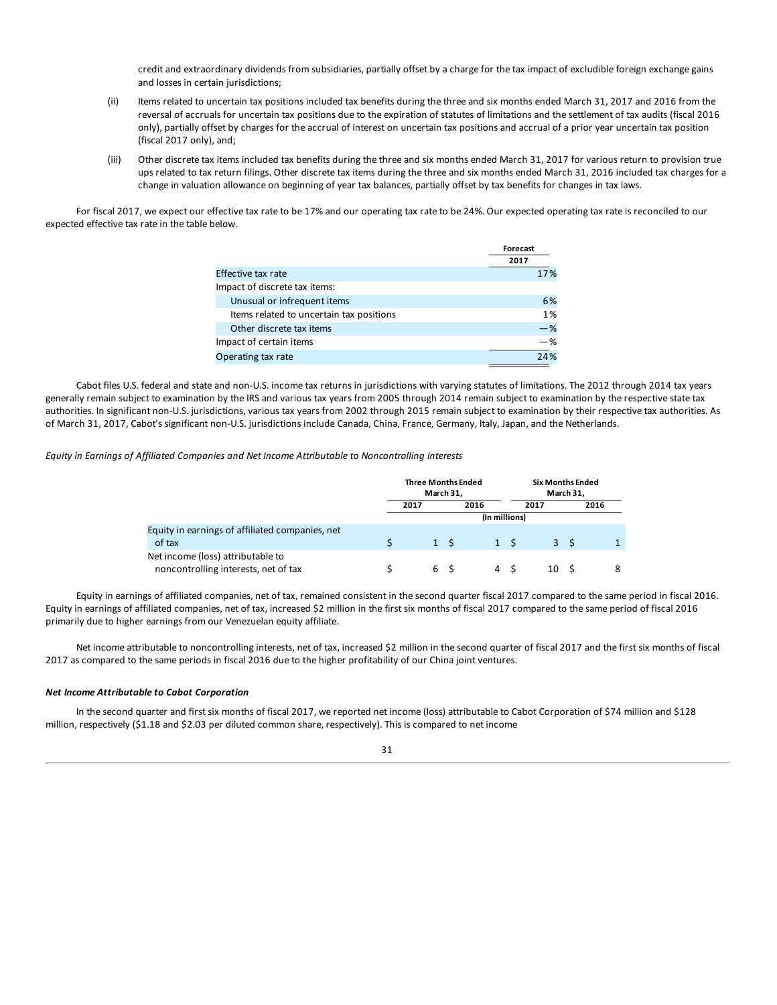credit and extraordinary dividends from subsidiaries, partially offset by a charge for the tax impact of excludible foreign exchange gains and losses in certain jurisdictions;

- (ii) Items related to uncertain tax positions included tax benefits during the three and six months ended March 31, 2017 and 2016 from the reversal of accruals for uncertain tax positions due to the expiration of statutes of limitations and the settlement of tax audits (fiscal 2016 only), partially offset by charges for the accrual of interest on uncertain tax positions and accrual of a prior year uncertain tax position (fiscal 2017 only), and;
- (iii) Other discrete tax items included tax benefits during the three and six months ended March 31, 2017 for various return to provision true ups related to tax return filings. Other discrete tax items during the three and six months ended March 31, 2016 included tax charges for a change in valuation allowance on beginning of year tax balances, partially offset by tax benefits for changes in tax laws.

For fiscal 2017, we expect our effective tax rate to be 17% and our operating tax rate to be 24%. Our expected operating tax rate is reconciled to our expected effective tax rate in the table below.

|                                          | Forecast |
|------------------------------------------|----------|
|                                          | 2017     |
| Effective tax rate                       | 17%      |
| Impact of discrete tax items:            |          |
| Unusual or infrequent items              | 6%       |
| Items related to uncertain tax positions | 1%       |
| Other discrete tax items                 | $-$ %    |
| Impact of certain items                  | $-$ %    |
| Operating tax rate                       | 24%      |

Cabot files U.S. federal and state and non-U.S. income tax returns in jurisdictions with varying statutes of limitations. The 2012 through 2014 tax years generally remain subject to examination by the IRS and various tax years from 2005 through 2014 remain subject to examination by the respective state tax authorities. In significant non-U.S. jurisdictions, various tax years from 2002 through 2015 remain subject to examination by their respective tax authorities. As of March 31, 2017, Cabot's significant non-U.S. jurisdictions include Canada, China, France, Germany, Italy, Japan, and the Netherlands.

*Equity in Earnings of Affiliated Companies and Net Income Attributable to Noncontrolling Interests*

|                                                                           | <b>Three Months Ended</b> | March 31, |      |                | <b>Six Months Ended</b> | March 31. |      |  |
|---------------------------------------------------------------------------|---------------------------|-----------|------|----------------|-------------------------|-----------|------|--|
|                                                                           | 2017                      |           | 2016 |                | 2017                    |           | 2016 |  |
|                                                                           |                           |           |      | (In millions)  |                         |           |      |  |
| Equity in earnings of affiliated companies, net<br>of tax                 | $\mathbf{1}$              | -S        |      | 1 <sup>5</sup> | 3 <sup>5</sup>          |           |      |  |
| Net income (loss) attributable to<br>noncontrolling interests, net of tax |                           | 6 S       |      | 4 S            | 10                      |           | 8    |  |

Equity in earnings of affiliated companies, net of tax, remained consistent in the second quarter fiscal 2017 compared to the same period in fiscal 2016. Equity in earnings of affiliated companies, net of tax, increased \$2 million in the first six months of fiscal 2017 compared to the same period of fiscal 2016 primarily due to higher earnings from our Venezuelan equity affiliate.

Net income attributable to noncontrolling interests, net of tax, increased \$2 million in the second quarter of fiscal 2017 and the first six months of fiscal 2017 as compared to the same periods in fiscal 2016 due to the higher profitability of our China joint ventures.

#### *Net Income Attributable to Cabot Corporation*

In the second quarter and first six months of fiscal 2017, we reported net income (loss) attributable to Cabot Corporation of \$74 million and \$128 million, respectively (\$1.18 and \$2.03 per diluted common share, respectively). This is compared to net income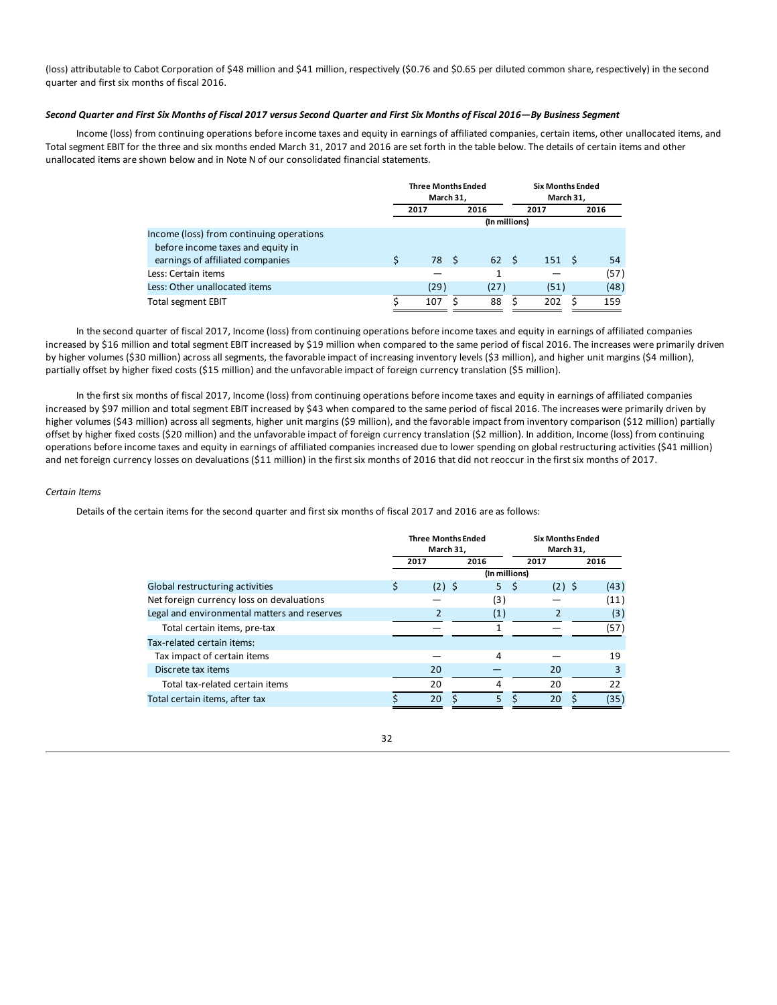(loss) attributable to Cabot Corporation of \$48 million and \$41 million, respectively (\$0.76 and \$0.65 per diluted common share, respectively) in the second quarter and first six months of fiscal 2016.

#### Second Quarter and First Six Months of Fiscal 2017 versus Second Quarter and First Six Months of Fiscal 2016-By Business Segment

Income (loss) from continuing operations before income taxes and equity in earnings of affiliated companies, certain items, other unallocated items, and Total segment EBIT for the three and six months ended March 31, 2017 and 2016 are set forth in the table below. The details of certain items and other unallocated items are shown below and in Note N of our consolidated financial statements.

|                                                                               | <b>Three Months Ended</b><br>March 31. |               | <b>Six Months Ended</b><br>March 31. |      |
|-------------------------------------------------------------------------------|----------------------------------------|---------------|--------------------------------------|------|
|                                                                               | 2017                                   | 2016          | 2017                                 | 2016 |
|                                                                               |                                        | (In millions) |                                      |      |
| Income (loss) from continuing operations<br>before income taxes and equity in |                                        |               |                                      |      |
| earnings of affiliated companies                                              | 78 \$                                  | 62 S          | 151 S                                | 54   |
| Less: Certain items                                                           |                                        |               |                                      | (57) |
| Less: Other unallocated items                                                 | (29)                                   | (27)          | (51)                                 | (48) |
| Total segment EBIT                                                            | 107                                    | 88            | 202                                  | 159  |

In the second quarter of fiscal 2017, Income (loss) from continuing operations before income taxes and equity in earnings of affiliated companies increased by \$16 million and total segment EBIT increased by \$19 million when compared to the same period of fiscal 2016. The increases were primarily driven by higher volumes (\$30 million) across all segments, the favorable impact of increasing inventory levels (\$3 million), and higher unit margins (\$4 million), partially offset by higher fixed costs (\$15 million) and the unfavorable impact of foreign currency translation (\$5 million).

In the first six months of fiscal 2017, Income (loss) from continuing operations before income taxes and equity in earnings of affiliated companies increased by \$97 million and total segment EBIT increased by \$43 when compared to the same period of fiscal 2016. The increases were primarily driven by higher volumes (\$43 million) across all segments, higher unit margins (\$9 million), and the favorable impact from inventory comparison (\$12 million) partially offset by higher fixed costs (\$20 million) and the unfavorable impact of foreign currency translation (\$2 million). In addition, Income (loss) from continuing operations before income taxes and equity in earnings of affiliated companies increased due to lower spending on global restructuring activities (\$41 million) and net foreign currency losses on devaluations (\$11 million) in the first six months of 2016 that did not reoccur in the first six months of 2017.

#### *Certain Items*

Details of the certain items for the second quarter and first six months of fiscal 2017 and 2016 are as follows:

|                                              | <b>Three Months Ended</b><br>March 31, |                |               | March 31, | <b>Six Months Ended</b> |      |
|----------------------------------------------|----------------------------------------|----------------|---------------|-----------|-------------------------|------|
|                                              | 2017                                   | 2016           | 2017          |           | 2016                    |      |
|                                              |                                        |                | (In millions) |           |                         |      |
| Global restructuring activities              | \$<br>$(2)$ \$                         | 5 <sup>1</sup> | -\$           | $(2)$ \$  |                         | (43) |
| Net foreign currency loss on devaluations    |                                        | (3)            |               |           |                         | (11) |
| Legal and environmental matters and reserves |                                        | (1)            |               |           |                         | (3)  |
| Total certain items, pre-tax                 |                                        |                |               |           |                         | (57) |
| Tax-related certain items:                   |                                        |                |               |           |                         |      |
| Tax impact of certain items                  |                                        | 4              |               |           |                         | 19   |
| Discrete tax items                           | 20                                     |                |               | 20        |                         | 3    |
| Total tax-related certain items              | 20                                     | 4              |               | 20        |                         | 22   |
| Total certain items, after tax               | 20                                     | 5              | Ś             | 20        |                         | (35) |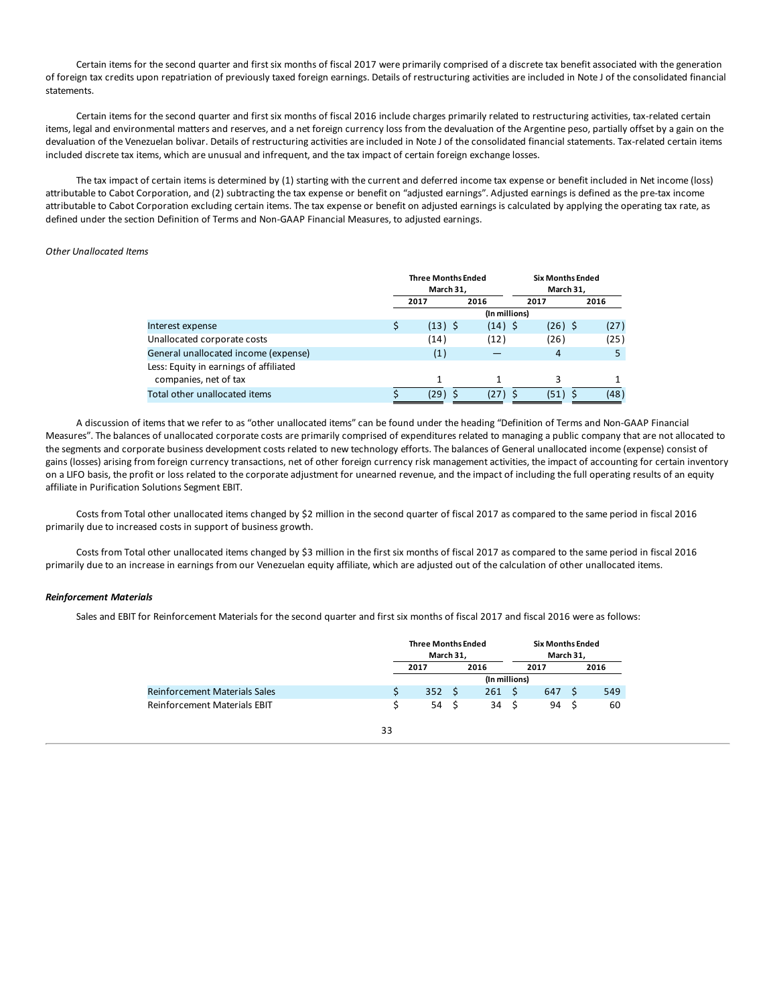Certain items for the second quarter and first six months of fiscal 2017 were primarily comprised of a discrete tax benefit associated with the generation of foreign tax credits upon repatriation of previously taxed foreign earnings. Details of restructuring activities are included in Note J of the consolidated financial statements.

Certain items for the second quarter and first six months of fiscal 2016 include charges primarily related to restructuring activities, tax-related certain items, legal and environmental matters and reserves, and a net foreign currency loss from the devaluation of the Argentine peso, partially offset by a gain on the devaluation of the Venezuelan bolivar. Details of restructuring activities are included in Note J of the consolidated financial statements. Tax-related certain items included discrete tax items, which are unusual and infrequent, and the tax impact of certain foreign exchange losses.

The tax impact of certain items is determined by (1) starting with the current and deferred income tax expense or benefit included in Net income (loss) attributable to Cabot Corporation, and (2) subtracting the tax expense or benefit on "adjusted earnings". Adjusted earnings is defined as the pre-tax income attributable to Cabot Corporation excluding certain items. The tax expense or benefit on adjusted earnings is calculated by applying the operating tax rate, as defined under the section Definition of Terms and Non-GAAP Financial Measures, to adjusted earnings.

#### *Other Unallocated Items*

|                                        | <b>Three Months Ended</b><br>March 31. |               | <b>Six Months Ended</b><br>March 31. |      |  |  |
|----------------------------------------|----------------------------------------|---------------|--------------------------------------|------|--|--|
|                                        | 2017                                   | 2016          | 2017                                 | 2016 |  |  |
|                                        |                                        | (In millions) |                                      |      |  |  |
| Interest expense                       | $(13)$ \$                              | $(14)$ \$     | $(26)$ \$                            | (27) |  |  |
| Unallocated corporate costs            | (14)                                   | (12)          | (26)                                 | (25) |  |  |
| General unallocated income (expense)   | (1)                                    |               | 4                                    | 5    |  |  |
| Less: Equity in earnings of affiliated |                                        |               |                                      |      |  |  |
| companies, net of tax                  |                                        |               | 3                                    |      |  |  |
| Total other unallocated items          | (29)                                   | (27           | (51) \$                              | (48) |  |  |

A discussion of items that we refer to as "other unallocated items" can be found under the heading "Definition of Terms and Non-GAAP Financial Measures". The balances of unallocated corporate costs are primarily comprised of expenditures related to managing a public company that are not allocated to the segments and corporate business development costs related to new technology efforts. The balances of General unallocated income (expense) consist of gains (losses) arising from foreign currency transactions, net of other foreign currency risk management activities, the impact of accounting for certain inventory on a LIFO basis, the profit or loss related to the corporate adjustment for unearned revenue, and the impact of including the full operating results of an equity affiliate in Purification Solutions Segment EBIT.

Costs from Total other unallocated items changed by \$2 million in the second quarter of fiscal 2017 as compared to the same period in fiscal 2016 primarily due to increased costs in support of business growth.

Costs from Total other unallocated items changed by \$3 million in the first six months of fiscal 2017 as compared to the same period in fiscal 2016 primarily due to an increase in earnings from our Venezuelan equity affiliate, which are adjusted out of the calculation of other unallocated items.

#### *Reinforcement Materials*

Sales and EBIT for Reinforcement Materials for the second quarter and first six months of fiscal 2017 and fiscal 2016 were as follows:

|                                      |    | <b>Three Months Ended</b><br>March 31, |     |               |     | <b>Six Months Ended</b><br>March 31, |  |      |
|--------------------------------------|----|----------------------------------------|-----|---------------|-----|--------------------------------------|--|------|
|                                      |    | 2017                                   |     | 2016          |     | 2017                                 |  | 2016 |
|                                      |    |                                        |     | (In millions) |     |                                      |  |      |
| <b>Reinforcement Materials Sales</b> |    | 352                                    | - S | 261S          |     | 647                                  |  | 549  |
| <b>Reinforcement Materials EBIT</b>  |    | 54                                     | -S  | 34            | - S | 94                                   |  | 60   |
|                                      | 33 |                                        |     |               |     |                                      |  |      |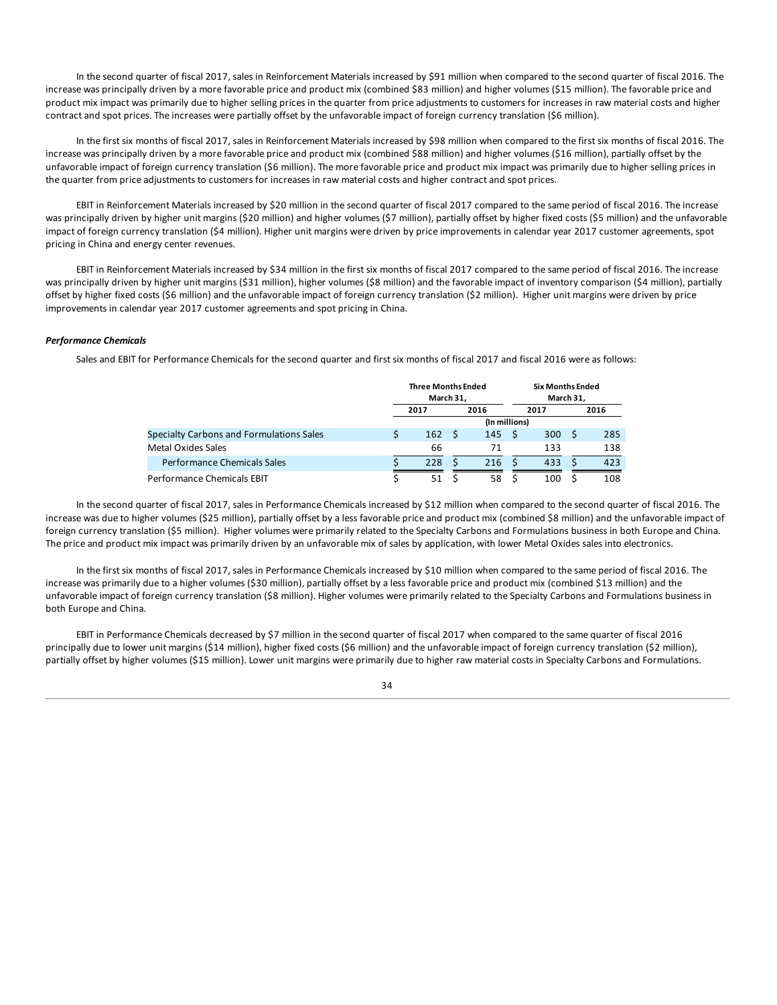In the second quarter of fiscal 2017, sales in Reinforcement Materials increased by \$91 million when compared to the second quarter of fiscal 2016. The increase was principally driven by a more favorable price and product mix (combined \$83 million) and higher volumes (\$15 million). The favorable price and product mix impact was primarily due to higher selling prices in the quarter from price adjustments to customers for increases in raw material costs and higher contract and spot prices. The increases were partially offset by the unfavorable impact of foreign currency translation (\$6 million).

In the first six months of fiscal 2017, sales in Reinforcement Materials increased by \$98 million when compared to the first six months of fiscal 2016. The increase was principally driven by a more favorable price and product mix (combined \$88 million) and higher volumes (\$16 million), partially offset by the unfavorable impact of foreign currency translation (\$6 million). The more favorable price and product mix impact was primarily due to higher selling prices in the quarter from price adjustments to customers for increases in raw material costs and higher contract and spot prices.

EBIT in Reinforcement Materials increased by \$20 million in the second quarter of fiscal 2017 compared to the same period of fiscal 2016. The increase was principally driven by higher unit margins (\$20 million) and higher volumes (\$7 million), partially offset by higher fixed costs (\$5 million) and the unfavorable impact of foreign currency translation (\$4 million). Higher unit margins were driven by price improvements in calendar year 2017 customer agreements, spot pricing in China and energy center revenues.

EBIT in Reinforcement Materials increased by \$34 million in the first six months of fiscal 2017 compared to the same period of fiscal 2016. The increase was principally driven by higher unit margins (\$31 million), higher volumes (\$8 million) and the favorable impact of inventory comparison (\$4 million), partially offset by higher fixed costs (\$6 million) and the unfavorable impact of foreign currency translation (\$2 million). Higher unit margins were driven by price improvements in calendar year 2017 customer agreements and spot pricing in China.

## *Performance Chemicals*

Sales and EBIT for Performance Chemicals for the second quarter and first six months of fiscal 2017 and fiscal 2016 were as follows:

|                                          | <b>Three Months Ended</b><br>March 31. |      |               |      | <b>Six Months Ended</b><br>March 31. |  |      |
|------------------------------------------|----------------------------------------|------|---------------|------|--------------------------------------|--|------|
|                                          | 2017                                   | 2016 |               | 2017 |                                      |  | 2016 |
|                                          |                                        |      | (In millions) |      |                                      |  |      |
| Specialty Carbons and Formulations Sales | 162 <sub>5</sub>                       |      | 145           |      | 300                                  |  | 285  |
| Metal Oxides Sales                       | 66                                     |      | 71            |      | 133                                  |  | 138  |
| <b>Performance Chemicals Sales</b>       | 228                                    |      | 216           |      | 433                                  |  | 423  |
| Performance Chemicals EBIT               | 51                                     |      | 58            |      | 100                                  |  | 108  |

In the second quarter of fiscal 2017, sales in Performance Chemicals increased by \$12 million when compared to the second quarter of fiscal 2016. The increase was due to higher volumes (\$25 million), partially offset by a less favorable price and product mix (combined \$8 million) and the unfavorable impact of foreign currency translation (\$5 million). Higher volumes were primarily related to the Specialty Carbons and Formulations business in both Europe and China. The price and product mix impact was primarily driven by an unfavorable mix of sales by application, with lower Metal Oxides sales into electronics.

In the first six months of fiscal 2017, sales in Performance Chemicals increased by \$10 million when compared to the same period of fiscal 2016. The increase was primarily due to a higher volumes (\$30 million), partially offset by a less favorable price and product mix (combined \$13 million) and the unfavorable impact of foreign currency translation (\$8 million). Higher volumes were primarily related to the Specialty Carbons and Formulations business in both Europe and China.

EBIT in Performance Chemicals decreased by \$7 million in the second quarter of fiscal 2017 when compared to the same quarter of fiscal 2016 principally due to lower unit margins (\$14 million), higher fixed costs (\$6 million) and the unfavorable impact of foreign currency translation (\$2 million), partially offset by higher volumes (\$15 million). Lower unit margins were primarily due to higher raw material costs in Specialty Carbons and Formulations.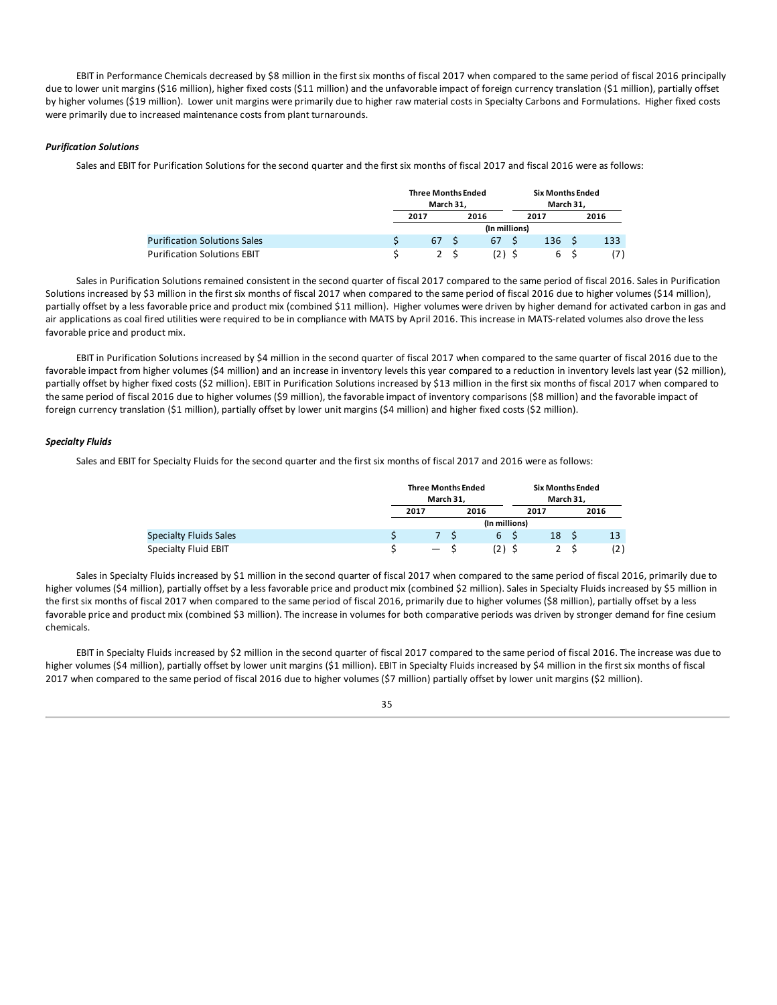EBIT in Performance Chemicals decreased by \$8 million in the first six months of fiscal 2017 when compared to the same period of fiscal 2016 principally due to lower unit margins (\$16 million), higher fixed costs (\$11 million) and the unfavorable impact of foreign currency translation (\$1 million), partially offset by higher volumes (\$19 million). Lower unit margins were primarily due to higher raw material costs in Specialty Carbons and Formulations. Higher fixed costs were primarily due to increased maintenance costs from plant turnarounds.

#### *Purification Solutions*

Sales and EBIT for Purification Solutions for the second quarter and the first six months of fiscal 2017 and fiscal 2016 were as follows:

|                                     | <b>Three Months Ended</b><br>March 31. |      |               |      | <b>Six Months Ended</b><br>March 31, |  |      |
|-------------------------------------|----------------------------------------|------|---------------|------|--------------------------------------|--|------|
|                                     | 2017                                   | 2016 |               | 2017 |                                      |  | 2016 |
|                                     |                                        |      | (In millions) |      |                                      |  |      |
| <b>Purification Solutions Sales</b> | 67 <sup>5</sup>                        |      | 67            |      | 136                                  |  | 133  |
| <b>Purification Solutions EBIT</b>  | 2 S                                    |      | (2)           |      | 6                                    |  |      |

Sales in Purification Solutions remained consistent in the second quarter of fiscal 2017 compared to the same period of fiscal 2016. Sales in Purification Solutions increased by \$3 million in the first six months of fiscal 2017 when compared to the same period of fiscal 2016 due to higher volumes (\$14 million), partially offset by a less favorable price and product mix (combined \$11 million). Higher volumes were driven by higher demand for activated carbon in gas and air applications as coal fired utilities were required to be in compliance with MATS by April 2016. This increase in MATS-related volumes also drove the less favorable price and product mix.

EBIT in Purification Solutions increased by \$4 million in the second quarter of fiscal 2017 when compared to the same quarter of fiscal 2016 due to the favorable impact from higher volumes (\$4 million) and an increase in inventory levels this year compared to a reduction in inventory levels last year (\$2 million), partially offset by higher fixed costs (\$2 million). EBIT in Purification Solutions increased by \$13 million in the first six months of fiscal 2017 when compared to the same period of fiscal 2016 due to higher volumes (\$9 million), the favorable impact of inventory comparisons (\$8 million) and the favorable impact of foreign currency translation (\$1 million), partially offset by lower unit margins (\$4 million) and higher fixed costs (\$2 million).

#### *Specialty Fluids*

Sales and EBIT for Specialty Fluids for the second quarter and the first six months of fiscal 2017 and 2016 were as follows:

|                               | <b>Three Months Ended</b><br>March 31, |       |               |      | <b>Six Months Ended</b><br>March 31, |      |     |  |
|-------------------------------|----------------------------------------|-------|---------------|------|--------------------------------------|------|-----|--|
|                               | 2017                                   |       | 2016          | 2017 |                                      | 2016 |     |  |
|                               |                                        |       | (In millions) |      |                                      |      |     |  |
| <b>Specialty Fluids Sales</b> |                                        | 7 S   | 6             |      | 18                                   |      | 13  |  |
| Specialty Fluid EBIT          |                                        | $- S$ | (2) S         |      |                                      |      | (2) |  |

Sales in Specialty Fluids increased by \$1 million in the second quarter of fiscal 2017 when compared to the same period of fiscal 2016, primarily due to higher volumes (\$4 million), partially offset by a less favorable price and product mix (combined \$2 million). Sales in Specialty Fluids increased by \$5 million in the first six months of fiscal 2017 when compared to the same period of fiscal 2016, primarily due to higher volumes (\$8 million), partially offset by a less favorable price and product mix (combined \$3 million). The increase in volumes for both comparative periods was driven by stronger demand for fine cesium chemicals.

EBIT in Specialty Fluids increased by \$2 million in the second quarter of fiscal 2017 compared to the same period of fiscal 2016. The increase was due to higher volumes (\$4 million), partially offset by lower unit margins (\$1 million). EBIT in Specialty Fluids increased by \$4 million in the first six months of fiscal 2017 when compared to the same period of fiscal 2016 due to higher volumes (\$7 million) partially offset by lower unit margins (\$2 million).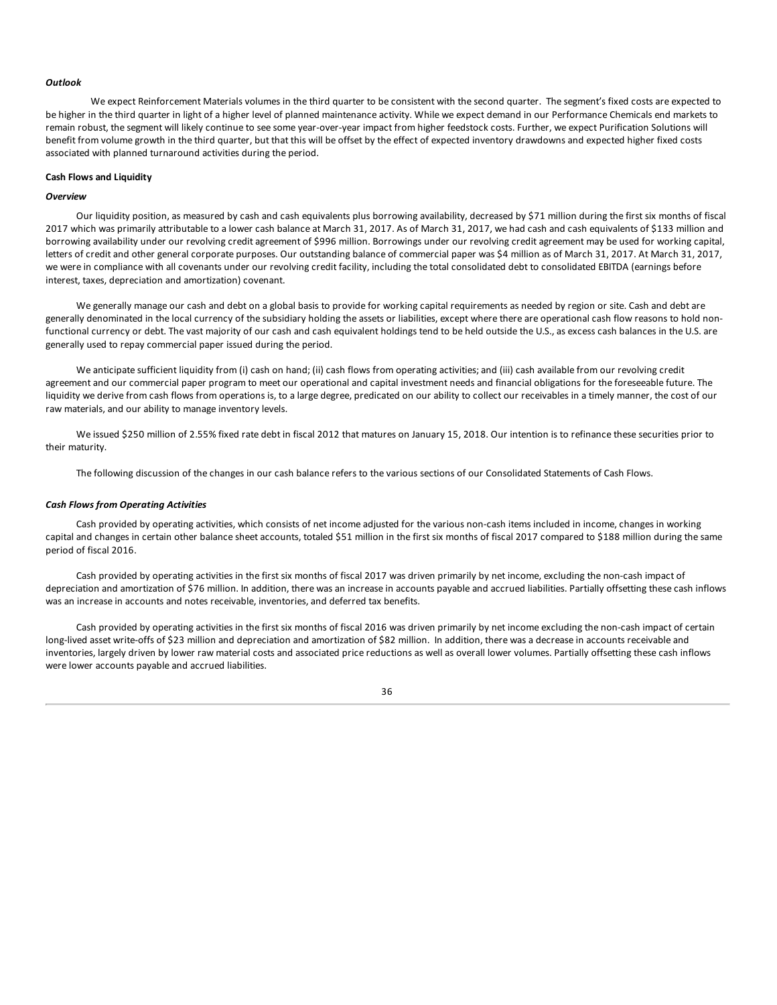#### *Outlook*

We expect Reinforcement Materials volumes in the third quarter to be consistent with the second quarter. The segment's fixed costs are expected to be higher in the third quarter in light of a higher level of planned maintenance activity. While we expect demand in our Performance Chemicals end markets to remain robust, the segment will likely continue to see some year-over-year impact from higher feedstock costs. Further, we expect Purification Solutions will benefit from volume growth in the third quarter, but that this will be offset by the effect of expected inventory drawdowns and expected higher fixed costs associated with planned turnaround activities during the period.

#### **Cash Flows and Liquidity**

#### *Overview*

Our liquidity position, as measured by cash and cash equivalents plus borrowing availability, decreased by \$71 million during the first six months of fiscal 2017 which was primarily attributable to a lower cash balance at March 31, 2017. As of March 31, 2017, we had cash and cash equivalents of \$133 million and borrowing availability under our revolving credit agreement of \$996 million. Borrowings under our revolving credit agreement may be used for working capital, letters of credit and other general corporate purposes. Our outstanding balance of commercial paper was \$4 million as of March 31, 2017. At March 31, 2017, we were in compliance with all covenants under our revolving credit facility, including the total consolidated debt to consolidated EBITDA (earnings before interest, taxes, depreciation and amortization) covenant.

We generally manage our cash and debt on a global basis to provide for working capital requirements as needed by region or site. Cash and debt are generally denominated in the local currency of the subsidiary holding the assets or liabilities, except where there are operational cash flow reasons to hold nonfunctional currency or debt. The vast majority of our cash and cash equivalent holdings tend to be held outside the U.S., as excess cash balances in the U.S. are generally used to repay commercial paper issued during the period.

We anticipate sufficient liquidity from (i) cash on hand; (ii) cash flows from operating activities; and (iii) cash available from our revolving credit agreement and our commercial paper program to meet our operational and capital investment needs and financial obligations for the foreseeable future. The liquidity we derive from cash flows from operations is, to a large degree, predicated on our ability to collect our receivables in a timely manner, the cost of our raw materials, and our ability to manage inventory levels.

We issued \$250 million of 2.55% fixed rate debt in fiscal 2012 that matures on January 15, 2018. Our intention is to refinance these securities prior to their maturity.

The following discussion of the changes in our cash balance refers to the various sections of our Consolidated Statements of Cash Flows.

#### *Cash Flows from Operating Activities*

Cash provided by operating activities, which consists of net income adjusted for the various non-cash items included in income, changes in working capital and changes in certain other balance sheet accounts, totaled \$51 million in the first six months of fiscal 2017 compared to \$188 million during the same period of fiscal 2016.

Cash provided by operating activities in the first six months of fiscal 2017 was driven primarily by net income, excluding the non-cash impact of depreciation and amortization of \$76 million. In addition, there was an increase in accounts payable and accrued liabilities. Partially offsetting these cash inflows was an increase in accounts and notes receivable, inventories, and deferred tax benefits.

Cash provided by operating activities in the first six months of fiscal 2016 was driven primarily by net income excluding the non-cash impact of certain long-lived asset write-offs of \$23 million and depreciation and amortization of \$82 million. In addition, there was a decrease in accounts receivable and inventories, largely driven by lower raw material costs and associated price reductions as well as overall lower volumes. Partially offsetting these cash inflows were lower accounts payable and accrued liabilities.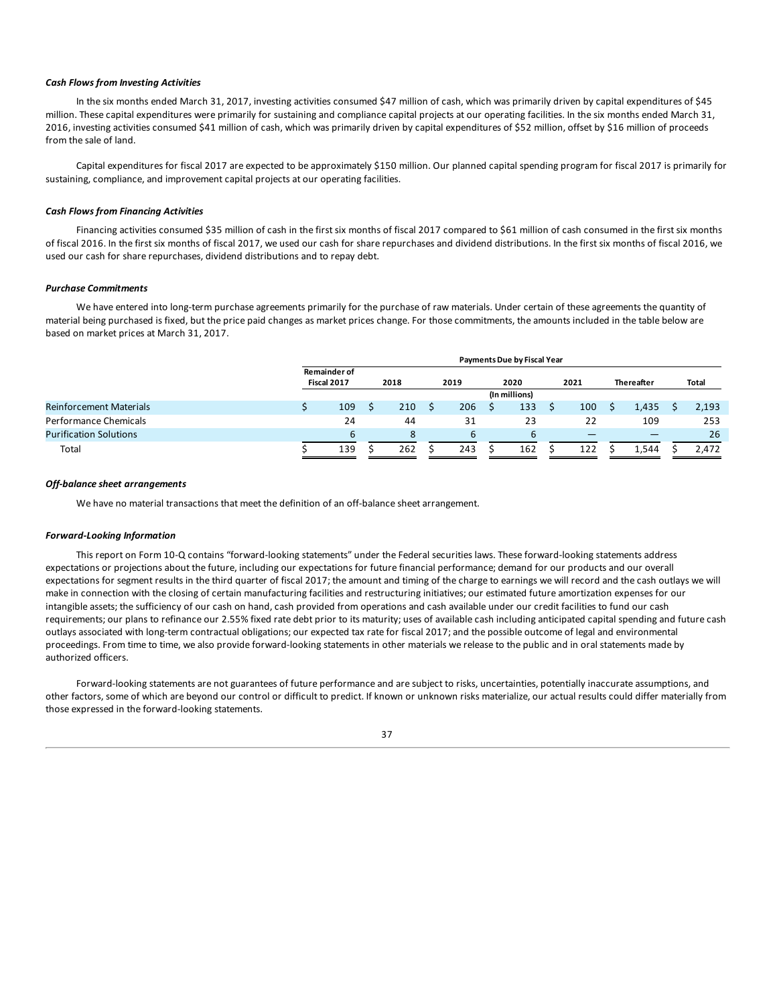#### *Cash Flows from Investing Activities*

In the six months ended March 31, 2017, investing activities consumed \$47 million of cash, which was primarily driven by capital expenditures of \$45 million. These capital expenditures were primarily for sustaining and compliance capital projects at our operating facilities. In the six months ended March 31, 2016, investing activities consumed \$41 million of cash, which was primarily driven by capital expenditures of \$52 million, offset by \$16 million of proceeds from the sale of land.

Capital expenditures for fiscal 2017 are expected to be approximately \$150 million. Our planned capital spending program for fiscal 2017 is primarily for sustaining, compliance, and improvement capital projects at our operating facilities.

#### *Cash Flows from Financing Activities*

Financing activities consumed \$35 million of cash in the first six months of fiscal 2017 compared to \$61 million of cash consumed in the first six months of fiscal 2016. In the first six months of fiscal 2017, we used our cash for share repurchases and dividend distributions. In the first six months of fiscal 2016, we used our cash for share repurchases, dividend distributions and to repay debt.

#### *Purchase Commitments*

We have entered into long-term purchase agreements primarily for the purchase of raw materials. Under certain of these agreements the quantity of material being purchased is fixed, but the price paid changes as market prices change. For those commitments, the amounts included in the table below are based on market prices at March 31, 2017.

|                                | <b>Payments Due by Fiscal Year</b> |                                    |  |      |  |      |  |               |  |      |  |                   |  |       |
|--------------------------------|------------------------------------|------------------------------------|--|------|--|------|--|---------------|--|------|--|-------------------|--|-------|
|                                |                                    | <b>Remainder of</b><br>Fiscal 2017 |  | 2018 |  | 2019 |  | 2020          |  | 2021 |  | <b>Thereafter</b> |  | Total |
|                                |                                    |                                    |  |      |  |      |  | (In millions) |  |      |  |                   |  |       |
| <b>Reinforcement Materials</b> |                                    | 109                                |  | 210  |  | 206  |  | 133           |  | 100  |  | 1.435             |  | 2,193 |
| Performance Chemicals          |                                    | 24                                 |  | 44   |  | 31   |  | 23            |  | 22   |  | 109               |  | 253   |
| <b>Purification Solutions</b>  |                                    | 6                                  |  | 8    |  | 6    |  | 6             |  |      |  |                   |  | 26    |
| Total                          |                                    | 139                                |  | 262  |  | 243  |  | 162           |  | 122  |  | 1.544             |  | 2,472 |

#### *Off-balance sheet arrangements*

We have no material transactions that meet the definition of an off-balance sheet arrangement.

#### *Forward-Looking Information*

This report on Form 10-Q contains "forward-looking statements" under the Federal securities laws. These forward-looking statements address expectations or projections about the future, including our expectations for future financial performance; demand for our products and our overall expectations for segment results in the third quarter of fiscal 2017; the amount and timing of the charge to earnings we will record and the cash outlays we will make in connection with the closing of certain manufacturing facilities and restructuring initiatives; our estimated future amortization expenses for our intangible assets; the sufficiency of our cash on hand, cash provided from operations and cash available under our credit facilities to fund our cash requirements; our plans to refinance our 2.55% fixed rate debt prior to its maturity; uses of available cash including anticipated capital spending and future cash outlays associated with long-term contractual obligations; our expected tax rate for fiscal 2017; and the possible outcome of legal and environmental proceedings. From time to time, we also provide forward-looking statements in other materials we release to the public and in oral statements made by authorized officers.

Forward-looking statements are not guarantees of future performance and are subject to risks, uncertainties, potentially inaccurate assumptions, and other factors, some of which are beyond our control or difficult to predict. If known or unknown risks materialize, our actual results could differ materially from those expressed in the forward-looking statements.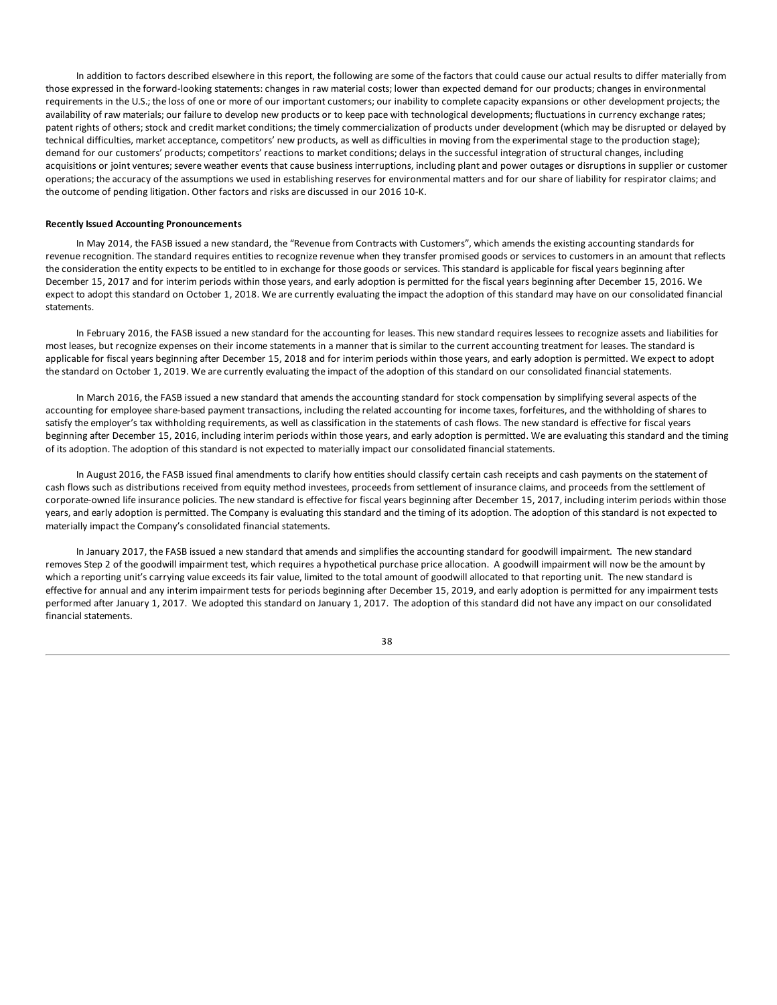In addition to factors described elsewhere in this report, the following are some of the factors that could cause our actual results to differ materially from those expressed in the forward-looking statements: changes in raw material costs; lower than expected demand for our products; changes in environmental requirements in the U.S.; the loss of one or more of our important customers; our inability to complete capacity expansions or other development projects; the availability of raw materials; our failure to develop new products or to keep pace with technological developments; fluctuations in currency exchange rates; patent rights of others; stock and credit market conditions; the timely commercialization of products under development (which may be disrupted or delayed by technical difficulties, market acceptance, competitors' new products, as well as difficulties in moving from the experimental stage to the production stage); demand for our customers' products; competitors' reactions to market conditions; delays in the successful integration of structural changes, including acquisitions or joint ventures; severe weather events that cause business interruptions, including plant and power outages or disruptions in supplier or customer operations; the accuracy of the assumptions we used in establishing reserves for environmental matters and for our share of liability for respirator claims; and the outcome of pending litigation. Other factors and risks are discussed in our 2016 10-K.

#### **Recently Issued Accounting Pronouncements**

In May 2014, the FASB issued a new standard, the "Revenue from Contracts with Customers", which amends the existing accounting standards for revenue recognition. The standard requires entities to recognize revenue when they transfer promised goods or services to customers in an amount that reflects the consideration the entity expects to be entitled to in exchange for those goods or services. This standard is applicable for fiscal years beginning after December 15, 2017 and for interim periods within those years, and early adoption is permitted for the fiscal years beginning after December 15, 2016. We expect to adopt this standard on October 1, 2018. We are currently evaluating the impact the adoption of this standard may have on our consolidated financial statements.

In February 2016, the FASB issued a new standard for the accounting for leases. This new standard requires lessees to recognize assets and liabilities for most leases, but recognize expenses on their income statements in a manner that is similar to the current accounting treatment for leases. The standard is applicable for fiscal years beginning after December 15, 2018 and for interim periods within those years, and early adoption is permitted. We expect to adopt the standard on October 1, 2019. We are currently evaluating the impact of the adoption of this standard on our consolidated financial statements.

In March 2016, the FASB issued a new standard that amends the accounting standard for stock compensation by simplifying several aspects of the accounting for employee share-based payment transactions, including the related accounting for income taxes, forfeitures, and the withholding of shares to satisfy the employer's tax withholding requirements, as well as classification in the statements of cash flows. The new standard is effective for fiscal years beginning after December 15, 2016, including interim periods within those years, and early adoption is permitted. We are evaluating this standard and the timing of its adoption. The adoption of this standard is not expected to materially impact our consolidated financial statements.

In August 2016, the FASB issued final amendments to clarify how entities should classify certain cash receipts and cash payments on the statement of cash flows such as distributions received from equity method investees, proceeds from settlement of insurance claims, and proceeds from the settlement of corporate-owned life insurance policies. The new standard is effective for fiscal years beginning after December 15, 2017, including interim periods within those years, and early adoption is permitted. The Company is evaluating this standard and the timing of its adoption. The adoption of this standard is not expected to materially impact the Company's consolidated financial statements.

In January 2017, the FASB issued a new standard that amends and simplifies the accounting standard for goodwill impairment. The new standard removes Step 2 of the goodwill impairment test, which requires a hypothetical purchase price allocation. A goodwill impairment will now be the amount by which a reporting unit's carrying value exceeds its fair value, limited to the total amount of goodwill allocated to that reporting unit. The new standard is effective for annual and any interim impairment tests for periods beginning after December 15, 2019, and early adoption is permitted for any impairment tests performed after January 1, 2017. We adopted this standard on January 1, 2017. The adoption of this standard did not have any impact on our consolidated financial statements.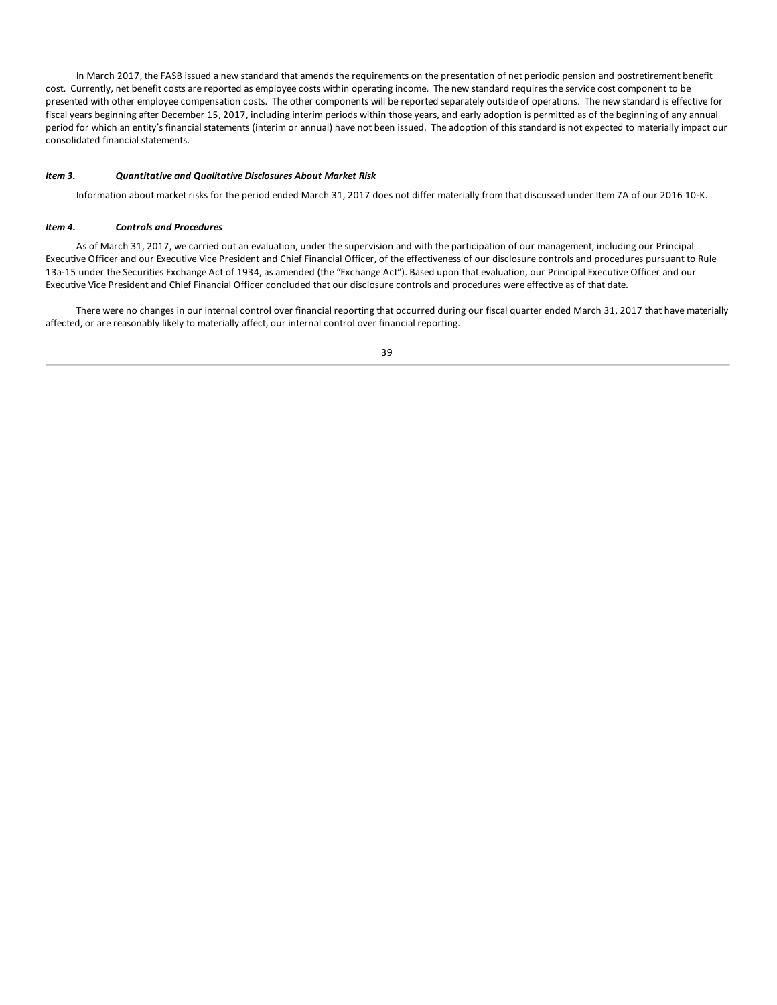<span id="page-38-0"></span>In March 2017, the FASB issued a new standard that amends the requirements on the presentation of net periodic pension and postretirement benefit cost. Currently, net benefit costs are reported as employee costs within operating income. The new standard requires the service cost component to be presented with other employee compensation costs. The other components will be reported separately outside of operations. The new standard is effective for fiscal years beginning after December 15, 2017, including interim periods within those years, and early adoption is permitted as of the beginning of any annual period for which an entity's financial statements (interim or annual) have not been issued. The adoption of this standard is not expected to materially impact our consolidated financial statements.

#### *Item 3. Quantitative and Qualitative Disclosures About Market Risk*

Information about market risks for the period ended March 31, 2017 does not differ materially from that discussed under Item 7A of our 2016 10-K.

#### *Item 4. Controls and Procedures*

As of March 31, 2017, we carried out an evaluation, under the supervision and with the participation of our management, including our Principal Executive Officer and our Executive Vice President and Chief Financial Officer, of the effectiveness of our disclosure controls and procedures pursuant to Rule 13a-15 under the Securities Exchange Act of 1934, as amended (the "Exchange Act"). Based upon that evaluation, our Principal Executive Officer and our Executive Vice President and Chief Financial Officer concluded that our disclosure controls and procedures were effective as of that date.

There were no changes in our internal control over financial reporting that occurred during our fiscal quarter ended March 31, 2017 that have materially affected, or are reasonably likely to materially affect, our internal control over financial reporting.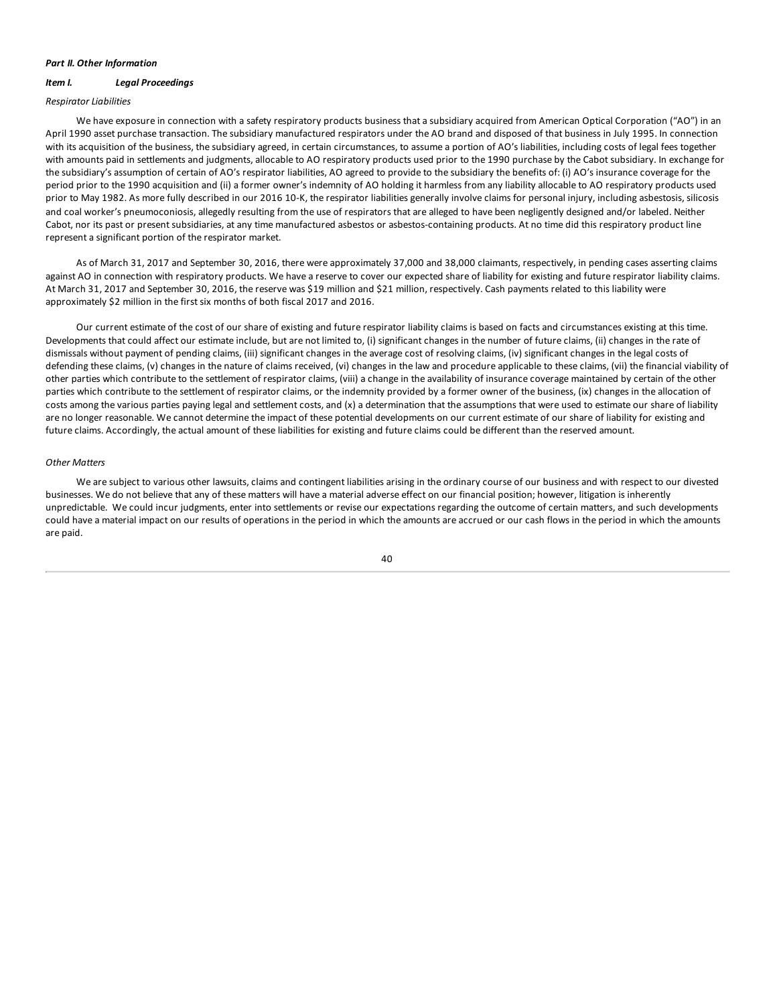#### <span id="page-39-0"></span>*Part II. Other Information*

## *Item I. Legal Proceedings*

#### *Respirator Liabilities*

We have exposure in connection with a safety respiratory products business that a subsidiary acquired from American Optical Corporation ("AO") in an April 1990 asset purchase transaction. The subsidiary manufactured respirators under the AO brand and disposed of that business in July 1995. In connection with its acquisition of the business, the subsidiary agreed, in certain circumstances, to assume a portion of AO's liabilities, including costs of legal fees together with amounts paid in settlements and judgments, allocable to AO respiratory products used prior to the 1990 purchase by the Cabot subsidiary. In exchange for the subsidiary's assumption of certain of AO's respirator liabilities, AO agreed to provide to the subsidiary the benefits of: (i) AO's insurance coverage for the period prior to the 1990 acquisition and (ii) a former owner's indemnity of AO holding it harmless from any liability allocable to AO respiratory products used prior to May 1982. As more fully described in our 2016 10-K, the respirator liabilities generally involve claims for personal injury, including asbestosis, silicosis and coal worker's pneumoconiosis, allegedly resulting from the use of respirators that are alleged to have been negligently designed and/or labeled. Neither Cabot, nor its past or present subsidiaries, at any time manufactured asbestos or asbestos-containing products. At no time did this respiratory product line represent a significant portion of the respirator market.

As of March 31, 2017 and September 30, 2016, there were approximately 37,000 and 38,000 claimants, respectively, in pending cases asserting claims against AO in connection with respiratory products. We have a reserve to cover our expected share of liability for existing and future respirator liability claims. At March 31, 2017 and September 30, 2016, the reserve was \$19 million and \$21 million, respectively. Cash payments related to this liability were approximately \$2 million in the first six months of both fiscal 2017 and 2016.

Our current estimate of the cost of our share of existing and future respirator liability claims is based on facts and circumstances existing at this time. Developments that could affect our estimate include, but are not limited to, (i) significant changes in the number of future claims, (ii) changes in the rate of dismissals without payment of pending claims, (iii) significant changes in the average cost of resolving claims, (iv) significant changes in the legal costs of defending these claims, (v) changes in the nature of claims received, (vi) changes in the law and procedure applicable to these claims, (vii) the financial viability of other parties which contribute to the settlement of respirator claims, (viii) a change in the availability of insurance coverage maintained by certain of the other parties which contribute to the settlement of respirator claims, or the indemnity provided by a former owner of the business, (ix) changes in the allocation of costs among the various parties paying legal and settlement costs, and (x) a determination that the assumptions that were used to estimate our share of liability are no longer reasonable. We cannot determine the impact of these potential developments on our current estimate of our share of liability for existing and future claims. Accordingly, the actual amount of these liabilities for existing and future claims could be different than the reserved amount.

#### *Other Matters*

We are subject to various other lawsuits, claims and contingent liabilities arising in the ordinary course of our business and with respect to our divested businesses. We do not believe that any of these matters will have a material adverse effect on our financial position; however, litigation is inherently unpredictable. We could incur judgments, enter into settlements or revise our expectations regarding the outcome of certain matters, and such developments could have a material impact on our results of operations in the period in which the amounts are accrued or our cash flows in the period in which the amounts are paid.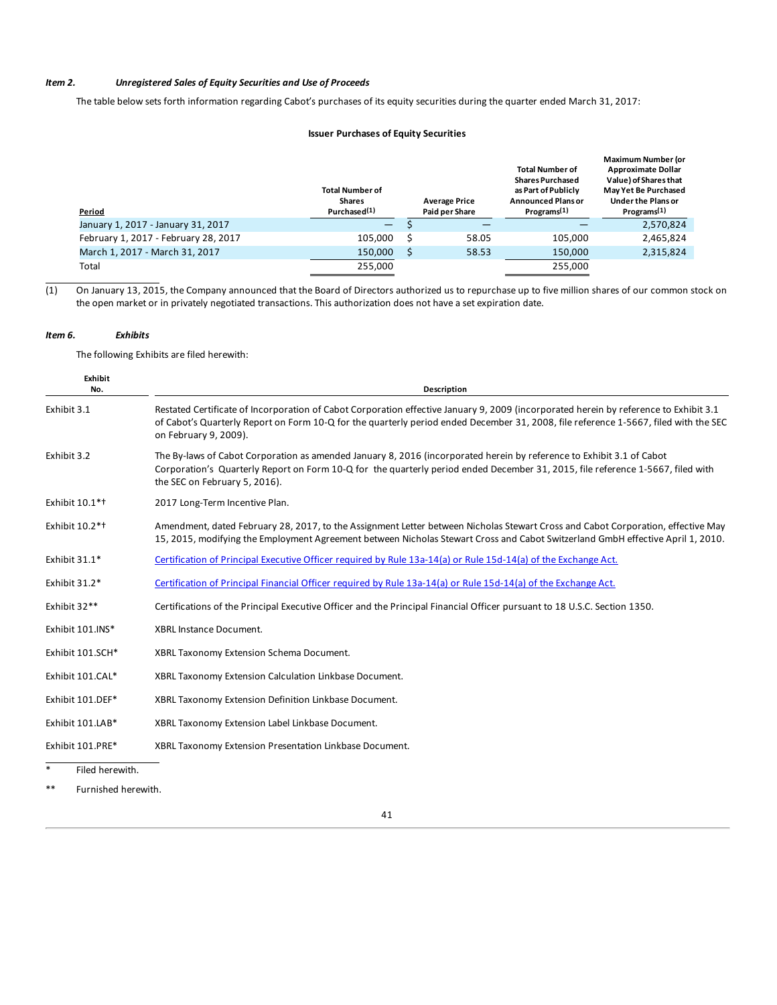## <span id="page-40-0"></span>*Item 2. Unregistered Sales of Equity Securities and Use of Proceeds*

The table below sets forth information regarding Cabot's purchases of its equity securities during the quarter ended March 31, 2017:

## **Issuer Purchases of Equity Securities**

| Period                               | <b>Total Number of</b><br><b>Shares</b><br>Purchased <sup>(1)</sup> | <b>Average Price</b><br>Paid per Share | <b>Total Number of</b><br><b>Shares Purchased</b><br>as Part of Publicly<br><b>Announced Plans or</b><br>Programs <sup>(1)</sup> | <b>Maximum Number (or</b><br><b>Approximate Dollar</b><br>Value) of Shares that<br>May Yet Be Purchased<br>Under the Plans or<br>Programs <sup>(1)</sup> |
|--------------------------------------|---------------------------------------------------------------------|----------------------------------------|----------------------------------------------------------------------------------------------------------------------------------|----------------------------------------------------------------------------------------------------------------------------------------------------------|
| January 1, 2017 - January 31, 2017   | -                                                                   |                                        |                                                                                                                                  | 2,570,824                                                                                                                                                |
| February 1, 2017 - February 28, 2017 | 105.000                                                             | 58.05                                  | 105,000                                                                                                                          | 2,465,824                                                                                                                                                |
| March 1, 2017 - March 31, 2017       | 150.000                                                             | 58.53                                  | 150,000                                                                                                                          | 2,315,824                                                                                                                                                |
| Total                                | 255,000                                                             |                                        | 255.000                                                                                                                          |                                                                                                                                                          |

 $(1)$  On January 13, 2015, the Company announced that the Board of Directors authorized us to repurchase up to five million shares of our common stock on the open market or in privately negotiated transactions. This authorization does not have a set expiration date.

## *Item 6. Exhibits*

The following Exhibits are filed herewith:

| Exhibit<br>No.             | Description                                                                                                                                                                                                                                                                                            |
|----------------------------|--------------------------------------------------------------------------------------------------------------------------------------------------------------------------------------------------------------------------------------------------------------------------------------------------------|
| Exhibit 3.1                | Restated Certificate of Incorporation of Cabot Corporation effective January 9, 2009 (incorporated herein by reference to Exhibit 3.1<br>of Cabot's Quarterly Report on Form 10-Q for the quarterly period ended December 31, 2008, file reference 1-5667, filed with the SEC<br>on February 9, 2009). |
| Exhibit 3.2                | The By-laws of Cabot Corporation as amended January 8, 2016 (incorporated herein by reference to Exhibit 3.1 of Cabot<br>Corporation's Quarterly Report on Form 10-Q for the quarterly period ended December 31, 2015, file reference 1-5667, filed with<br>the SEC on February 5, 2016).              |
| Exhibit 10.1* <sup>+</sup> | 2017 Long-Term Incentive Plan.                                                                                                                                                                                                                                                                         |
| Exhibit 10.2* <sup>+</sup> | Amendment, dated February 28, 2017, to the Assignment Letter between Nicholas Stewart Cross and Cabot Corporation, effective May<br>15, 2015, modifying the Employment Agreement between Nicholas Stewart Cross and Cabot Switzerland GmbH effective April 1, 2010.                                    |
| Exhibit 31.1*              | Certification of Principal Executive Officer required by Rule 13a-14(a) or Rule 15d-14(a) of the Exchange Act.                                                                                                                                                                                         |
| Exhibit 31.2*              | Certification of Principal Financial Officer required by Rule 13a-14(a) or Rule 15d-14(a) of the Exchange Act.                                                                                                                                                                                         |
| Exhibit 32**               | Certifications of the Principal Executive Officer and the Principal Financial Officer pursuant to 18 U.S.C. Section 1350.                                                                                                                                                                              |
| Exhibit 101.INS*           | <b>XBRL Instance Document.</b>                                                                                                                                                                                                                                                                         |
| Exhibit 101.SCH*           | XBRL Taxonomy Extension Schema Document.                                                                                                                                                                                                                                                               |
| Exhibit 101.CAL*           | XBRL Taxonomy Extension Calculation Linkbase Document.                                                                                                                                                                                                                                                 |
| Exhibit 101.DEF*           | XBRL Taxonomy Extension Definition Linkbase Document.                                                                                                                                                                                                                                                  |
| Exhibit 101.LAB*           | XBRL Taxonomy Extension Label Linkbase Document.                                                                                                                                                                                                                                                       |
| Exhibit 101.PRE*           | XBRL Taxonomy Extension Presentation Linkbase Document.                                                                                                                                                                                                                                                |
| $\ast$<br>Filed herewith.  |                                                                                                                                                                                                                                                                                                        |

\*\* Furnished herewith.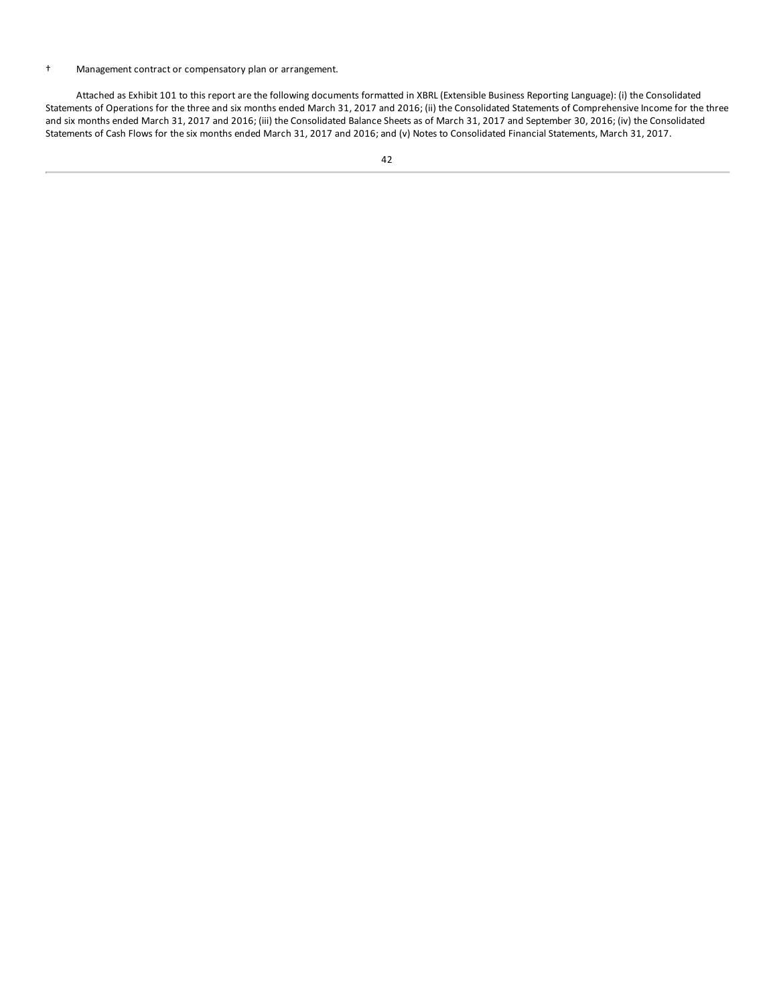## † Management contract or compensatory plan or arrangement.

Attached as Exhibit 101 to this report are the following documents formatted in XBRL (Extensible Business Reporting Language): (i) the Consolidated Statements of Operations for the three and six months ended March 31, 2017 and 2016; (ii) the Consolidated Statements of Comprehensive Income for the three and six months ended March 31, 2017 and 2016; (iii) the Consolidated Balance Sheets as of March 31, 2017 and September 30, 2016; (iv) the Consolidated Statements of Cash Flows for the six months ended March 31, 2017 and 2016; and (v) Notes to Consolidated Financial Statements, March 31, 2017.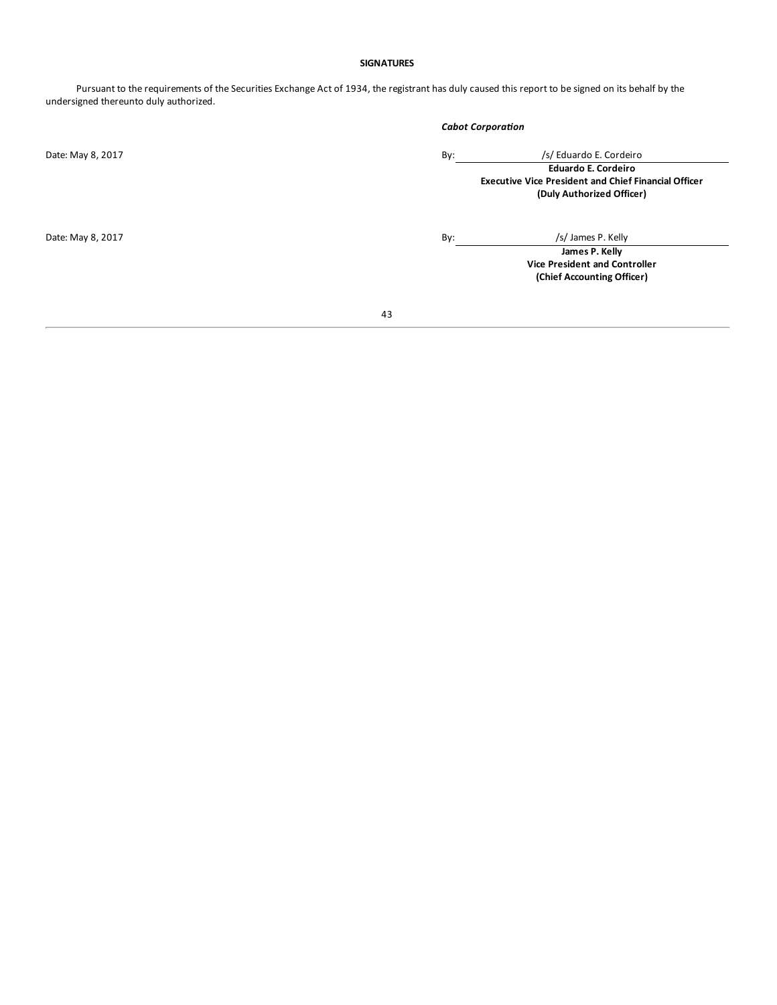## **SIGNATURES**

Pursuant to the requirements of the Securities Exchange Act of 1934, the registrant has duly caused this report to be signed on its behalf by the undersigned thereunto duly authorized.

*Cabot Corporation* 

Date: May 8, 2017 <br>
By: /s/ Eduardo E. Cordeiro **Eduardo E. Cordeiro Executive Vice President and Chief Financial Officer (Duly Authorized Officer)** Date: May 8, 2017 **By:** All 2017 **By:** All 2017 **By:** All 2017 **By:** All 2017 **By:** All 2017 **By:** All 2017 **By:** All 2017 **By:** All 2017 **By:** All 2017 **By:** All 2017 **By:** All 2018 **By:** All 2018 **By:** All 2018 **By:** All **James P. Kelly Vice President and Controller (Chief Accounting Officer)** 43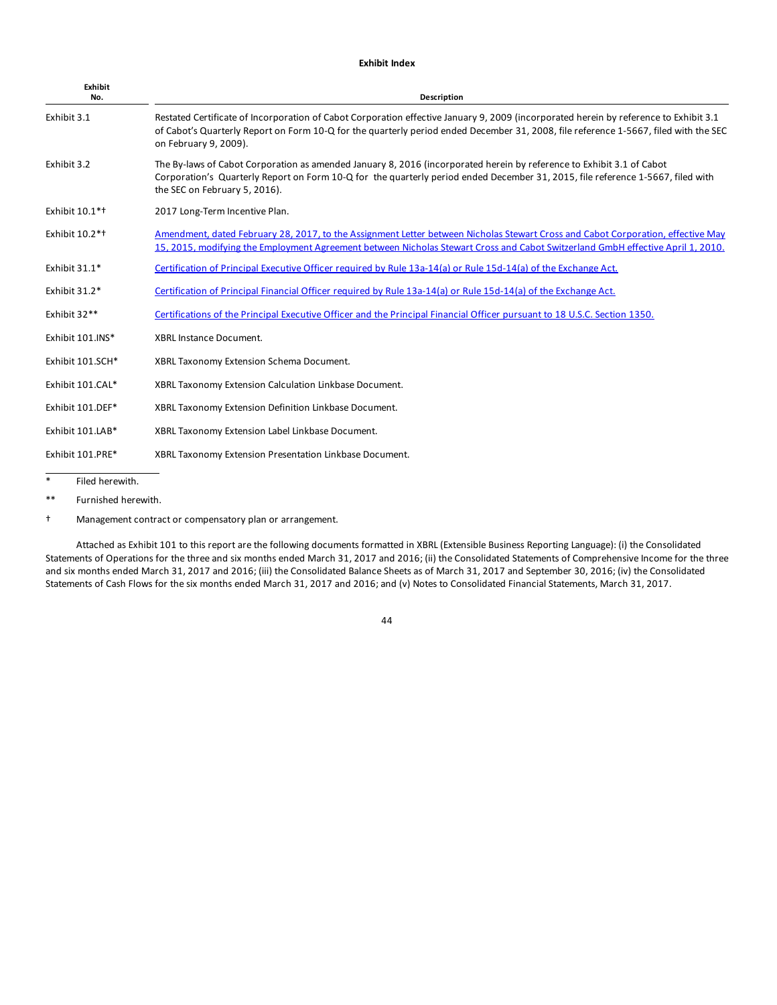## **Exhibit Index**

| Exhibit<br>No.             | <b>Description</b>                                                                                                                                                                                                                                                                                     |
|----------------------------|--------------------------------------------------------------------------------------------------------------------------------------------------------------------------------------------------------------------------------------------------------------------------------------------------------|
| Exhibit 3.1                | Restated Certificate of Incorporation of Cabot Corporation effective January 9, 2009 (incorporated herein by reference to Exhibit 3.1<br>of Cabot's Quarterly Report on Form 10-Q for the quarterly period ended December 31, 2008, file reference 1-5667, filed with the SEC<br>on February 9, 2009). |
| Exhibit 3.2                | The By-laws of Cabot Corporation as amended January 8, 2016 (incorporated herein by reference to Exhibit 3.1 of Cabot<br>Corporation's Quarterly Report on Form 10-Q for the quarterly period ended December 31, 2015, file reference 1-5667, filed with<br>the SEC on February 5, 2016).              |
| Exhibit 10.1* <sup>†</sup> | 2017 Long-Term Incentive Plan.                                                                                                                                                                                                                                                                         |
| Exhibit 10.2* <sup>+</sup> | Amendment, dated February 28, 2017, to the Assignment Letter between Nicholas Stewart Cross and Cabot Corporation, effective May<br>15, 2015, modifying the Employment Agreement between Nicholas Stewart Cross and Cabot Switzerland GmbH effective April 1, 2010.                                    |
| Exhibit 31.1*              | Certification of Principal Executive Officer required by Rule 13a-14(a) or Rule 15d-14(a) of the Exchange Act.                                                                                                                                                                                         |
| Exhibit 31.2*              | Certification of Principal Financial Officer required by Rule 13a-14(a) or Rule 15d-14(a) of the Exchange Act.                                                                                                                                                                                         |
| Exhibit 32**               | Certifications of the Principal Executive Officer and the Principal Financial Officer pursuant to 18 U.S.C. Section 1350.                                                                                                                                                                              |
| Exhibit 101.INS*           | <b>XBRL Instance Document.</b>                                                                                                                                                                                                                                                                         |
| Exhibit 101.SCH*           | XBRL Taxonomy Extension Schema Document.                                                                                                                                                                                                                                                               |
| Exhibit 101.CAL*           | XBRL Taxonomy Extension Calculation Linkbase Document.                                                                                                                                                                                                                                                 |
| Exhibit 101.DEF*           | XBRL Taxonomy Extension Definition Linkbase Document.                                                                                                                                                                                                                                                  |
| Exhibit 101.LAB*           | XBRL Taxonomy Extension Label Linkbase Document.                                                                                                                                                                                                                                                       |
| Exhibit 101.PRE*           | XBRL Taxonomy Extension Presentation Linkbase Document.                                                                                                                                                                                                                                                |

\* Filed herewith.

Attached as Exhibit 101 to this report are the following documents formatted in XBRL (Extensible Business Reporting Language): (i) the Consolidated Statements of Operations for the three and six months ended March 31, 2017 and 2016; (ii) the Consolidated Statements of Comprehensive Income for the three and six months ended March 31, 2017 and 2016; (iii) the Consolidated Balance Sheets as of March 31, 2017 and September 30, 2016; (iv) the Consolidated Statements of Cash Flows for the six months ended March 31, 2017 and 2016; and (v) Notes to Consolidated Financial Statements, March 31, 2017.

<sup>\*\*</sup> Furnished herewith.

<sup>†</sup> Management contract or compensatory plan or arrangement.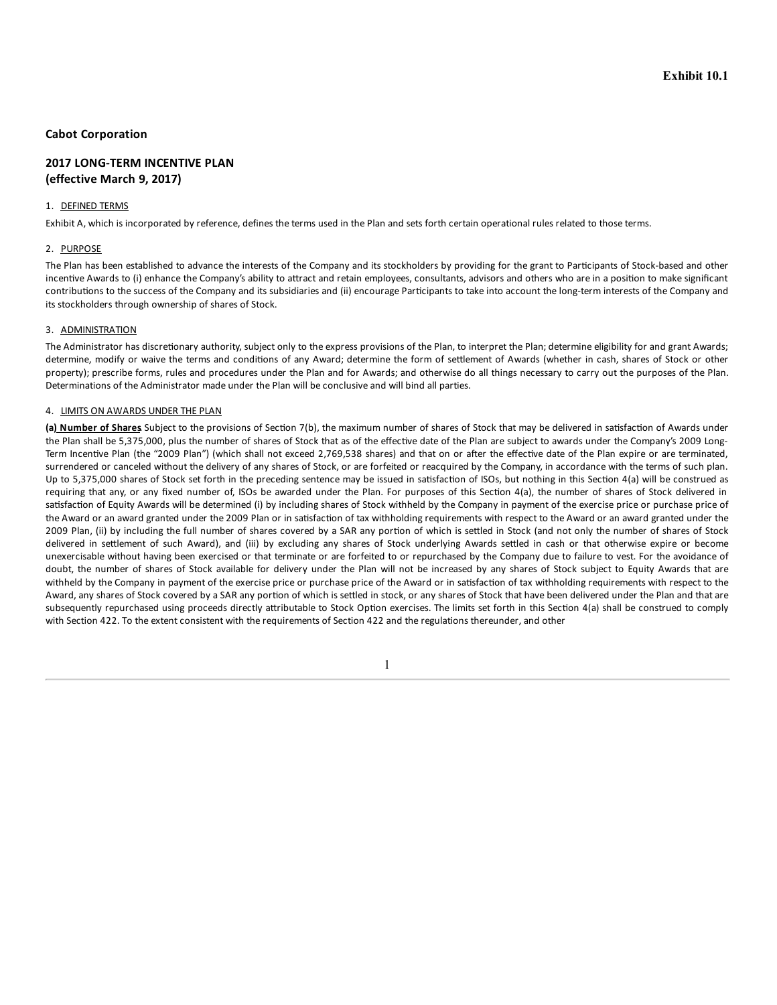## **Cabot Corporation**

## **2017 LONG-TERM INCENTIVE PLAN (effective March 9, 2017)**

#### 1. DEFINED TERMS

Exhibit A, which is incorporated by reference, defines the terms used in the Plan and sets forth certain operational rules related to those terms.

#### 2. PURPOSE

The Plan has been established to advance the interests of the Company and its stockholders by providing for the grant to Participants of Stock-based and other incentive Awards to (i) enhance the Company's ability to attract and retain employees, consultants, advisors and others who are in a position to make significant contributions to the success of the Company and its subsidiaries and (ii) encourage Participants to take into account the long-term interests of the Company and its stockholders through ownership of shares of Stock.

#### 3. ADMINISTRATION

The Administrator has discretionary authority, subject only to the express provisions of the Plan, to interpret the Plan; determine eligibility for and grant Awards; determine, modify or waive the terms and conditions of any Award; determine the form of settlement of Awards (whether in cash, shares of Stock or other property); prescribe forms, rules and procedures under the Plan and for Awards; and otherwise do all things necessary to carry out the purposes of the Plan. Determinations of the Administrator made under the Plan will be conclusive and will bind all parties.

## 4. LIMITS ON AWARDS UNDER THE PLAN

(a) Number of Shares Subject to the provisions of Section 7(b), the maximum number of shares of Stock that may be delivered in satisfaction of Awards under the Plan shall be 5,375,000, plus the number of shares of Stock that as of the effective date of the Plan are subject to awards under the Company's 2009 Long-Term Incentive Plan (the "2009 Plan") (which shall not exceed 2,769,538 shares) and that on or after the effective date of the Plan expire or are terminated, surrendered or canceled without the delivery of any shares of Stock, or are forfeited or reacquired by the Company, in accordance with the terms of such plan. Up to 5,375,000 shares of Stock set forth in the preceding sentence may be issued in satisfaction of ISOs, but nothing in this Section 4(a) will be construed as requiring that any, or any fixed number of, ISOs be awarded under the Plan. For purposes of this Section 4(a), the number of shares of Stock delivered in satisfaction of Equity Awards will be determined (i) by including shares of Stock withheld by the Company in payment of the exercise price or purchase price of the Award or an award granted under the 2009 Plan or in satisfaction of tax withholding requirements with respect to the Award or an award granted under the 2009 Plan, (ii) by including the full number of shares covered by a SAR any portion of which is settled in Stock (and not only the number of shares of Stock delivered in settlement of such Award), and (iii) by excluding any shares of Stock underlying Awards settled in cash or that otherwise expire or become unexercisable without having been exercised or that terminate or are forfeited to or repurchased by the Company due to failure to vest. For the avoidance of doubt, the number of shares of Stock available for delivery under the Plan will not be increased by any shares of Stock subject to Equity Awards that are withheld by the Company in payment of the exercise price or purchase price of the Award or in satisfaction of tax withholding requirements with respect to the Award, any shares of Stock covered by a SAR any portion of which is settled in stock, or any shares of Stock that have been delivered under the Plan and that are subsequently repurchased using proceeds directly attributable to Stock Option exercises. The limits set forth in this Section 4(a) shall be construed to comply with Section 422. To the extent consistent with the requirements of Section 422 and the regulations thereunder, and other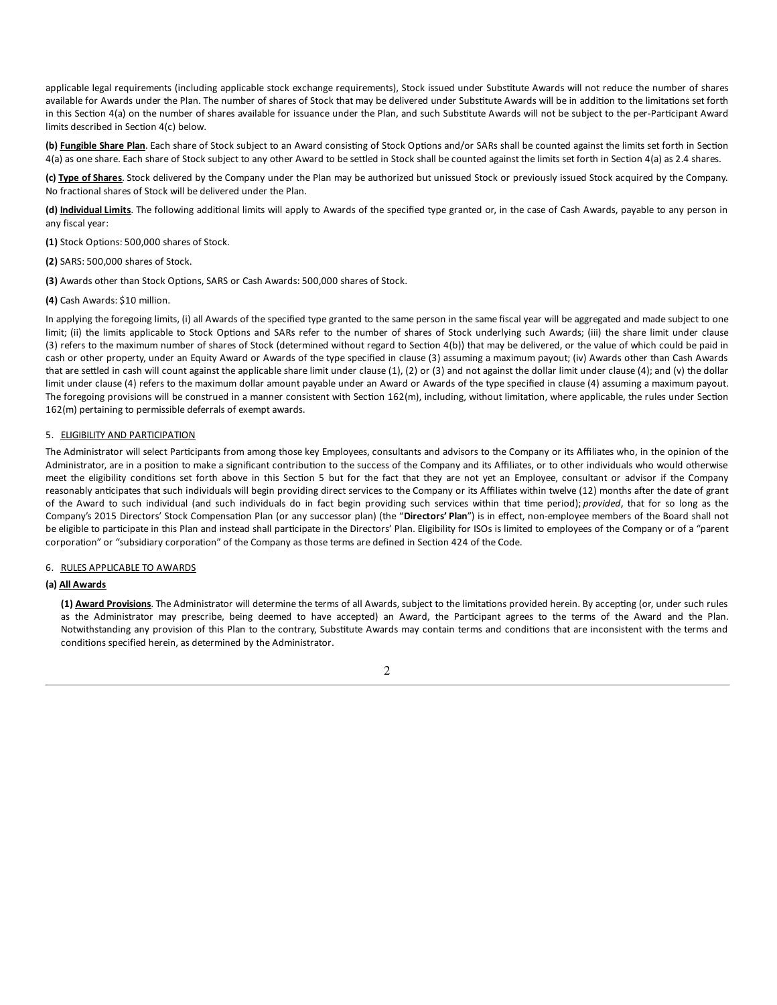applicable legal requirements (including applicable stock exchange requirements), Stock issued under Substitute Awards will not reduce the number of shares available for Awards under the Plan. The number of shares of Stock that may be delivered under Substitute Awards will be in addition to the limitations set forth in this Section 4(a) on the number of shares available for issuance under the Plan, and such Substitute Awards will not be subject to the per-Participant Award limits described in Section 4(c) below.

(b) **Fungible Share Plan**. Each share of Stock [subject](#page-2-0) to an Award consisting of Stock Options and/or SARs shall be counted against the limits set forth in Section 4(a) as one share. Each share of Stock [subject](#page-3-0) to any other Award to be settled in Stock shall be counted against the limits set forth in Section 4(a) as 2.4 shares.

**(c) Type of Shares**. Stock [delivered](#page-4-0) by the Company under the Plan may be authorized but unissued Stock or previously issued Stock acquired by the Company. No fractional shares of Stock will be [delivered](#page-6-0) under the Plan.

(d) Individual Limits. The following additional limits will apply to Awards of the specified type granted or, in the case of Cash Awards, payable to any person in any fiscal year:

**(1)** Stock Options: 500,000 [shares](#page-26-0) of Stock.

**(2)** SARS: 500,000 shares of [Stock.](#page-38-0)

**(3)** Awards [other](#page-39-0) than Stock Options, SARS or Cash Awards: 500,000 shares of Stock.

**(4)** Cash Awards: \$10 [million.](#page-39-0)

In applying the foregoing limits, (i) all Awards of the [specified](#page-40-0) type granted to the same person in the same fiscal year will be aggregated and made subject to one limit; (ii) the limits a[pplicable](#page-40-0) to Stock Options and SARs refer to the number of shares of Stock underlying such Awards; (iii) the share limit under clause (3) refers to the maximum number of shares of Stock (determined without regard to Section 4(b)) that may be delivered, or the value of which could be paid in cash or other property, under an Equity Award or Awards of the type specified in clause (3) assuming a maximum payout; (iv) Awards other than Cash Awards that are settled in cash will count against the applicable share limit under clause  $(1)$ ,  $(2)$  or  $(3)$  and not against the dollar limit under clause  $(4)$ ; and  $(v)$  the dollar limit under clause (4) refers to the maximum dollar amount payable under an Award or Awards of the type specified in clause (4) assuming a maximum payout. The foregoing provisions will be construed in a manner consistent with Section  $162(m)$ , including, without limitation, where applicable, the rules under Section 162(m) pertaining to permissible deferrals of exempt awards.

#### 5. ELIGIBILITY AND PARTICIPATION

The Administrator will select Participants from among those key Employees, consultants and advisors to the Company or its Affiliates who, in the opinion of the Administrator, are in a position to make a significant contribution to the success of the Company and its Affiliates, or to other individuals who would otherwise meet the eligibility conditions set forth above in this Section 5 but for the fact that they are not yet an Employee, consultant or advisor if the Company reasonably anticipates that such individuals will begin providing direct services to the Company or its Affiliates within twelve (12) months after the date of grant of the Award to such individual (and such individuals do in fact begin providing such services within that time period); *provided*, that for so long as the Company's 2015 Directors' Stock Compensation Plan (or any successor plan) (the "Directors' Plan") is in effect, non-employee members of the Board shall not be eligible to participate in this Plan and instead shall participate in the Directors' Plan. Eligibility for ISOs is limited to employees of the Company or of a "parent corporation" or "subsidiary corporation" of the Company as those terms are defined in Section 424 of the Code.

#### 6. RULES APPLICABLE TO AWARDS

#### **(a) All Awards**

(1) Award Provisions. The Administrator will determine the terms of all Awards, subject to the limitations provided herein. By accepting (or, under such rules as the Administrator may prescribe, being deemed to have accepted) an Award, the Participant agrees to the terms of the Award and the Plan. Notwithstanding any provision of this Plan to the contrary, Substitute Awards may contain terms and conditions that are inconsistent with the terms and conditions specified herein, as determined by the Administrator.

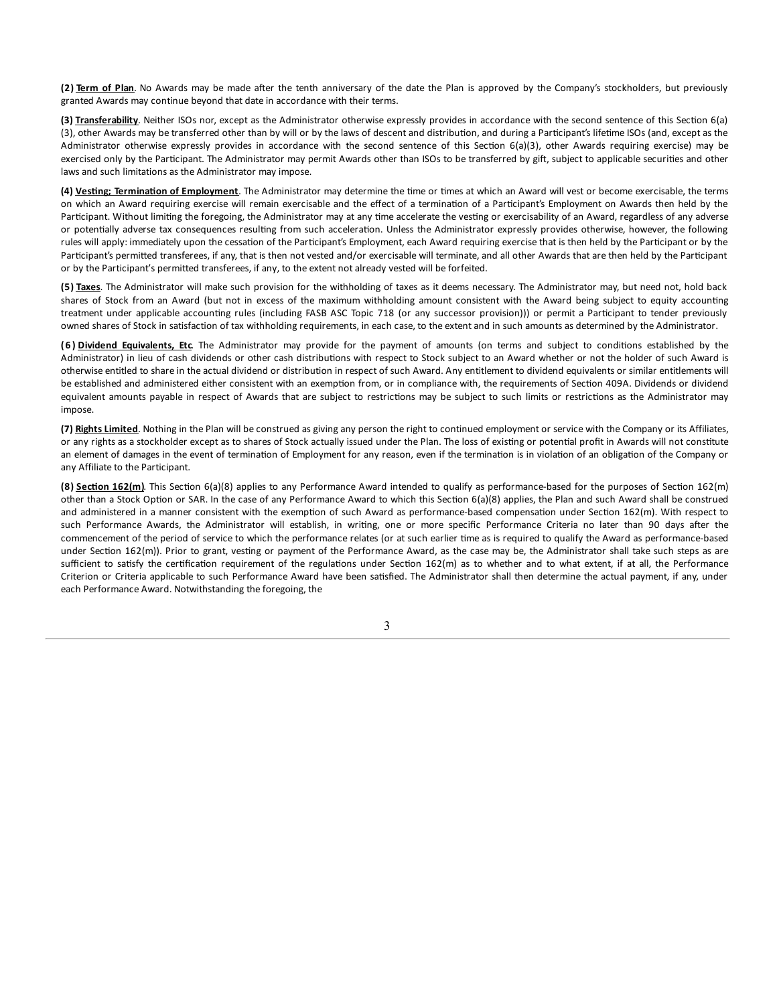(2) Term of Plan. No Awards may be made after the tenth anniversary of the date the Plan is approved by the Company's stockholders, but previously granted Awards may continue beyond that date in accordance with their terms.

(3) **Transferability**. Neither ISOs nor, except as the Administrator otherwise expressly provides in accordance with the second sentence of this Section 6(a) (3), other Awards may be transferred other than by will or by the laws of descent and distribution, and during a Participant's lifetime ISOs (and, except as the Administrator otherwise expressly provides in accordance with the second sentence of this Section  $6(a)(3)$ , other Awards requiring exercise) may be exercised only by the Participant. The Administrator may permit Awards other than ISOs to be transferred by gift, subject to applicable securities and other laws and such limitations as the Administrator may impose.

(4) Vesting; Termination of Employment. The Administrator may determine the time or times at which an Award will vest or become exercisable, the terms on which an Award requiring exercise will remain exercisable and the effect of a termination of a Participant's Employment on Awards then held by the Participant. Without limiting the foregoing, the Administrator may at any time accelerate the vesting or exercisability of an Award, regardless of any adverse or potentially adverse tax consequences resulting from such acceleration. Unless the Administrator expressly provides otherwise, however, the following rules will apply: immediately upon the cessation of the Participant's Employment, each Award requiring exercise that is then held by the Participant or by the Participant's permitted transferees, if any, that is then not vested and/or exercisable will terminate, and all other Awards that are then held by the Participant or by the Participant's permitted transferees, if any, to the extent not already vested will be forfeited.

**(5) Taxes**. The Administrator will make such provision for the withholding of taxes as it deems necessary. The Administrator may, but need not, hold back shares of Stock from an Award (but not in excess of the maximum withholding amount consistent with the Award being subject to equity accounting treatment under applicable accounting rules (including FASB ASC Topic 718 (or any successor provision))) or permit a Participant to tender previously owned shares of Stock in satisfaction of tax withholding requirements, in each case, to the extent and in such amounts as determined by the Administrator.

(6) Dividend Equivalents, Etc. The Administrator may provide for the payment of amounts (on terms and subject to conditions established by the Administrator) in lieu of cash dividends or other cash distributions with respect to Stock subject to an Award whether or not the holder of such Award is otherwise entitled to share in the actual dividend or distribution in respect of such Award. Any entitlement to dividend equivalents or similar entitlements will be established and administered either consistent with an exemption from, or in compliance with, the requirements of Section 409A. Dividends or dividend equivalent amounts payable in respect of Awards that are subject to restrictions may be subject to such limits or restrictions as the Administrator may impose.

**(7) Rights Limited**. Nothing in the Plan will be construed as giving any person the right to continued employment or service with the Company or its Affiliates, or any rights as a stockholder except as to shares of Stock actually issued under the Plan. The loss of existing or potential profit in Awards will not constitute an element of damages in the event of termination of Employment for any reason, even if the termination is in violation of an obligation of the Company or any Affiliate to the Participant.

**(8)** Section 162(m). This Section 6(a)(8) applies to any Performance Award intended to qualify as performance-based for the purposes of Section 162(m) other than a Stock Option or SAR. In the case of any Performance Award to which this Section 6(a)(8) applies, the Plan and such Award shall be construed and administered in a manner consistent with the exemption of such Award as performance-based compensation under Section 162(m). With respect to such Performance Awards, the Administrator will establish, in writing, one or more specific Performance Criteria no later than 90 days after the commencement of the period of service to which the performance relates (or at such earlier time as is required to qualify the Award as performance-based under Section 162(m)). Prior to grant, vesting or payment of the Performance Award, as the case may be, the Administrator shall take such steps as are sufficient to satisfy the certification requirement of the regulations under Section 162(m) as to whether and to what extent, if at all, the Performance Criterion or Criteria applicable to such Performance Award have been satisfied. The Administrator shall then determine the actual payment, if any, under each Performance Award. Notwithstanding the foregoing, the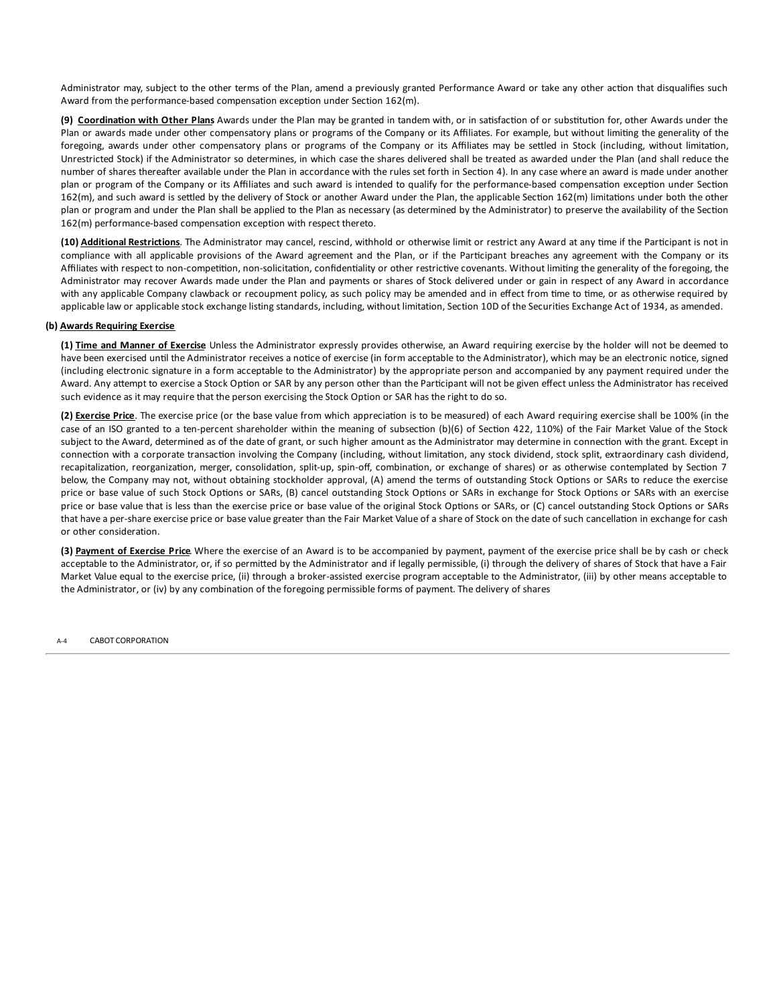Administrator may, subject to the other terms of the Plan, amend a previously granted Performance Award or take any other action that disqualifies such Award from the performance-based compensation exception under Section 162(m).

(9) **Coordination with Other Plans** Awards under the Plan may be granted in tandem with, or in satisfaction of or substitution for, other Awards under the Plan or awards made under other compensatory plans or programs of the Company or its Affiliates. For example, but without limiting the generality of the foregoing, awards under other compensatory plans or programs of the Company or its Affiliates may be settled in Stock (including, without limitation, Unrestricted Stock) if the Administrator so determines, in which case the shares delivered shall be treated as awarded under the Plan (and shall reduce the number of shares thereafter available under the Plan in accordance with the rules set forth in Section 4). In any case where an award is made under another plan or program of the Company or its Affiliates and such award is intended to qualify for the performance-based compensation exception under Section 162(m), and such award is settled by the delivery of Stock or another Award under the Plan, the applicable Section 162(m) limitations under both the other plan or program and under the Plan shall be applied to the Plan as necessary (as determined by the Administrator) to preserve the availability of the Section 162(m) performance-based compensation exception with respect thereto.

**(10)** Additional Restrictions. The Administrator may cancel, rescind, withhold or otherwise limit or restrict any Award at any time if the Participant is not in compliance with all applicable provisions of the Award agreement and the Plan, or if the Participant breaches any agreement with the Company or its Affiliates with respect to non-competition, non-solicitation, confidentiality or other restrictive covenants. Without limiting the generality of the foregoing, the Administrator may recover Awards made under the Plan and payments or shares of Stock delivered under or gain in respect of any Award in accordance with any applicable Company clawback or recoupment policy, as such policy may be amended and in effect from time to time, or as otherwise required by applicable law or applicable stock exchange listing standards, including, without limitation, Section 10D of the Securities Exchange Act of 1934, as amended.

#### **(b) Awards Requiring Exercise**

**(1) Time and Manner of Exercise**. Unless the Administrator expressly provides otherwise, an Award requiring exercise by the holder will not be deemed to have been exercised until the Administrator receives a notice of exercise (in form acceptable to the Administrator), which may be an electronic notice, signed (including electronic signature in a form acceptable to the Administrator) by the appropriate person and accompanied by any payment required under the Award. Any attempt to exercise a Stock Option or SAR by any person other than the Participant will not be given effect unless the Administrator has received such evidence as it may require that the person exercising the Stock Option or SAR has the right to do so.

(2) **Exercise Price**. The exercise price (or the base value from which appreciation is to be measured) of each Award requiring exercise shall be 100% (in the case of an ISO granted to a ten-percent shareholder within the meaning of subsection  $(b)(6)$  of Section 422, 110%) of the Fair Market Value of the Stock subject to the Award, determined as of the date of grant, or such higher amount as the Administrator may determine in connection with the grant. Except in connection with a corporate transaction involving the Company (including, without limitation, any stock dividend, stock split, extraordinary cash dividend, recapitalization, reorganization, merger, consolidation, split-up, spin-off, combination, or exchange of shares) or as otherwise contemplated by Section 7 below, the Company may not, without obtaining stockholder approval, (A) amend the terms of outstanding Stock Options or SARs to reduce the exercise price or base value of such Stock Options or SARs, (B) cancel outstanding Stock Options or SARs in exchange for Stock Options or SARs with an exercise price or base value that is less than the exercise price or base value of the original Stock Options or SARs, or (C) cancel outstanding Stock Options or SARs that have a per-share exercise price or base value greater than the Fair Market Value of a share of Stock on the date of such cancellation in exchange for cash or other consideration.

**(3) Payment of Exercise Price**. Where the exercise of an Award is to be accompanied by payment, payment of the exercise price shall be by cash or check acceptable to the Administrator, or, if so permitted by the Administrator and if legally permissible, (i) through the delivery of shares of Stock that have a Fair Market Value equal to the exercise price, (ii) through a broker-assisted exercise program acceptable to the Administrator, (iii) by other means acceptable to the Administrator, or (iv) by any combination of the foregoing permissible forms of payment. The delivery of shares

A-4 CABOT CORPORATION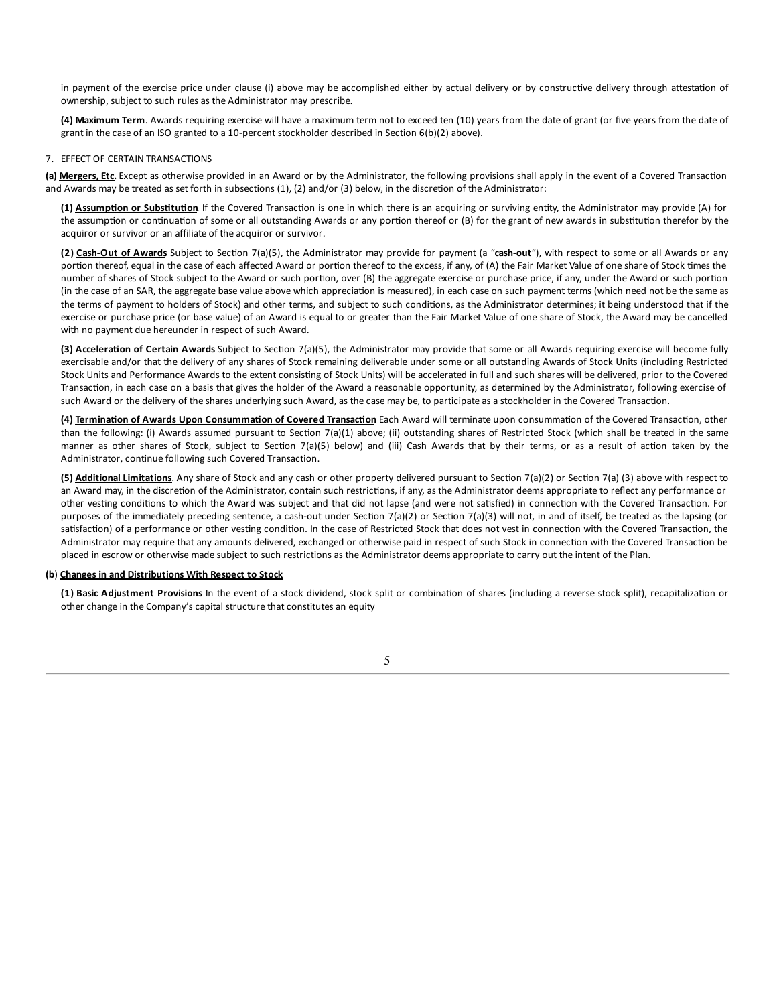in payment of the exercise price under clause (i) above may be accomplished either by actual delivery or by constructive delivery through attestation of ownership, subject to such rules as the Administrator may prescribe.

**(4) Maximum Term**. Awards requiring exercise will have a maximum term not to exceed ten (10) years from the date of grant (or five years from the date of grant in the case of an ISO granted to a 10-percent stockholder described in Section 6(b)(2) above).

#### 7. EFFECT OF CERTAIN TRANSACTIONS

(a) Mergers, Etc. Except as otherwise provided in an Award or by the Administrator, the following provisions shall apply in the event of a Covered Transaction and Awards may be treated as set forth in subsections (1), (2) and/or (3) below, in the discretion of the Administrator:

(1) **Assumption or Substitution** If the Covered Transaction is one in which there is an acquiring or surviving entity, the Administrator may provide (A) for the assumption or continuation of some or all outstanding Awards or any portion thereof or (B) for the grant of new awards in substitution therefor by the acquiror or survivor or an affiliate of the acquiror or survivor.

(2) Cash-Out of Awards Subject to Section 7(a)(5), the Administrator may provide for payment (a "cash-out"), with respect to some or all Awards or any portion thereof, equal in the case of each affected Award or portion thereof to the excess, if any, of (A) the Fair Market Value of one share of Stock times the number of shares of Stock subject to the Award or such portion, over (B) the aggregate exercise or purchase price, if any, under the Award or such portion (in the case of an SAR, the aggregate base value above which appreciation is measured), in each case on such payment terms (which need not be the same as the terms of payment to holders of Stock) and other terms, and subject to such conditions, as the Administrator determines; it being understood that if the exercise or purchase price (or base value) of an Award is equal to or greater than the Fair Market Value of one share of Stock, the Award may be cancelled with no payment due hereunder in respect of such Award.

(3) **Acceleration of Certain Awards** Subject to Section 7(a)(5), the Administrator may provide that some or all Awards requiring exercise will become fully exercisable and/or that the delivery of any shares of Stock remaining deliverable under some or all outstanding Awards of Stock Units (including Restricted Stock Units and Performance Awards to the extent consisting of Stock Units) will be accelerated in full and such shares will be delivered, prior to the Covered Transaction, in each case on a basis that gives the holder of the Award a reasonable opportunity, as determined by the Administrator, following exercise of such Award or the delivery of the shares underlying such Award, as the case may be, to participate as a stockholder in the Covered Transaction.

(4) **Termination of Awards Upon Consummation of Covered Transaction Each Award will terminate upon consummation of the Covered Transaction, other** than the following: (i) Awards assumed pursuant to Section 7(a)(1) above; (ii) outstanding shares of Restricted Stock (which shall be treated in the same manner as other shares of Stock, subject to Section 7(a)(5) below) and (iii) Cash Awards that by their terms, or as a result of action taken by the Administrator, continue following such Covered Transaction.

(5) **Additional Limitations**. Any share of Stock and any cash or other property delivered pursuant to Section 7(a)(2) or Section 7(a) (3) above with respect to an Award may, in the discretion of the Administrator, contain such restrictions, if any, as the Administrator deems appropriate to reflect any performance or other vesting conditions to which the Award was subject and that did not lapse (and were not satisfied) in connection with the Covered Transaction. For purposes of the immediately preceding sentence, a cash-out under Section 7(a)(2) or Section 7(a)(3) will not, in and of itself, be treated as the lapsing (or satisfaction) of a performance or other vesting condition. In the case of Restricted Stock that does not vest in connection with the Covered Transaction, the Administrator may require that any amounts delivered, exchanged or otherwise paid in respect of such Stock in connection with the Covered Transaction be placed in escrow or otherwise made subject to such restrictions as the Administrator deems appropriate to carry out the intent of the Plan.

## **(b**) **Changes in and Distributions With Respect to Stock**

**(1)** Basic Adjustment Provisions In the event of a stock dividend, stock split or combination of shares (including a reverse stock split), recapitalization or other change in the Company's capital structure that constitutes an equity

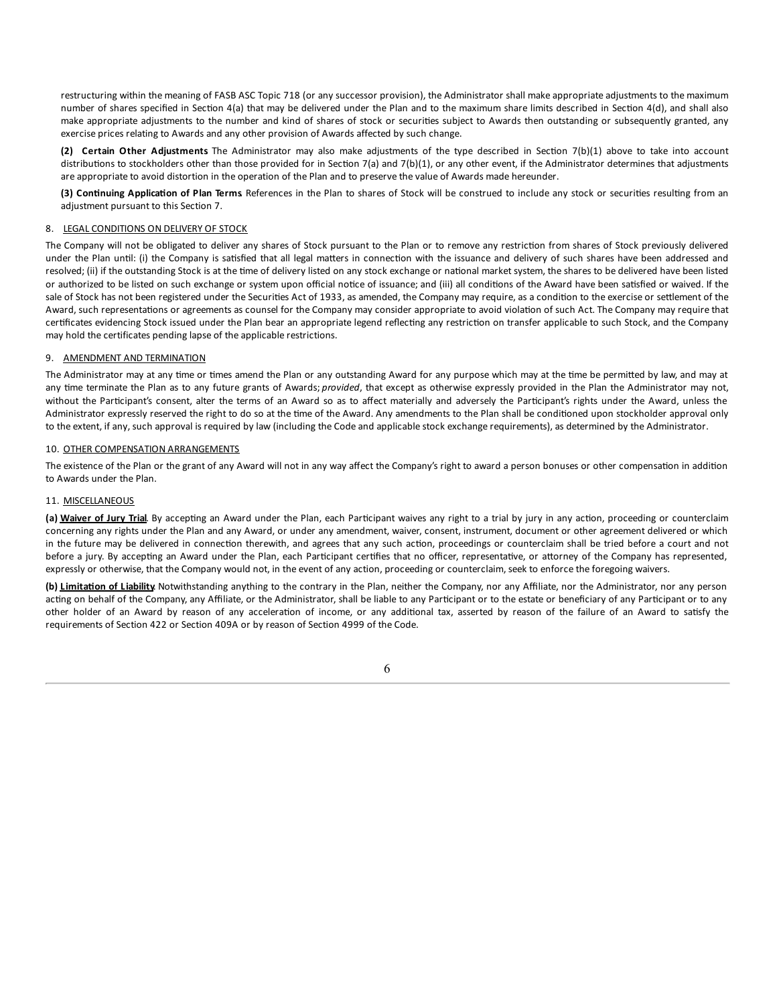restructuring within the meaning of FASB ASC Topic 718 (or any successor provision), the Administrator shall make appropriate adjustments to the maximum number of shares specified in Section 4(a) that may be delivered under the Plan and to the maximum share limits described in Section 4(d), and shall also make appropriate adjustments to the number and kind of shares of stock or securities subject to Awards then outstanding or subsequently granted, any exercise prices relating to Awards and any other provision of Awards affected by such change.

(2) Certain Other Adjustments The Administrator may also make adjustments of the type described in Section 7(b)(1) above to take into account distributions to stockholders other than those provided for in Section 7(a) and 7(b)(1), or any other event, if the Administrator determines that adjustments are appropriate to avoid distortion in the operation of the Plan and to preserve the value of Awards made hereunder.

(3) Continuing Application of Plan Terms References in the Plan to shares of Stock will be construed to include any stock or securities resulting from an adjustment pursuant to this Section 7.

## 8. LEGAL CONDITIONS ON DELIVERY OF STOCK

The Company will not be obligated to deliver any shares of Stock pursuant to the Plan or to remove any restriction from shares of Stock previously delivered under the Plan until: (i) the Company is satisfied that all legal matters in connection with the issuance and delivery of such shares have been addressed and resolved; (ii) if the outstanding Stock is at the time of delivery listed on any stock exchange or national market system, the shares to be delivered have been listed or authorized to be listed on such exchange or system upon official notice of issuance; and (iii) all conditions of the Award have been satisfied or waived. If the sale of Stock has not been registered under the Securities Act of 1933, as amended, the Company may require, as a condition to the exercise or settlement of the Award, such representations or agreements as counsel for the Company may consider appropriate to avoid violation of such Act. The Company may require that certificates evidencing Stock issued under the Plan bear an appropriate legend reflecting any restriction on transfer applicable to such Stock, and the Company may hold the certificates pending lapse of the applicable restrictions.

#### 9. AMENDMENT AND TERMINATION

The Administrator may at any time or times amend the Plan or any outstanding Award for any purpose which may at the time be permitted by law, and may at any time terminate the Plan as to any future grants of Awards; *provided*, that except as otherwise expressly provided in the Plan the Administrator may not, without the Participant's consent, alter the terms of an Award so as to affect materially and adversely the Participant's rights under the Award, unless the Administrator expressly reserved the right to do so at the time of the Award. Any amendments to the Plan shall be conditioned upon stockholder approval only to the extent, if any, such approval is required by law (including the Code and applicable stock exchange requirements), as determined by the Administrator.

#### 10. OTHER COMPENSATION ARRANGEMENTS

The existence of the Plan or the grant of any Award will not in any way affect the Company's right to award a person bonuses or other compensation in addition to Awards under the Plan.

#### 11. MISCELLANEOUS

(a) Waiver of Jury Trial. By accepting an Award under the Plan, each Participant waives any right to a trial by jury in any action, proceeding or counterclaim concerning any rights under the Plan and any Award, or under any amendment, waiver, consent, instrument, document or other agreement delivered or which in the future may be delivered in connection therewith, and agrees that any such action, proceedings or counterclaim shall be tried before a court and not before a jury. By accepting an Award under the Plan, each Participant certifies that no officer, representative, or attorney of the Company has represented, expressly or otherwise, that the Company would not, in the event of any action, proceeding or counterclaim, seek to enforce the foregoing waivers.

(b) Limitation of Liability. Notwithstanding anything to the contrary in the Plan, neither the Company, nor any Affiliate, nor the Administrator, nor any person acting on behalf of the Company, any Affiliate, or the Administrator, shall be liable to any Participant or to the estate or beneficiary of any Participant or to any other holder of an Award by reason of any acceleration of income, or any additional tax, asserted by reason of the failure of an Award to satisfy the requirements of Section 422 or Section 409A or by reason of Section 4999 of the Code.

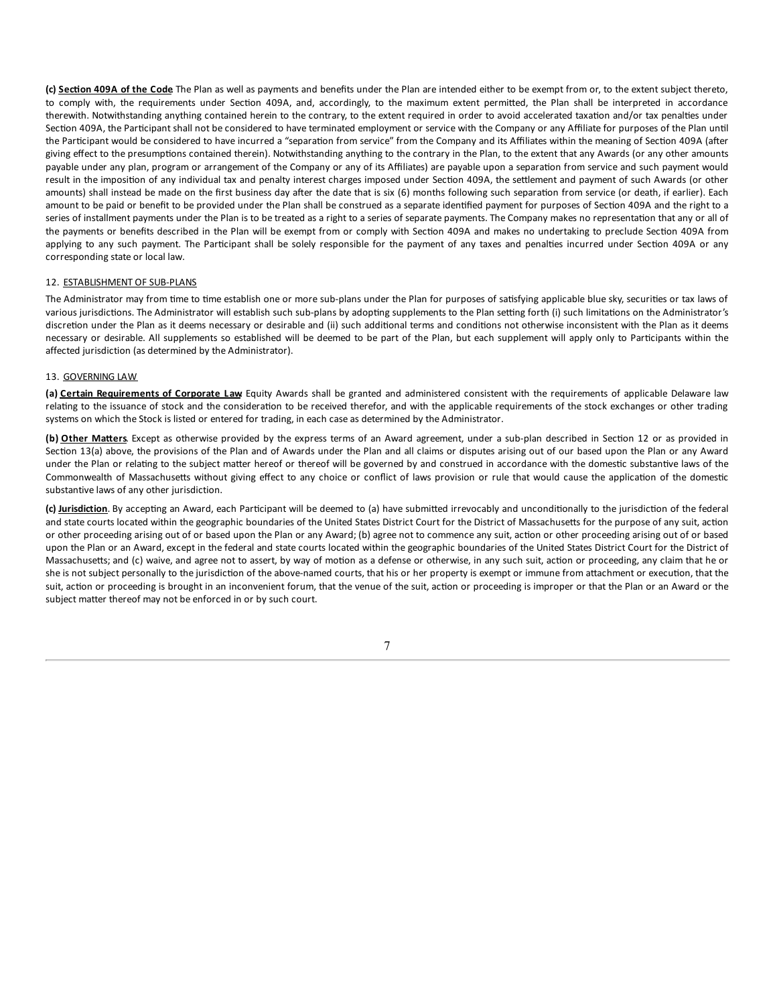(c) Section 409A of the Code The Plan as well as payments and benefits under the Plan are intended either to be exempt from or, to the extent subject thereto, to comply with, the requirements under Section 409A, and, accordingly, to the maximum extent permitted, the Plan shall be interpreted in accordance therewith. Notwithstanding anything contained herein to the contrary, to the extent required in order to avoid accelerated taxation and/or tax penalties under Section 409A, the Participant shall not be considered to have terminated employment or service with the Company or any Affiliate for purposes of the Plan until the Participant would be considered to have incurred a "separation from service" from the Company and its Affiliates within the meaning of Section 409A (after giving effect to the presumptions contained therein). Notwithstanding anything to the contrary in the Plan, to the extent that any Awards (or any other amounts payable under any plan, program or arrangement of the Company or any of its Affiliates) are payable upon a separation from service and such payment would result in the imposition of any individual tax and penalty interest charges imposed under Section 409A, the settlement and payment of such Awards (or other amounts) shall instead be made on the first business day after the date that is six (6) months following such separation from service (or death, if earlier). Each amount to be paid or benefit to be provided under the Plan shall be construed as a separate identified payment for purposes of Section 409A and the right to a series of installment payments under the Plan is to be treated as a right to a series of separate payments. The Company makes no representation that any or all of the payments or benefits described in the Plan will be exempt from or comply with Section 409A and makes no undertaking to preclude Section 409A from applying to any such payment. The Participant shall be solely responsible for the payment of any taxes and penalties incurred under Section 409A or any corresponding state or local law.

#### 12. ESTABLISHMENT OF SUB-PLANS

The Administrator may from time to time establish one or more sub-plans under the Plan for purposes of satisfying applicable blue sky, securities or tax laws of various jurisdictions. The Administrator will establish such sub-plans by adopting supplements to the Plan setting forth (i) such limitations on the Administrator's discretion under the Plan as it deems necessary or desirable and (ii) such additional terms and conditions not otherwise inconsistent with the Plan as it deems necessary or desirable. All supplements so established will be deemed to be part of the Plan, but each supplement will apply only to Participants within the affected jurisdiction (as determined by the Administrator).

#### 13. GOVERNING LAW

**(a) Certain Requirements of Corporate Law**. Equity Awards shall be granted and administered consistent with the requirements of applicable Delaware law relating to the issuance of stock and the consideration to be received therefor, and with the applicable requirements of the stock exchanges or other trading systems on which the Stock is listed or entered for trading, in each case as determined by the Administrator.

(b) Other Matters. Except as otherwise provided by the express terms of an Award agreement, under a sub-plan described in Section 12 or as provided in Section 13(a) above, the provisions of the Plan and of Awards under the Plan and all claims or disputes arising out of our based upon the Plan or any Award under the Plan or relating to the subject matter hereof or thereof will be governed by and construed in accordance with the domestic substantive laws of the Commonwealth of Massachusetts without giving effect to any choice or conflict of laws provision or rule that would cause the application of the domestic substantive laws of any other jurisdiction.

(c) **Jurisdiction**. By accepting an Award, each Participant will be deemed to (a) have submitted irrevocably and unconditionally to the jurisdiction of the federal and state courts located within the geographic boundaries of the United States District Court for the District of Massachusetts for the purpose of any suit, action or other proceeding arising out of or based upon the Plan or any Award; (b) agree not to commence any suit, action or other proceeding arising out of or based upon the Plan or an Award, except in the federal and state courts located within the geographic boundaries of the United States District Court for the District of Massachusetts; and (c) waive, and agree not to assert, by way of motion as a defense or otherwise, in any such suit, action or proceeding, any claim that he or she is not subject personally to the jurisdiction of the above-named courts, that his or her property is exempt or immune from attachment or execution, that the suit, action or proceeding is brought in an inconvenient forum, that the venue of the suit, action or proceeding is improper or that the Plan or an Award or the subject matter thereof may not be enforced in or by such court.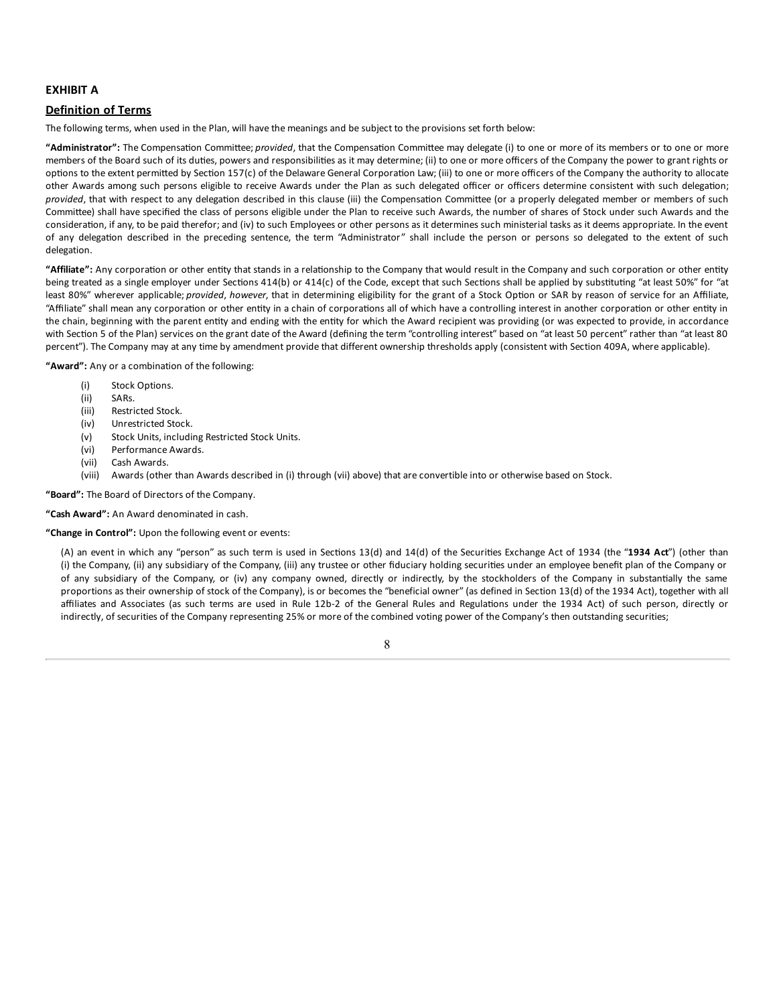## **EXHIBIT A**

## **Definition of Terms**

The following terms, when used in the Plan, will have the meanings and be subject to the provisions set forth below:

"Administrator": The Compensation Committee; *provided*, that the Compensation Committee may delegate (i) to one or more of its members or to one or more members of the Board such of its duties, powers and responsibilities as it may determine; (ii) to one or more officers of the Company the power to grant rights or options to the extent permitted by Section 157(c) of the Delaware General Corporation Law; (iii) to one or more officers of the Company the authority to allocate other Awards among such persons eligible to receive Awards under the Plan as such delegated officer or officers determine consistent with such delegation; provided, that with respect to any delegation described in this clause (iii) the Compensation Committee (or a properly delegated member or members of such Committee) shall have specified the class of persons eligible under the Plan to receive such Awards, the number of shares of Stock under such Awards and the consideration, if any, to be paid therefor; and (iv) to such Employees or other persons as it determines such ministerial tasks as it deems appropriate. In the event of any delegation described in the preceding sentence, the term "Administrator" shall include the person or persons so delegated to the extent of such delegation.

"Affiliate": Any corporation or other entity that stands in a relationship to the Company that would result in the Company and such corporation or other entity being treated as a single employer under Sections 414(b) or 414(c) of the Code, except that such Sections shall be applied by substituting "at least 50%" for "at least 80%" wherever applicable; *provided*, *however*, that in determining eligibility for the grant of a Stock Option or SAR by reason of service for an Affiliate, "Affiliate" shall mean any corporation or other entity in a chain of corporations all of which have a controlling interest in another corporation or other entity in the chain, beginning with the parent entity and ending with the entity for which the Award recipient was providing (or was expected to provide, in accordance with Section 5 of the Plan) services on the grant date of the Award (defining the term "controlling interest" based on "at least 50 percent" rather than "at least 80 percent"). The Company may at any time by amendment provide that different ownership thresholds apply (consistent with Section 409A, where applicable).

**"Award":** Any or a combination of the following:

- (i) Stock Options.
- (ii) SARs.
- (iii) Restricted Stock.
- (iv) Unrestricted Stock.
- (v) Stock Units, including Restricted Stock Units.
- (vi) Performance Awards.
- (vii) Cash Awards.
- (viii) Awards (other than Awards described in (i) through (vii) above) that are convertible into or otherwise based on Stock.

**"Board":** The Board of Directors of the Company.

**"Cash Award":** An Award denominated in cash.

**"Change in Control":** Upon the following event or events:

(A) an event in which any "person" as such term is used in Sections 13(d) and 14(d) of the Securities Exchange Act of 1934 (the "1934 Act") (other than (i) the Company, (ii) any subsidiary of the Company, (iii) any trustee or other fiduciary holding securities under an employee benefit plan of the Company or of any subsidiary of the Company, or (iv) any company owned, directly or indirectly, by the stockholders of the Company in substantially the same proportions as their ownership of stock of the Company), is or becomes the "beneficial owner" (as defined in Section 13(d) of the 1934 Act), together with all affiliates and Associates (as such terms are used in Rule 12b-2 of the General Rules and Regulations under the 1934 Act) of such person, directly or indirectly, of securities of the Company representing 25% or more of the combined voting power of the Company's then outstanding securities;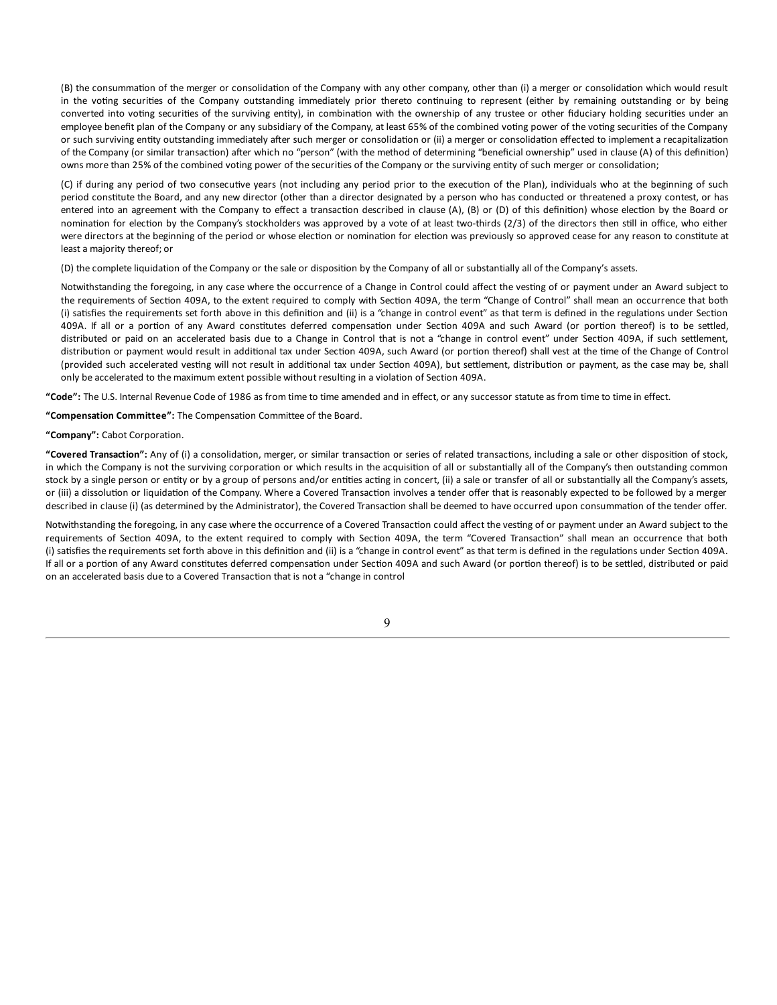(B) the consummation of the merger or consolidation of the Company with any other company, other than (i) a merger or consolidation which would result in the voting securities of the Company outstanding immediately prior thereto continuing to represent (either by remaining outstanding or by being converted into voting securities of the surviving entity), in combination with the ownership of any trustee or other fiduciary holding securities under an employee benefit plan of the Company or any subsidiary of the Company, at least 65% of the combined voting power of the voting securities of the Company or such surviving entity outstanding immediately after such merger or consolidation or (ii) a merger or consolidation effected to implement a recapitalization of the Company (or similar transaction) after which no "person" (with the method of determining "beneficial ownership" used in clause (A) of this definition) owns more than 25% of the combined voting power of the securities of the Company or the surviving entity of such merger or consolidation;

(C) if during any period of two consecutive years (not including any period prior to the execution of the Plan), individuals who at the beginning of such period constitute the Board, and any new director (other than a director designated by a person who has conducted or threatened a proxy contest, or has entered into an agreement with the Company to effect a transaction described in clause (A), (B) or (D) of this definition) whose election by the Board or nomination for election by the Company's stockholders was approved by a vote of at least two-thirds (2/3) of the directors then still in office, who either were directors at the beginning of the period or whose election or nomination for election was previously so approved cease for any reason to constitute at least a majority thereof; or

(D) the complete liquidation of the Company or the sale or disposition by the Company of all or substantially all of the Company's assets.

Notwithstanding the foregoing, in any case where the occurrence of a Change in Control could affect the vesting of or payment under an Award subject to the requirements of Section 409A, to the extent required to comply with Section 409A, the term "Change of Control" shall mean an occurrence that both (i) satisfies the requirements set forth above in this definition and (ii) is a "change in control event" as that term is defined in the regulations under Section 409A. If all or a portion of any Award constitutes deferred compensation under Section 409A and such Award (or portion thereof) is to be settled, distributed or paid on an accelerated basis due to a Change in Control that is not a "change in control event" under Section 409A, if such settlement, distribution or payment would result in additional tax under Section 409A, such Award (or portion thereof) shall vest at the time of the Change of Control (provided such accelerated vesting will not result in additional tax under Section 409A), but settlement, distribution or payment, as the case may be, shall only be accelerated to the maximum extent possible without resulting in a violation of Section 409A.

**"Code":** The U.S. Internal Revenue Code of 1986 as from time to time amended and in effect, or any successor statute as from time to time in effect.

**"Compensation Committee":** The Compensation Committee of the Board.

#### **"Company":** Cabot Corporation.

"Covered Transaction": Any of (i) a consolidation, merger, or similar transaction or series of related transactions, including a sale or other disposition of stock, in which the Company is not the surviving corporation or which results in the acquisition of all or substantially all of the Company's then outstanding common stock by a single person or entity or by a group of persons and/or entities acting in concert, (ii) a sale or transfer of all or substantially all the Company's assets, or (iii) a dissolution or liquidation of the Company. Where a Covered Transaction involves a tender offer that is reasonably expected to be followed by a merger described in clause (i) (as determined by the Administrator), the Covered Transaction shall be deemed to have occurred upon consummation of the tender offer.

Notwithstanding the foregoing, in any case where the occurrence of a Covered Transaction could affect the vesting of or payment under an Award subject to the requirements of Section 409A, to the extent required to comply with Section 409A, the term "Covered Transaction" shall mean an occurrence that both (i) satisfies the requirements set forth above in this definition and (ii) is a "change in control event" as that term is defined in the regulations under Section 409A. If all or a portion of any Award constitutes deferred compensation under Section 409A and such Award (or portion thereof) is to be settled, distributed or paid on an accelerated basis due to a Covered Transaction that is not a "change in control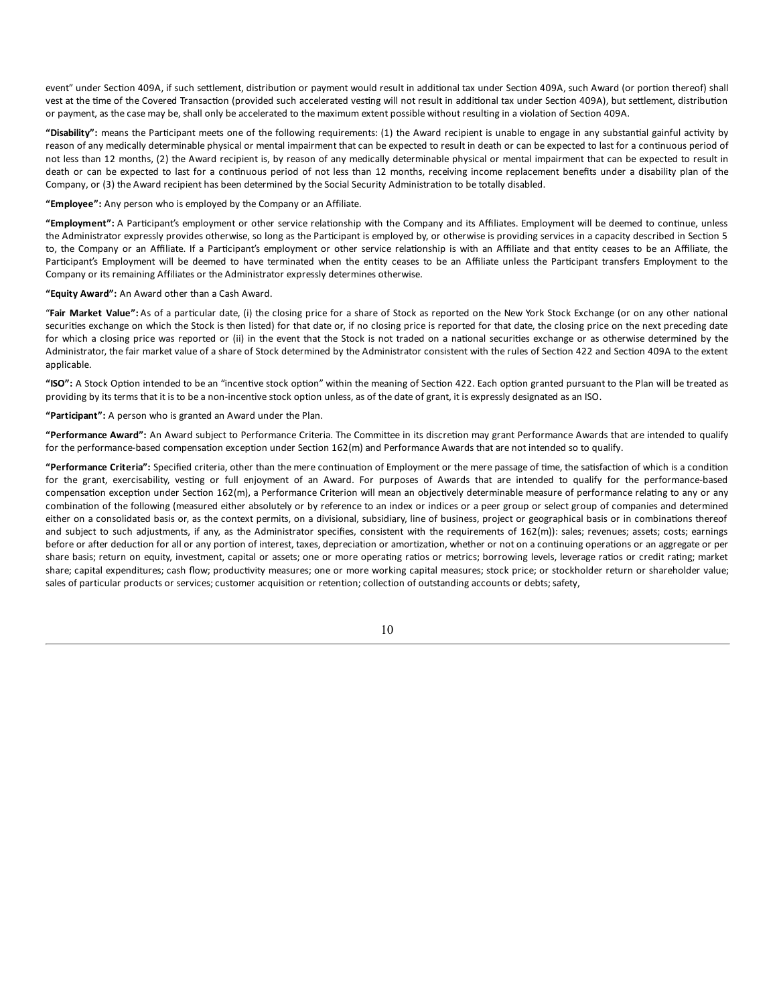event" under Section 409A, if such settlement, distribution or payment would result in additional tax under Section 409A, such Award (or portion thereof) shall vest at the time of the Covered Transaction (provided such accelerated vesting will not result in additional tax under Section 409A), but settlement, distribution or payment, as the case may be, shall only be accelerated to the maximum extent possible without resulting in a violation of Section 409A.

"Disability": means the Participant meets one of the following requirements: (1) the Award recipient is unable to engage in any substantial gainful activity by reason of any medically determinable physical or mental impairment that can be expected to result in death or can be expected to last for a continuous period of not less than 12 months, (2) the Award recipient is, by reason of any medically determinable physical or mental impairment that can be expected to result in death or can be expected to last for a continuous period of not less than 12 months, receiving income replacement benefits under a disability plan of the Company, or (3) the Award recipient has been determined by the Social Security Administration to be totally disabled.

**"Employee":** Any person who is employed by the Company or an Affiliate.

"Employment": A Participant's employment or other service relationship with the Company and its Affiliates. Employment will be deemed to continue, unless the Administrator expressly provides otherwise, so long as the Participant is employed by, or otherwise is providing services in a capacity described in Section 5 to, the Company or an Affiliate. If a Participant's employment or other service relationship is with an Affiliate and that entity ceases to be an Affiliate, the Participant's Employment will be deemed to have terminated when the entity ceases to be an Affiliate unless the Participant transfers Employment to the Company or its remaining Affiliates or the Administrator expressly determines otherwise.

**"Equity Award":** An Award other than a Cash Award.

"Fair Market Value": As of a particular date, (i) the closing price for a share of Stock as reported on the New York Stock Exchange (or on any other national securities exchange on which the Stock is then listed) for that date or, if no closing price is reported for that date, the closing price on the next preceding date for which a closing price was reported or (ii) in the event that the Stock is not traded on a national securities exchange or as otherwise determined by the Administrator, the fair market value of a share of Stock determined by the Administrator consistent with the rules of Section 422 and Section 409A to the extent applicable.

"ISO": A Stock Option intended to be an "incentive stock option" within the meaning of Section 422. Each option granted pursuant to the Plan will be treated as providing by its terms that it is to be a non-incentive stock option unless, as of the date of grant, it is expressly designated as an ISO.

**"Participant":** A person who is granted an Award under the Plan.

"Performance Award": An Award subject to Performance Criteria. The Committee in its discretion may grant Performance Awards that are intended to qualify for the performance-based compensation exception under Section 162(m) and Performance Awards that are not intended so to qualify.

"Performance Criteria": Specified criteria, other than the mere continuation of Employment or the mere passage of time, the satisfaction of which is a condition for the grant, exercisability, vesting or full enjoyment of an Award. For purposes of Awards that are intended to qualify for the performance-based compensation exception under Section 162(m), a Performance Criterion will mean an objectively determinable measure of performance relating to any or any combination of the following (measured either absolutely or by reference to an index or indices or a peer group or select group of companies and determined either on a consolidated basis or, as the context permits, on a divisional, subsidiary, line of business, project or geographical basis or in combinations thereof and subject to such adjustments, if any, as the Administrator specifies, consistent with the requirements of 162(m)): sales; revenues; assets; costs; earnings before or after deduction for all or any portion of interest, taxes, depreciation or amortization, whether or not on a continuing operations or an aggregate or per share basis; return on equity, investment, capital or assets; one or more operating ratios or metrics; borrowing levels, leverage ratios or credit rating; market share; capital expenditures; cash flow; productivity measures; one or more working capital measures; stock price; or stockholder return or shareholder value; sales of particular products or services; customer acquisition or retention; collection of outstanding accounts or debts; safety,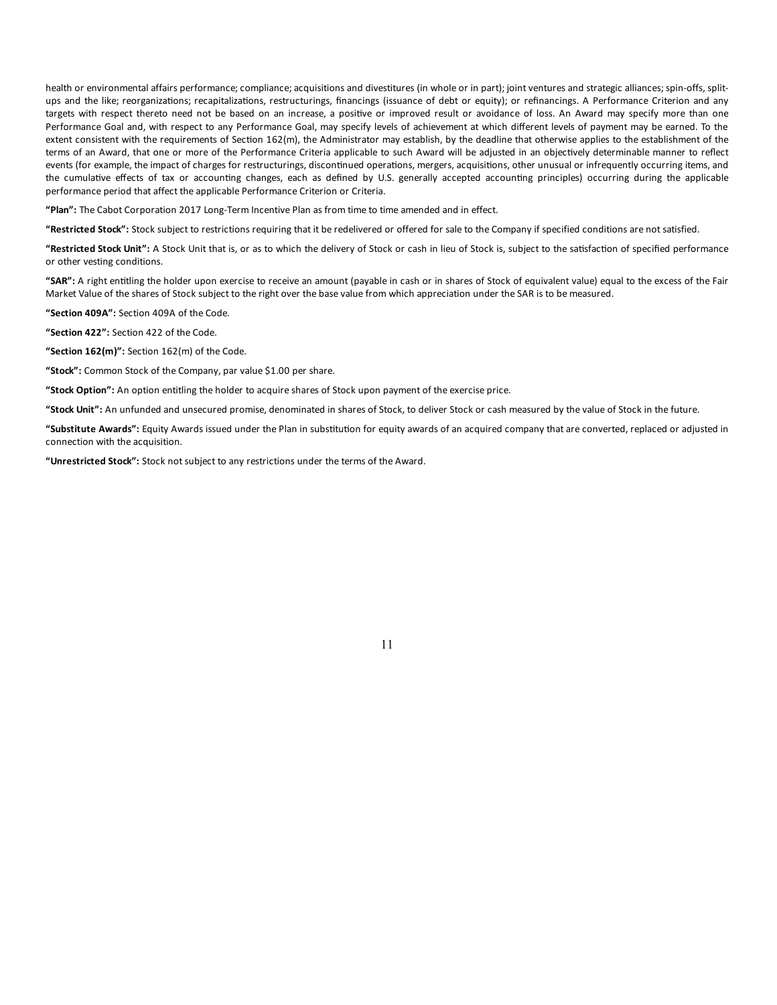health or environmental affairs performance; compliance; acquisitions and divestitures (in whole or in part); joint ventures and strategic alliances; spin-offs, splitups and the like; reorganizations; recapitalizations, restructurings, financings (issuance of debt or equity); or refinancings. A Performance Criterion and any targets with respect thereto need not be based on an increase, a positive or improved result or avoidance of loss. An Award may specify more than one Performance Goal and, with respect to any Performance Goal, may specify levels of achievement at which different levels of payment may be earned. To the extent consistent with the requirements of Section 162(m), the Administrator may establish, by the deadline that otherwise applies to the establishment of the terms of an Award, that one or more of the Performance Criteria applicable to such Award will be adjusted in an objectively determinable manner to reflect events (for example, the impact of charges for restructurings, discontinued operations, mergers, acquisitions, other unusual or infrequently occurring items, and the cumulative effects of tax or accounting changes, each as defined by U.S. generally accepted accounting principles) occurring during the applicable performance period that affect the applicable Performance Criterion or Criteria.

**"Plan":** The Cabot Corporation 2017 Long-Term Incentive Plan as from time to time amended and in effect.

**"Restricted Stock":** Stock subject to restrictions requiring that it be redelivered or offered for sale to the Company if specified conditions are not satisfied.

"Restricted Stock Unit": A Stock Unit that is, or as to which the delivery of Stock or cash in lieu of Stock is, subject to the satisfaction of specified performance or other vesting conditions.

"SAR": A right entitling the holder upon exercise to receive an amount (payable in cash or in shares of Stock of equivalent value) equal to the excess of the Fair Market Value of the shares of Stock subject to the right over the base value from which appreciation under the SAR is to be measured.

**"Section 409A":** Section 409A of the Code.

**"Section 422":** Section 422 of the Code.

**"Section 162(m)":** Section 162(m) of the Code.

**"Stock":** Common Stock of the Company, par value \$1.00 per share.

**"Stock Option":** An option entitling the holder to acquire shares of Stock upon payment of the exercise price.

**"Stock Unit":** An unfunded and unsecured promise, denominated in shares of Stock, to deliver Stock or cash measured by the value of Stock in the future.

"Substitute Awards": Equity Awards issued under the Plan in substitution for equity awards of an acquired company that are converted, replaced or adjusted in connection with the acquisition.

**"Unrestricted Stock":** Stock not subject to any restrictions under the terms of the Award.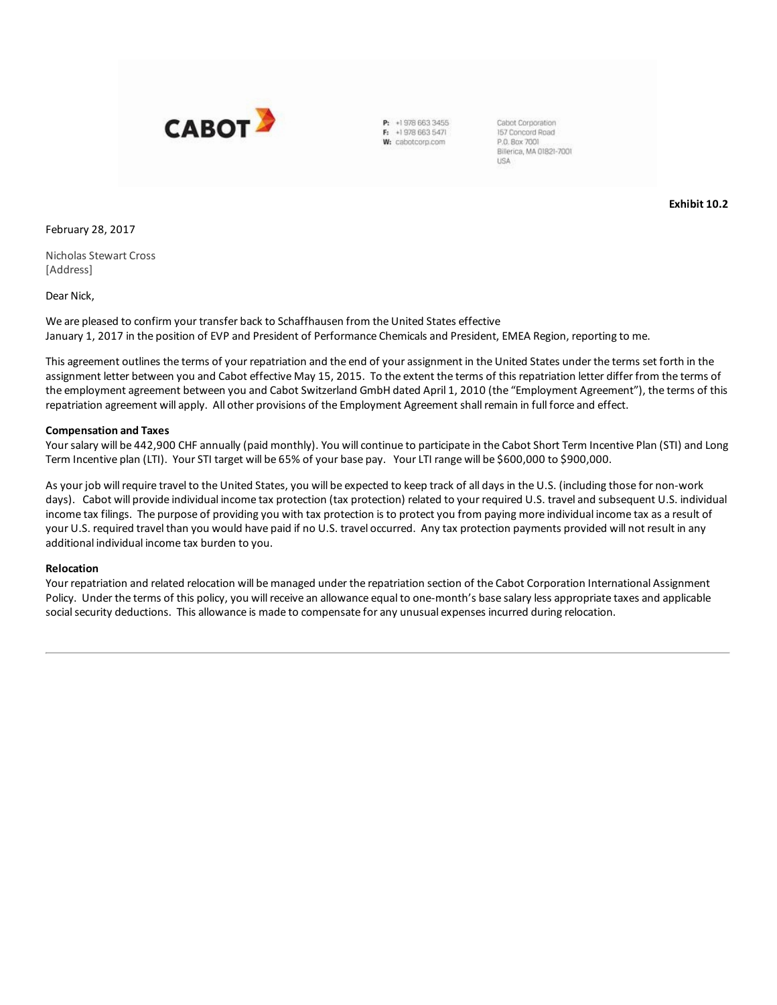

P: +1978 663 3455 F: +1.978.663.5471 W: cabotcorp.com

Cabot Cornoration 157 Concord Road P.O. Box 7001 Billerica, MA 01821-7001 **USA** 

February 28, 2017

Nicholas Stewart Cross [Address]

Dear Nick,

We are pleased to confirm your transfer back to Schaffhausen from the United States effective January 1, 2017 in the position of EVP and President of Performance Chemicals and President, EMEA Region, reporting to me.

This agreement outlines the terms of your repatriation and the end of your assignment in the United States under the terms set forth in the assignment letter between you and Cabot effective May 15, 2015. To the extent the terms of this repatriation letter differ from the terms of the employment agreement between you and Cabot Switzerland GmbH dated April 1, 2010 (the "Employment Agreement"), the terms of this repatriation agreement will apply. All other provisions of the Employment Agreement shallremain in full force and effect.

## **Compensation and Taxes**

Your salary will be 442,900 CHF annually (paid monthly). You will continue to participate in the Cabot Short Term Incentive Plan (STI) and Long Term Incentive plan (LTI). Your STI target will be 65% of your base pay. Your LTI range will be \$600,000 to \$900,000.

As your job willrequire travel to the United States, you will be expected to keep track of all days in the U.S. (including those for non-work days). Cabot will provide individual income tax protection (tax protection) related to your required U.S. travel and subsequent U.S. individual income tax filings. The purpose of providing you with tax protection is to protect you from paying more individual income tax as a result of your U.S. required travel than you would have paid if no U.S. travel occurred. Any tax protection payments provided will not result in any additional individual income tax burden to you.

## **Relocation**

Your repatriation and related relocation will be managed under the repatriation section of the Cabot Corporation International Assignment Policy. Under the terms of this policy, you will receive an allowance equal to one-month's base salary less appropriate taxes and applicable social security deductions. This allowance is made to compensate for any unusual expenses incurred during relocation.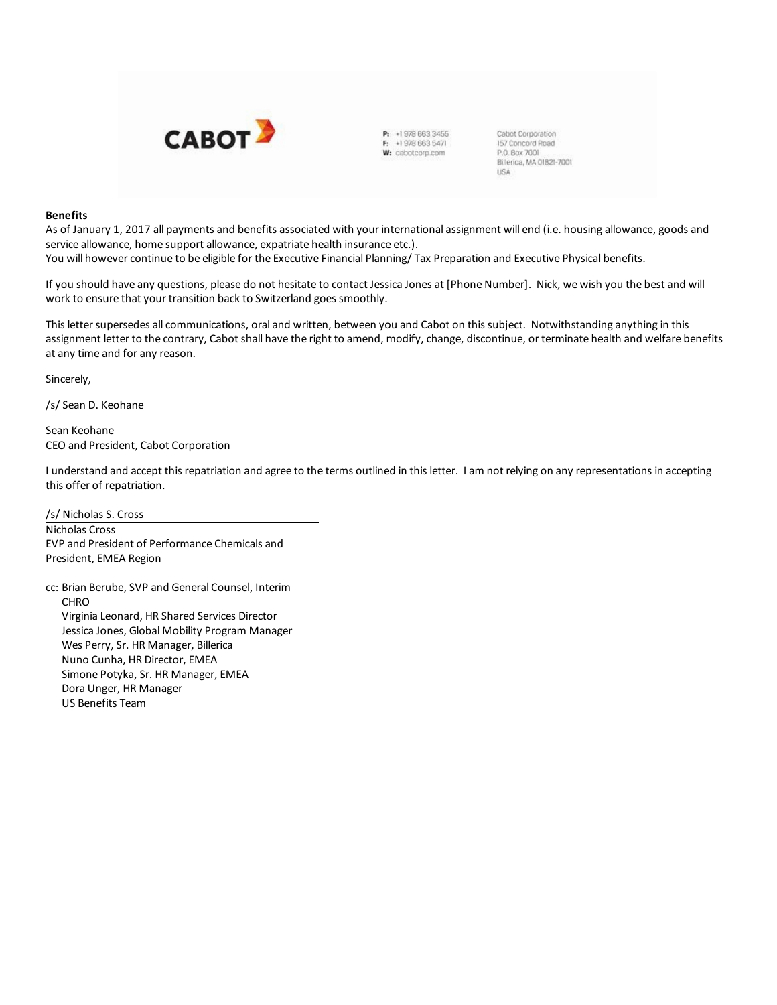

P: +1978 663 3455 F: +1978 663 5471 W: cabotcorp.com

Cabot Corporation 157 Concord Road P.O. Box 7001 Billerica, MA 01821-7001 **USA** 

## **Benefits**

As of January 1, 2017 all payments and benefits associated with your [international](#page-26-0) assignment will end (i.e. housing allowance, goods and service allowance, home support [allowance,](#page-38-0) expatriate health insurance etc.).

You will however c[ontinue](#page-38-0) to be eligible for the Executive Financial Planning/ Tax Preparation and Executive Physical benefits.

If you s[hould](#page-39-0) have any questions, please do not hesitate to contact Jessica Jones at [Phone Number]. Nick, we wish you the best and will work to ensure that your [transition](#page-39-0) back to Switzerland goes smoothly.

This letter superse[des](#page-40-0) all [communications,](#page-40-0) oral and written, between you and Cabot on this subject. Notwithstanding anything in this assignment letter to the contrary, Cabot shall have the right to amend, modify, change, discontinue, or terminate health and welfare benefits at any time and for any reason.

Sincerely,

/s/ Sean D. Keohane

Sean Keohane CEO and President, Cabot Corporation

I understand and accept this repatriation and agree to the terms outlined in this letter. I am not relying on any representations in accepting this offer of repatriation.

/s/ Nicholas S. Cross

Nicholas Cross EVP and President of Performance Chemicals and President, EMEA Region

cc: Brian Berube, SVP and General Counsel, Interim CHRO Virginia Leonard, HR Shared Services Director Jessica Jones, Global Mobility Program Manager Wes Perry, Sr. HR Manager, Billerica Nuno Cunha, HR Director, EMEA Simone Potyka, Sr. HR Manager, EMEA Dora Unger, HR Manager US Benefits Team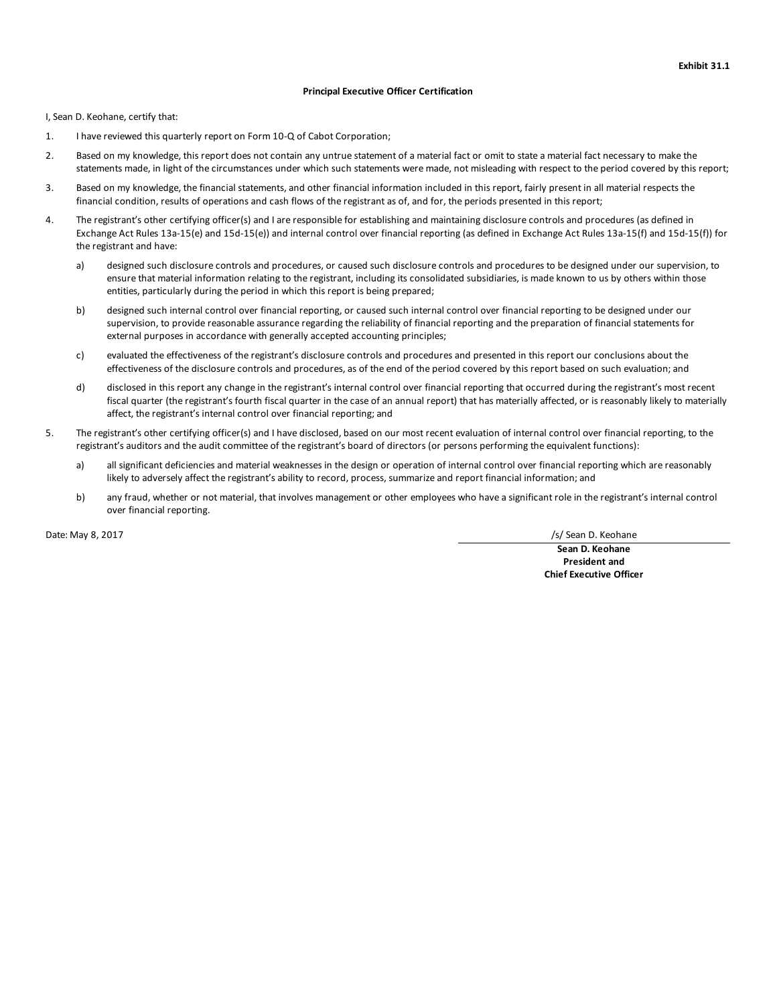#### **Principal Executive Officer Certification**

I, Sean D. Keohane, certify that:

- 1. I have reviewed this quarterly report on Form 10-Q of Cabot Corporation;
- 2. Based on my knowledge, this report does not contain any untrue statement of a material fact or omit to state a material fact necessary to make the statements made, in light of the circumstances under which such statements were made, not misleading with respect to the period covered by this report;
- 3. Based on my knowledge, the financial statements, and other financial information included in this report, fairly present in all material respects the financial condition, results of operations and cash flows of the registrant as of, and for, the periods presented in this report;
- 4. The registrant's other certifying officer(s) and I are responsible for establishing and maintaining disclosure controls and procedures (as defined in Exchange Act Rules 13a-15(e) and 15d-15(e)) and internal control over financial reporting (as defined in Exchange Act Rules 13a-15(f) and 15d-15(f)) for the registrant and have:
	- a) designed such disclosure controls and procedures, or caused such disclosure controls and procedures to be designed under our supervision, to ensure that material information relating to the registrant, including its consolidated subsidiaries, is made known to us by others within those entities, particularly during the period in which this report is being prepared;
	- b) designed such internal control over financial reporting, or caused such internal control over financial reporting to be designed under our supervision, to provide reasonable assurance regarding the reliability of financial reporting and the preparation of financial statements for external purposes in accordance with generally accepted accounting principles;
	- c) evaluated the effectiveness of the registrant's disclosure controls and procedures and presented in this report our conclusions about the effectiveness of the disclosure controls and procedures, as of the end of the period covered by this report based on such evaluation; and
	- d) disclosed in this report any change in the registrant's internal control over financial reporting that occurred during the registrant's most recent fiscal quarter (the registrant's fourth fiscal quarter in the case of an annual report) that has materially affected, or is reasonably likely to materially affect, the registrant's internal control over financial reporting; and
- 5. The registrant's other certifying officer(s) and I have disclosed, based on our most recent evaluation of internal control over financial reporting, to the registrant's auditors and the audit committee of the registrant's board of directors (or persons performing the equivalent functions):
	- a) all significant deficiencies and material weaknesses in the design or operation of internal control over financial reporting which are reasonably likely to adversely affect the registrant's ability to record, process, summarize and report financial information; and
	- b) any fraud, whether or not material, that involves management or other employees who have a significant role in the registrant's internal control over financial reporting.

Date: May 8, 2017 *Simulation* 2017 *Simulation Simulation**Simulation**Simulation**Simulation**Simulation**Simulation**Simulation**Simulation**Simulation* **<b>***Simulation Simulation Simulation**Simula* 

**Sean D. Keohane President and Chief Executive Officer**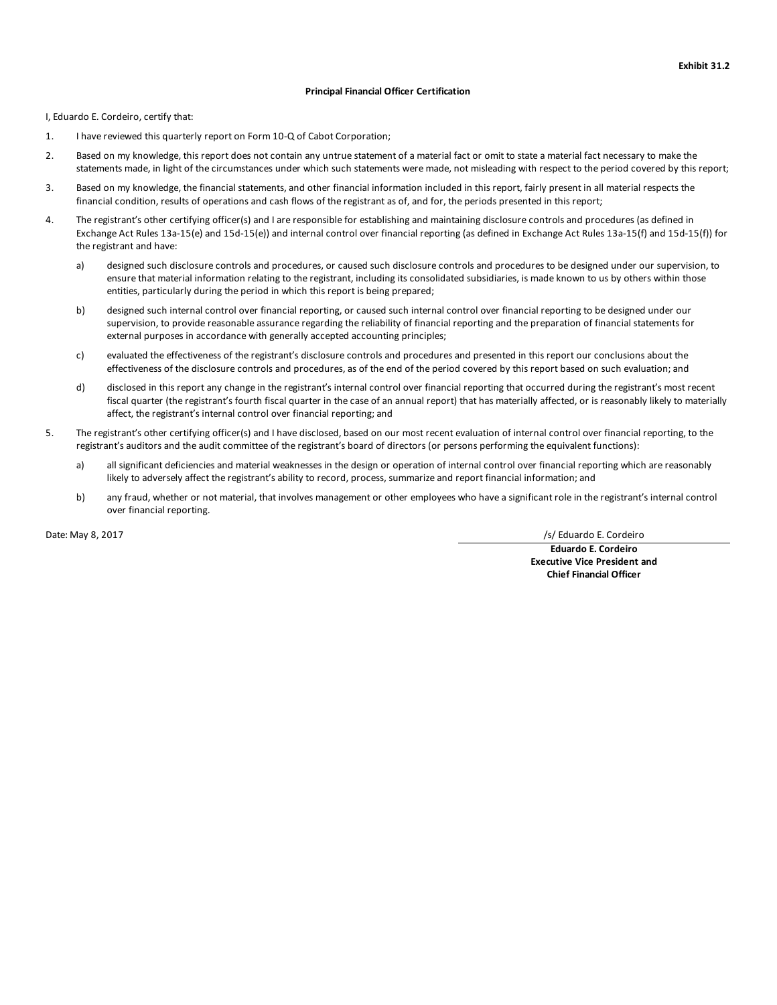#### **Principal Financial Officer Certification**

I, Eduardo E. Cordeiro, certify that:

- 1. I have reviewed this quarterly report on Form 10-Q of Cabot Corporation;
- 2. Based on my knowledge, this report does not contain any untrue statement of a material fact or omit to state a material fact necessary to make the statements made, in light of the circumstances under which such statements were made, not misleading with respect to the period covered by this report;
- 3. Based on my knowledge, the financial statements, and other financial information included in this report, fairly present in all material respects the financial condition, results of operations and cash flows of the registrant as of, and for, the periods presented in this report;
- 4. The registrant's other certifying officer(s) and I are responsible for establishing and maintaining disclosure controls and procedures (as defined in Exchange Act Rules 13a-15(e) and 15d-15(e)) and internal control over financial reporting (as defined in Exchange Act Rules 13a-15(f) and 15d-15(f)) for the registrant and have:
	- a) designed such disclosure controls and procedures, or caused such disclosure controls and procedures to be designed under our supervision, to ensure that material information relating to the registrant, including its consolidated subsidiaries, is made known to us by others within those entities, particularly during the period in which this report is being prepared;
	- b) designed such internal control over financial reporting, or caused such internal control over financial reporting to be designed under our supervision, to provide reasonable assurance regarding the reliability of financial reporting and the preparation of financial statements for external purposes in accordance with generally accepted accounting principles;
	- c) evaluated the effectiveness of the registrant's disclosure controls and procedures and presented in this report our conclusions about the effectiveness of the disclosure controls and procedures, as of the end of the period covered by this report based on such evaluation; and
	- d) disclosed in this report any change in the registrant's internal control over financial reporting that occurred during the registrant's most recent fiscal quarter (the registrant's fourth fiscal quarter in the case of an annual report) that has materially affected, or is reasonably likely to materially affect, the registrant's internal control over financial reporting; and
- 5. The registrant's other certifying officer(s) and I have disclosed, based on our most recent evaluation of internal control over financial reporting, to the registrant's auditors and the audit committee of the registrant's board of directors (or persons performing the equivalent functions):
	- a) all significant deficiencies and material weaknesses in the design or operation of internal control over financial reporting which are reasonably likely to adversely affect the registrant's ability to record, process, summarize and report financial information; and
	- b) any fraud, whether or not material, that involves management or other employees who have a significant role in the registrant's internal control over financial reporting.

Date: May 8, 2017 *S* and 2017 *Cordeiro Cordeiro Cordeiro Cordeiro* **<b>***Cordeiro Cordeiro Cordeiro Cordeiro Cordeiro* **<b>***Cordeiro Cordeiro Cordeiro Cordeiro Cordeiro Cordeir* 

**Eduardo E. Cordeiro Executive Vice President and Chief Financial Officer**